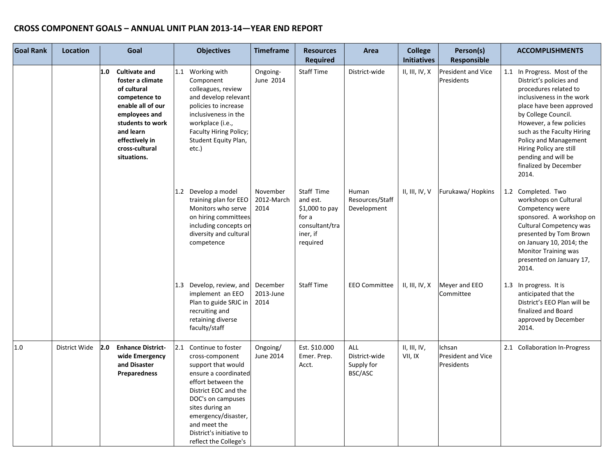| <b>Goal Rank</b> | <b>Location</b> |     | Goal                                                                                                                                                                                               | <b>Objectives</b>                                                                                                                                                                                                                                                         | <b>Timeframe</b>               | <b>Resources</b><br><b>Required</b>                                                         | Area                                          | <b>College</b><br><b>Initiatives</b> | Person(s)<br><b>Responsible</b>                   | <b>ACCOMPLISHMENTS</b>                                                                                                                                                                                                                                                                                                                 |
|------------------|-----------------|-----|----------------------------------------------------------------------------------------------------------------------------------------------------------------------------------------------------|---------------------------------------------------------------------------------------------------------------------------------------------------------------------------------------------------------------------------------------------------------------------------|--------------------------------|---------------------------------------------------------------------------------------------|-----------------------------------------------|--------------------------------------|---------------------------------------------------|----------------------------------------------------------------------------------------------------------------------------------------------------------------------------------------------------------------------------------------------------------------------------------------------------------------------------------------|
|                  |                 | 1.0 | <b>Cultivate and</b><br>foster a climate<br>of cultural<br>competence to<br>enable all of our<br>employees and<br>students to work<br>and learn<br>effectively in<br>cross-cultural<br>situations. | 1.1 Working with<br>Component<br>colleagues, review<br>and develop relevant<br>policies to increase<br>inclusiveness in the<br>workplace (i.e.,<br>Faculty Hiring Policy;<br>Student Equity Plan,<br>etc.)                                                                | Ongoing-<br>June 2014          | <b>Staff Time</b>                                                                           | District-wide                                 | II, III, IV, X                       | <b>President and Vice</b><br>Presidents           | 1.1 In Progress. Most of the<br>District's policies and<br>procedures related to<br>inclusiveness in the work<br>place have been approved<br>by College Council.<br>However, a few policies<br>such as the Faculty Hiring<br>Policy and Management<br>Hiring Policy are still<br>pending and will be<br>finalized by December<br>2014. |
|                  |                 |     |                                                                                                                                                                                                    | 1.2 Develop a model<br>training plan for EEO<br>Monitors who serve<br>on hiring committees<br>including concepts on<br>diversity and cultural<br>competence                                                                                                               | November<br>2012-March<br>2014 | Staff Time<br>and est.<br>\$1,000 to pay<br>for a<br>consultant/tra<br>iner, if<br>required | Human<br>Resources/Staff<br>Development       | II, III, IV, V                       | Furukawa/Hopkins                                  | 1.2 Completed. Two<br>workshops on Cultural<br>Competency were<br>sponsored. A workshop on<br>Cultural Competency was<br>presented by Tom Brown<br>on January 10, 2014; the<br><b>Monitor Training was</b><br>presented on January 17,<br>2014.                                                                                        |
|                  |                 |     |                                                                                                                                                                                                    | 1.3 Develop, review, and<br>implement an EEO<br>Plan to guide SRJC in<br>recruiting and<br>retaining diverse<br>faculty/staff                                                                                                                                             | December<br>2013-June<br>2014  | <b>Staff Time</b>                                                                           | <b>EEO Committee</b>                          | II, III, IV, X                       | Meyer and EEO<br>Committee                        | 1.3 In progress. It is<br>anticipated that the<br>District's EEO Plan will be<br>finalized and Board<br>approved by December<br>2014.                                                                                                                                                                                                  |
| $1.0\,$          | District Wide   | 2.0 | <b>Enhance District-</b><br>wide Emergency<br>and Disaster<br><b>Preparedness</b>                                                                                                                  | 2.1 Continue to foster<br>cross-component<br>support that would<br>ensure a coordinated<br>effort between the<br>District EOC and the<br>DOC's on campuses<br>sites during an<br>emergency/disaster,<br>and meet the<br>District's initiative to<br>reflect the College's | Ongoing/<br>June 2014          | Est. \$10.000<br>Emer. Prep.<br>Acct.                                                       | ALL<br>District-wide<br>Supply for<br>BSC/ASC | II, III, IV,<br>VII, IX              | Ichsan<br><b>President and Vice</b><br>Presidents | 2.1 Collaboration In-Progress                                                                                                                                                                                                                                                                                                          |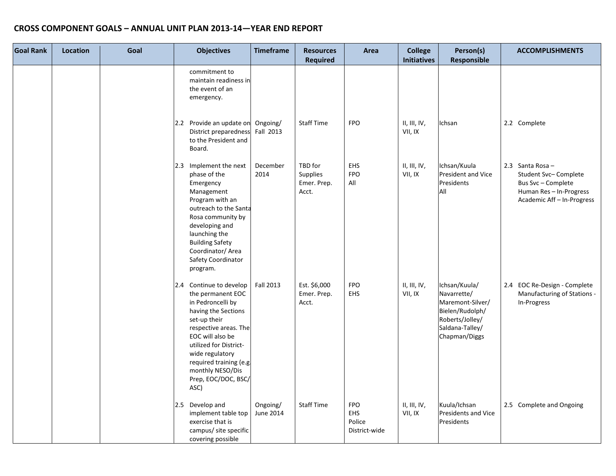| <b>Goal Rank</b> | <b>Location</b> | Goal | <b>Objectives</b>                                                                                                                                                                                                                                                                | <b>Timeframe</b>      | <b>Resources</b><br><b>Required</b>         | Area                                         | <b>College</b><br><b>Initiatives</b> | Person(s)<br>Responsible                                                                                                   | <b>ACCOMPLISHMENTS</b>                                                                                                 |
|------------------|-----------------|------|----------------------------------------------------------------------------------------------------------------------------------------------------------------------------------------------------------------------------------------------------------------------------------|-----------------------|---------------------------------------------|----------------------------------------------|--------------------------------------|----------------------------------------------------------------------------------------------------------------------------|------------------------------------------------------------------------------------------------------------------------|
|                  |                 |      | commitment to<br>maintain readiness in<br>the event of an<br>emergency.                                                                                                                                                                                                          |                       |                                             |                                              |                                      |                                                                                                                            |                                                                                                                        |
|                  |                 |      | 2.2 Provide an update on<br>District preparedness<br>to the President and<br>Board.                                                                                                                                                                                              | Ongoing/<br>Fall 2013 | <b>Staff Time</b>                           | <b>FPO</b>                                   | II, III, IV,<br>VII, IX              | Ichsan                                                                                                                     | 2.2 Complete                                                                                                           |
|                  |                 |      | Implement the next<br>2.3<br>phase of the<br>Emergency<br>Management<br>Program with an<br>outreach to the Santa<br>Rosa community by<br>developing and<br>launching the<br><b>Building Safety</b><br>Coordinator/ Area<br>Safety Coordinator<br>program.                        | December<br>2014      | TBD for<br>Supplies<br>Emer. Prep.<br>Acct. | EHS<br><b>FPO</b><br>All                     | II, III, IV,<br>VII, IX              | Ichsan/Kuula<br>President and Vice<br>Presidents<br>All                                                                    | 2.3 Santa Rosa-<br>Student Svc-Complete<br>Bus Svc - Complete<br>Human Res - In-Progress<br>Academic Aff - In-Progress |
|                  |                 |      | 2.4 Continue to develop<br>the permanent EOC<br>in Pedroncelli by<br>having the Sections<br>set-up their<br>respective areas. The<br>EOC will also be<br>utilized for District-<br>wide regulatory<br>required training (e.g.<br>monthly NESO/Dis<br>Prep, EOC/DOC, BSC/<br>ASC) | <b>Fall 2013</b>      | Est. \$6,000<br>Emer. Prep.<br>Acct.        | <b>FPO</b><br>EHS                            | II, III, IV,<br>VII, IX              | Ichsan/Kuula/<br>Navarrette/<br>Maremont-Silver/<br>Bielen/Rudolph/<br>Roberts/Jolley/<br>Saldana-Talley/<br>Chapman/Diggs | 2.4 EOC Re-Design - Complete<br>Manufacturing of Stations -<br>In-Progress                                             |
|                  |                 |      | 2.5 Develop and<br>implement table top<br>exercise that is<br>campus/ site specific<br>covering possible                                                                                                                                                                         | Ongoing/<br>June 2014 | <b>Staff Time</b>                           | <b>FPO</b><br>EHS<br>Police<br>District-wide | II, III, IV,<br>VII, IX              | Kuula/Ichsan<br>Presidents and Vice<br>Presidents                                                                          | 2.5 Complete and Ongoing                                                                                               |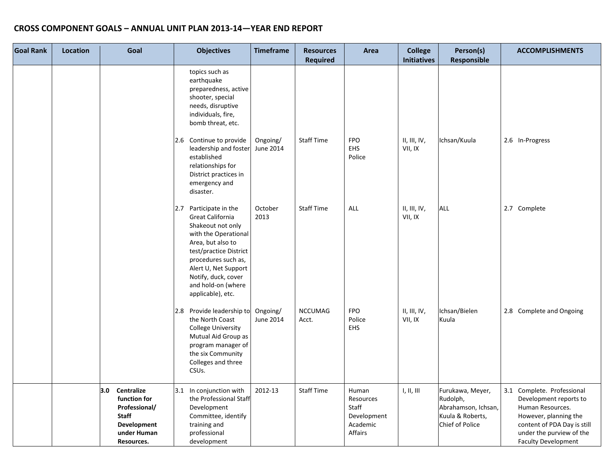| <b>Goal Rank</b> | Location | Goal                                                                                                           | <b>Objectives</b>                                                                                                                                                                                                                                          | <b>Timeframe</b>      | <b>Resources</b><br><b>Required</b> | Area                                                              | <b>College</b><br><b>Initiatives</b> | Person(s)<br>Responsible                                                                          | <b>ACCOMPLISHMENTS</b>                                                                                                                                                                     |
|------------------|----------|----------------------------------------------------------------------------------------------------------------|------------------------------------------------------------------------------------------------------------------------------------------------------------------------------------------------------------------------------------------------------------|-----------------------|-------------------------------------|-------------------------------------------------------------------|--------------------------------------|---------------------------------------------------------------------------------------------------|--------------------------------------------------------------------------------------------------------------------------------------------------------------------------------------------|
|                  |          |                                                                                                                | topics such as<br>earthquake<br>preparedness, active<br>shooter, special<br>needs, disruptive<br>individuals, fire,<br>bomb threat, etc.                                                                                                                   |                       |                                     |                                                                   |                                      |                                                                                                   |                                                                                                                                                                                            |
|                  |          |                                                                                                                | 2.6 Continue to provide<br>leadership and foster<br>established<br>relationships for<br>District practices in<br>emergency and<br>disaster.                                                                                                                | Ongoing/<br>June 2014 | Staff Time                          | <b>FPO</b><br><b>EHS</b><br>Police                                | II, III, IV,<br>VII, IX              | Ichsan/Kuula                                                                                      | 2.6 In-Progress                                                                                                                                                                            |
|                  |          |                                                                                                                | Participate in the<br>2.7<br>Great California<br>Shakeout not only<br>with the Operational<br>Area, but also to<br>test/practice District<br>procedures such as,<br>Alert U, Net Support<br>Notify, duck, cover<br>and hold-on (where<br>applicable), etc. | October<br>2013       | <b>Staff Time</b>                   | <b>ALL</b>                                                        | II, III, IV,<br>VII, IX              | <b>ALL</b>                                                                                        | 2.7 Complete                                                                                                                                                                               |
|                  |          |                                                                                                                | 2.8 Provide leadership to<br>the North Coast<br><b>College University</b><br>Mutual Aid Group as<br>program manager of<br>the six Community<br>Colleges and three<br>CSUs.                                                                                 | Ongoing/<br>June 2014 | <b>NCCUMAG</b><br>Acct.             | <b>FPO</b><br>Police<br><b>EHS</b>                                | II, III, IV,<br>VII, IX              | Ichsan/Bielen<br>Kuula                                                                            | 2.8 Complete and Ongoing                                                                                                                                                                   |
|                  |          | 3.0<br>Centralize<br>function for<br>Professional/<br><b>Staff</b><br>Development<br>under Human<br>Resources. | 3.1 In conjunction with<br>the Professional Staff<br>Development<br>Committee, identify<br>training and<br>professional<br>development                                                                                                                     | 2012-13               | Staff Time                          | Human<br>Resources<br>Staff<br>Development<br>Academic<br>Affairs | 1, II, III                           | Furukawa, Meyer,<br>Rudolph,<br>Abrahamson, Ichsan,<br>Kuula & Roberts,<br><b>Chief of Police</b> | 3.1 Complete. Professional<br>Development reports to<br>Human Resources.<br>However, planning the<br>content of PDA Day is still<br>under the purview of the<br><b>Faculty Development</b> |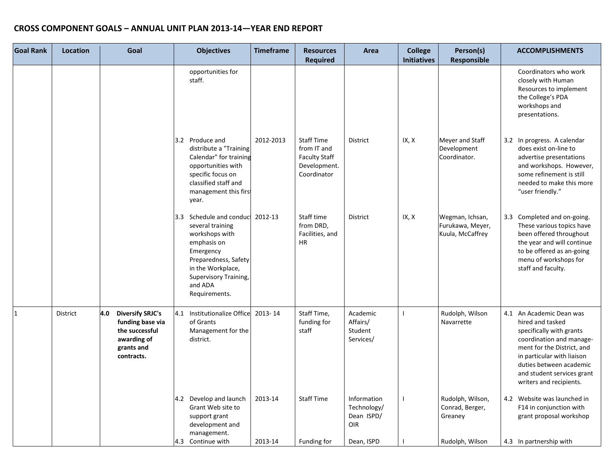| <b>Goal Rank</b> | <b>Location</b> | Goal                                                                                                            | <b>Objectives</b>                                                                                                                                                                            | <b>Timeframe</b> | <b>Resources</b><br><b>Required</b>                                                     | Area                                            | <b>College</b><br><b>Initiatives</b> | Person(s)<br>Responsible                                | <b>ACCOMPLISHMENTS</b>                                                                                                                                                                                                                               |
|------------------|-----------------|-----------------------------------------------------------------------------------------------------------------|----------------------------------------------------------------------------------------------------------------------------------------------------------------------------------------------|------------------|-----------------------------------------------------------------------------------------|-------------------------------------------------|--------------------------------------|---------------------------------------------------------|------------------------------------------------------------------------------------------------------------------------------------------------------------------------------------------------------------------------------------------------------|
|                  |                 |                                                                                                                 | opportunities for<br>staff.                                                                                                                                                                  |                  |                                                                                         |                                                 |                                      |                                                         | Coordinators who work<br>closely with Human<br>Resources to implement<br>the College's PDA<br>workshops and<br>presentations.                                                                                                                        |
|                  |                 |                                                                                                                 | 3.2 Produce and<br>distribute a "Training<br>Calendar" for training<br>opportunities with<br>specific focus on<br>classified staff and<br>management this first<br>year.                     | 2012-2013        | <b>Staff Time</b><br>from IT and<br><b>Faculty Staff</b><br>Development.<br>Coordinator | District                                        | IX, X                                | Meyer and Staff<br>Development<br>Coordinator.          | 3.2 In progress. A calendar<br>does exist on-line to<br>advertise presentations<br>and workshops. However,<br>some refinement is still<br>needed to make this more<br>"user friendly."                                                               |
|                  |                 |                                                                                                                 | 3.3 Schedule and conduct<br>several training<br>workshops with<br>emphasis on<br>Emergency<br>Preparedness, Safety<br>in the Workplace,<br>Supervisory Training,<br>and ADA<br>Requirements. | 2012-13          | Staff time<br>from DRD,<br>Facilities, and<br><b>HR</b>                                 | District                                        | IX, X                                | Wegman, Ichsan,<br>Furukawa, Meyer,<br>Kuula, McCaffrey | 3.3 Completed and on-going.<br>These various topics have<br>been offered throughout<br>the year and will continue<br>to be offered as an-going<br>menu of workshops for<br>staff and faculty.                                                        |
| $\mathbf{1}$     | District        | <b>Diversify SRJC's</b><br>4.0<br>funding base via<br>the successful<br>awarding of<br>grants and<br>contracts. | 4.1<br>Institutionalize Office<br>of Grants<br>Management for the<br>district.                                                                                                               | 2013-14          | Staff Time,<br>funding for<br>staff                                                     | Academic<br>Affairs/<br>Student<br>Services/    |                                      | Rudolph, Wilson<br>Navarrette                           | 4.1 An Academic Dean was<br>hired and tasked<br>specifically with grants<br>coordination and manage-<br>ment for the District, and<br>in particular with liaison<br>duties between academic<br>and student services grant<br>writers and recipients. |
|                  |                 |                                                                                                                 | Develop and launch<br>4.2<br>Grant Web site to<br>support grant<br>development and<br>management.                                                                                            | 2013-14          | <b>Staff Time</b>                                                                       | Information<br>Technology/<br>Dean ISPD/<br>OIR | $\mathbf{I}$                         | Rudolph, Wilson,<br>Conrad, Berger,<br>Greaney          | 4.2 Website was launched in<br>F14 in conjunction with<br>grant proposal workshop                                                                                                                                                                    |
|                  |                 |                                                                                                                 | 4.3 Continue with                                                                                                                                                                            | 2013-14          | Funding for                                                                             | Dean, ISPD                                      |                                      | Rudolph, Wilson                                         | 4.3 In partnership with                                                                                                                                                                                                                              |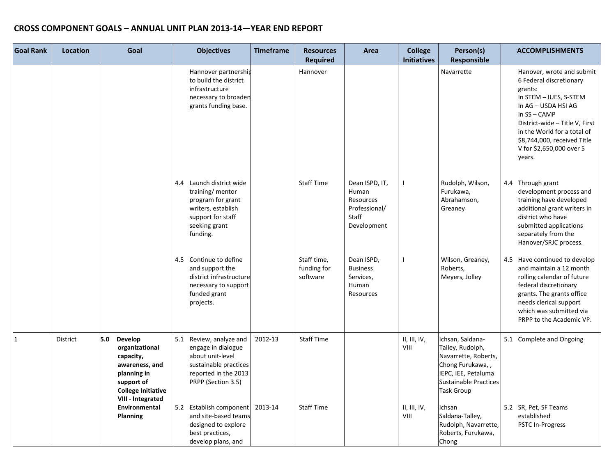| <b>Goal Rank</b> | <b>Location</b> | Goal                                                                                                                                           | <b>Objectives</b>                                                                                                                            | <b>Timeframe</b> | <b>Resources</b><br><b>Required</b>    | Area                                                                          | <b>College</b><br><b>Initiatives</b> | Person(s)<br><b>Responsible</b>                                                                                                                       | <b>ACCOMPLISHMENTS</b>                                                                                                                                                                                                                                               |
|------------------|-----------------|------------------------------------------------------------------------------------------------------------------------------------------------|----------------------------------------------------------------------------------------------------------------------------------------------|------------------|----------------------------------------|-------------------------------------------------------------------------------|--------------------------------------|-------------------------------------------------------------------------------------------------------------------------------------------------------|----------------------------------------------------------------------------------------------------------------------------------------------------------------------------------------------------------------------------------------------------------------------|
|                  |                 |                                                                                                                                                | Hannover partnership<br>to build the district<br>infrastructure<br>necessary to broaden<br>grants funding base.                              |                  | Hannover                               |                                                                               |                                      | Navarrette                                                                                                                                            | Hanover, wrote and submit<br>6 Federal discretionary<br>grants:<br>In STEM - IUES, S-STEM<br>In AG - USDA HSI AG<br>In SS-CAMP<br>District-wide - Title V, First<br>in the World for a total of<br>\$8,744,000, received Title<br>V for \$2,650,000 over 5<br>years. |
|                  |                 |                                                                                                                                                | Launch district wide<br>4.4<br>training/ mentor<br>program for grant<br>writers, establish<br>support for staff<br>seeking grant<br>funding. |                  | <b>Staff Time</b>                      | Dean ISPD, IT,<br>Human<br>Resources<br>Professional/<br>Staff<br>Development |                                      | Rudolph, Wilson,<br>Furukawa,<br>Abrahamson,<br>Greaney                                                                                               | 4.4 Through grant<br>development process and<br>training have developed<br>additional grant writers in<br>district who have<br>submitted applications<br>separately from the<br>Hanover/SRJC process.                                                                |
|                  |                 |                                                                                                                                                | 4.5 Continue to define<br>and support the<br>district infrastructure<br>necessary to support<br>funded grant<br>projects.                    |                  | Staff time,<br>funding for<br>software | Dean ISPD,<br><b>Business</b><br>Services,<br>Human<br>Resources              | $\mathbf{I}$                         | Wilson, Greaney,<br>Roberts,<br>Meyers, Jolley                                                                                                        | 4.5 Have continued to develop<br>and maintain a 12 month<br>rolling calendar of future<br>federal discretionary<br>grants. The grants office<br>needs clerical support<br>which was submitted via<br>PRPP to the Academic VP.                                        |
| $\mathbf{1}$     | <b>District</b> | 5.0<br>Develop<br>organizational<br>capacity,<br>awareness, and<br>planning in<br>support of<br><b>College Initiative</b><br>VIII - Integrated | 5.1 Review, analyze and<br>engage in dialogue<br>about unit-level<br>sustainable practices<br>reported in the 2013<br>PRPP (Section 3.5)     | 2012-13          | <b>Staff Time</b>                      |                                                                               | II, III, IV,<br>VIII                 | Ichsan, Saldana-<br>Talley, Rudolph,<br>Navarrette, Roberts,<br>Chong Furukawa,,<br>IEPC, IEE, Petaluma<br>Sustainable Practices<br><b>Task Group</b> | 5.1 Complete and Ongoing                                                                                                                                                                                                                                             |
|                  |                 | Environmental<br>Planning                                                                                                                      | 5.2 Establish component<br>and site-based teams<br>designed to explore<br>best practices,<br>develop plans, and                              | 2013-14          | <b>Staff Time</b>                      |                                                                               | II, III, IV,<br>VIII                 | Ichsan<br>Saldana-Talley,<br>Rudolph, Navarrette,<br>Roberts, Furukawa,<br>Chong                                                                      | 5.2 SR, Pet, SF Teams<br>established<br><b>PSTC In-Progress</b>                                                                                                                                                                                                      |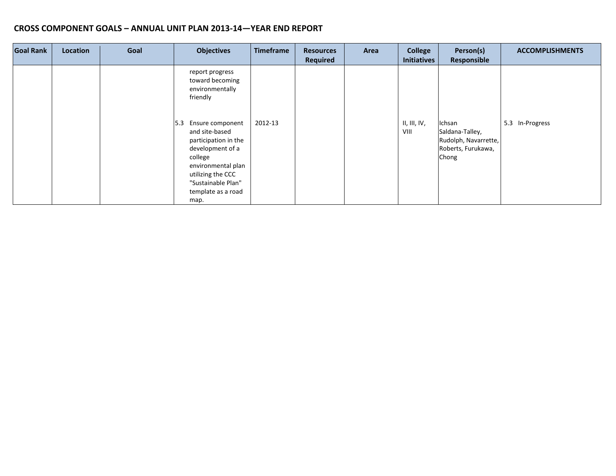| <b>Goal Rank</b> | Location | Goal | <b>Objectives</b>                                                                                                                                                                                | <b>Timeframe</b> | <b>Resources</b><br><b>Required</b> | Area | <b>College</b><br><b>Initiatives</b> | Person(s)<br><b>Responsible</b>                                                  | <b>ACCOMPLISHMENTS</b> |
|------------------|----------|------|--------------------------------------------------------------------------------------------------------------------------------------------------------------------------------------------------|------------------|-------------------------------------|------|--------------------------------------|----------------------------------------------------------------------------------|------------------------|
|                  |          |      | report progress<br>toward becoming<br>environmentally<br>friendly                                                                                                                                |                  |                                     |      |                                      |                                                                                  |                        |
|                  |          |      | Ensure component<br>15.3<br>and site-based<br>participation in the<br>development of a<br>college<br>environmental plan<br>utilizing the CCC<br>"Sustainable Plan"<br>template as a road<br>map. | 2012-13          |                                     |      | II, III, IV,<br>VIII                 | Ichsan<br>Saldana-Talley,<br>Rudolph, Navarrette,<br>Roberts, Furukawa,<br>Chong | 5.3 In-Progress        |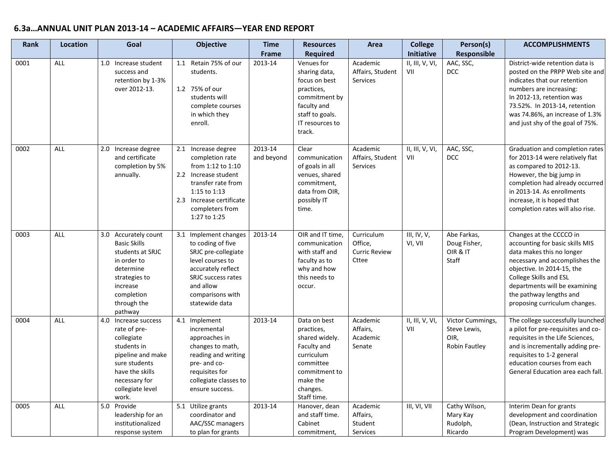# **6.3a…ANNUAL UNIT PLAN 2013-14 – ACADEMIC AFFAIRS—YEAR END REPORT**

| <b>Rank</b> | <b>Location</b> | Goal                                                                                                                                                                     | <b>Objective</b>                                                                                                                                                                            | <b>Time</b><br>Frame  | <b>Resources</b><br><b>Required</b>                                                                                                            | Area                                                   | <b>College</b><br>Initiative | Person(s)<br>Responsible                                  | <b>ACCOMPLISHMENTS</b>                                                                                                                                                                                                                                                         |
|-------------|-----------------|--------------------------------------------------------------------------------------------------------------------------------------------------------------------------|---------------------------------------------------------------------------------------------------------------------------------------------------------------------------------------------|-----------------------|------------------------------------------------------------------------------------------------------------------------------------------------|--------------------------------------------------------|------------------------------|-----------------------------------------------------------|--------------------------------------------------------------------------------------------------------------------------------------------------------------------------------------------------------------------------------------------------------------------------------|
| 0001        | ALL             | 1.0 Increase student<br>success and<br>retention by 1-3%<br>over 2012-13.                                                                                                | Retain 75% of our<br>1.1<br>students.<br>1.2 75% of our<br>students will<br>complete courses<br>in which they<br>enroll.                                                                    | 2013-14               | Venues for<br>sharing data,<br>focus on best<br>practices,<br>commitment by<br>faculty and<br>staff to goals.<br>IT resources to<br>track.     | Academic<br>Affairs, Student<br>Services               | II, III, V, VI,<br>VII       | AAC, SSC,<br><b>DCC</b>                                   | District-wide retention data is<br>posted on the PRPP Web site and<br>indicates that our retention<br>numbers are increasing:<br>In 2012-13, retention was<br>73.52%. In 2013-14, retention<br>was 74.86%, an increase of 1.3%<br>and just shy of the goal of 75%.             |
| 0002        | <b>ALL</b>      | 2.0 Increase degree<br>and certificate<br>completion by 5%<br>annually.                                                                                                  | 2.1 Increase degree<br>completion rate<br>from 1:12 to 1:10<br>2.2 Increase student<br>transfer rate from<br>1:15 to 1:13<br>2.3 Increase certificate<br>completers from<br>1:27 to 1:25    | 2013-14<br>and beyond | Clear<br>communication<br>of goals in all<br>venues, shared<br>commitment,<br>data from OIR,<br>possibly IT<br>time.                           | Academic<br>Affairs, Student<br>Services               | II, III, V, VI,<br>VII       | AAC, SSC,<br>DCC                                          | Graduation and completion rates<br>for 2013-14 were relatively flat<br>as compared to 2012-13.<br>However, the big jump in<br>completion had already occurred<br>in 2013-14. As enrollments<br>increase, it is hoped that<br>completion rates will also rise.                  |
| 0003        | ALL             | 3.0 Accurately count<br><b>Basic Skills</b><br>students at SRJC<br>in order to<br>determine<br>strategies to<br>increase<br>completion<br>through the<br>pathway         | 3.1 Implement changes<br>to coding of five<br>SRJC pre-collegiate<br>level courses to<br>accurately reflect<br><b>SRJC</b> success rates<br>and allow<br>comparisons with<br>statewide data | 2013-14               | OIR and IT time,<br>communication<br>with staff and<br>faculty as to<br>why and how<br>this needs to<br>occur.                                 | Curriculum<br>Office,<br><b>Curric Review</b><br>Cttee | III, IV, $V$ ,<br>VI, VII    | Abe Farkas,<br>Doug Fisher,<br>OIR & IT<br><b>Staff</b>   | Changes at the CCCCO in<br>accounting for basic skills MIS<br>data makes this no longer<br>necessary and accomplishes the<br>objective. In 2014-15, the<br>College Skills and ESL<br>departments will be examining<br>the pathway lengths and<br>proposing curriculum changes. |
| 0004        | <b>ALL</b>      | 4.0 Increase success<br>rate of pre-<br>collegiate<br>students in<br>pipeline and make<br>sure students<br>have the skills<br>necessary for<br>collegiate level<br>work. | 4.1 Implement<br>incremental<br>approaches in<br>changes to math,<br>reading and writing<br>pre- and co-<br>requisites for<br>collegiate classes to<br>ensure success.                      | 2013-14               | Data on best<br>practices,<br>shared widely.<br>Faculty and<br>curriculum<br>committee<br>commitment to<br>make the<br>changes.<br>Staff time. | Academic<br>Affairs,<br>Academic<br>Senate             | II, III, V, VI,<br>VII       | Victor Cummings,<br>Steve Lewis,<br>OIR,<br>Robin Fautley | The college successfully launched<br>a pilot for pre-requisites and co-<br>requisites in the Life Sciences,<br>and is incrementally adding pre-<br>requisites to 1-2 general<br>education courses from each<br>General Education area each fall.                               |
| 0005        | <b>ALL</b>      | 5.0 Provide<br>leadership for an<br>institutionalized<br>response system                                                                                                 | 5.1 Utilize grants<br>coordinator and<br>AAC/SSC managers<br>to plan for grants                                                                                                             | 2013-14               | Hanover, dean<br>and staff time.<br>Cabinet<br>commitment,                                                                                     | Academic<br>Affairs,<br>Student<br>Services            | III, VI, VII                 | Cathy Wilson,<br>Mary Kay<br>Rudolph,<br>Ricardo          | Interim Dean for grants<br>development and coordination<br>(Dean, Instruction and Strategic<br>Program Development) was                                                                                                                                                        |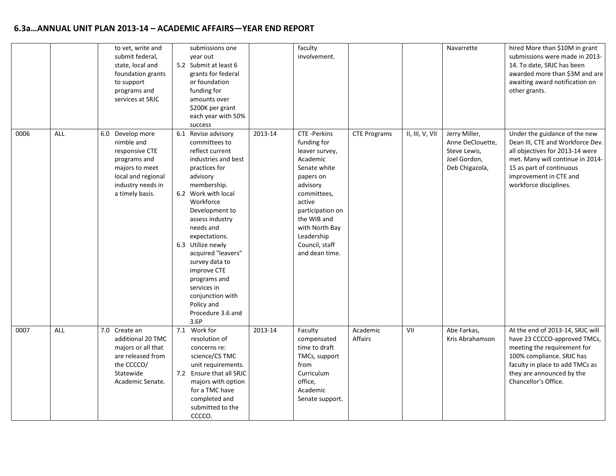# **6.3a…ANNUAL UNIT PLAN 2013-14 – ACADEMIC AFFAIRS—YEAR END REPORT**

|      |            | to vet, write and<br>submit federal,<br>state, local and<br>foundation grants<br>to support<br>programs and<br>services at SRJC                  | submissions one<br>vear out<br>5.2 Submit at least 6<br>grants for federal<br>or foundation<br>funding for<br>amounts over<br>\$200K per grant<br>each year with 50%<br>success                                                                                                                                                                                                                             |         | faculty<br>involvement.                                                                                                                                                                                                                  |                     |                 | Navarrette                                                                          | hired More than \$10M in grant<br>submissions were made in 2013-<br>14. To date, SRJC has been<br>awarded more than \$3M and are<br>awaiting award notification on<br>other grants.                                      |
|------|------------|--------------------------------------------------------------------------------------------------------------------------------------------------|-------------------------------------------------------------------------------------------------------------------------------------------------------------------------------------------------------------------------------------------------------------------------------------------------------------------------------------------------------------------------------------------------------------|---------|------------------------------------------------------------------------------------------------------------------------------------------------------------------------------------------------------------------------------------------|---------------------|-----------------|-------------------------------------------------------------------------------------|--------------------------------------------------------------------------------------------------------------------------------------------------------------------------------------------------------------------------|
| 0006 | ALL        | 6.0 Develop more<br>nimble and<br>responsive CTE<br>programs and<br>majors to meet<br>local and regional<br>industry needs in<br>a timely basis. | 6.1 Revise advisory<br>committees to<br>reflect current<br>industries and best<br>practices for<br>advisory<br>membership.<br>6.2 Work with local<br>Workforce<br>Development to<br>assess industry<br>needs and<br>expectations.<br>6.3 Utilize newly<br>acquired "leavers"<br>survey data to<br>improve CTE<br>programs and<br>services in<br>conjunction with<br>Policy and<br>Procedure 3.6 and<br>3.6P | 2013-14 | <b>CTE-Perkins</b><br>funding for<br>leaver survey,<br>Academic<br>Senate white<br>papers on<br>advisory<br>committees,<br>active<br>participation on<br>the WIB and<br>with North Bay<br>Leadership<br>Council, staff<br>and dean time. | <b>CTE Programs</b> | II, III, V, VII | Jerry Miller,<br>Anne DeClouette,<br>Steve Lewis,<br>Joel Gordon,<br>Deb Chigazola, | Under the guidance of the new<br>Dean III, CTE and Workforce Dev.<br>all objectives for 2013-14 were<br>met. Many will continue in 2014-<br>15 as part of continuous<br>improvement in CTE and<br>workforce disciplines. |
| 0007 | <b>ALL</b> | 7.0 Create an<br>additional 20 TMC<br>majors or all that<br>are released from<br>the CCCCO/<br>Statewide<br>Academic Senate.                     | Work for<br>7.1<br>resolution of<br>concerns re:<br>science/CS TMC<br>unit requirements.<br>7.2 Ensure that all SRJC<br>majors with option<br>for a TMC have<br>completed and<br>submitted to the<br>CCCCO.                                                                                                                                                                                                 | 2013-14 | Faculty<br>compensated<br>time to draft<br>TMCs, support<br>from<br>Curriculum<br>office,<br>Academic<br>Senate support.                                                                                                                 | Academic<br>Affairs | VII             | Abe Farkas,<br>Kris Abrahamson                                                      | At the end of 2013-14, SRJC will<br>have 23 CCCCO-approved TMCs,<br>meeting the requirement for<br>100% compliance. SRJC has<br>faculty in place to add TMCs as<br>they are announced by the<br>Chancellor's Office.     |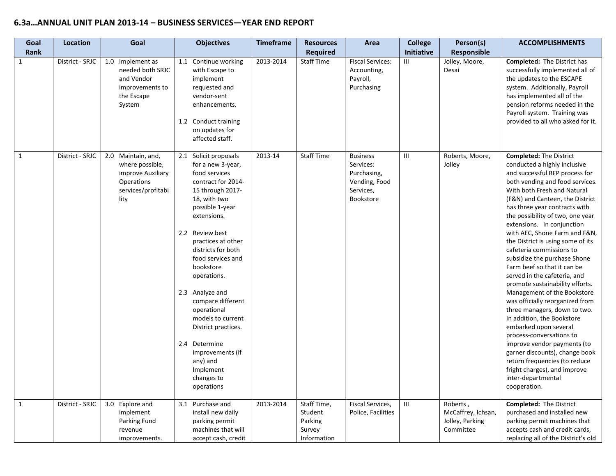| Goal<br>Rank | Location        | Goal                                                                                                   | <b>Objectives</b>                                                                                                                                                                                                                                                                                                                                                                                                                                                    | <b>Timeframe</b> | <b>Resources</b><br><b>Required</b>                        | Area                                                                                   | <b>College</b><br>Initiative | Person(s)<br><b>Responsible</b>                                | <b>ACCOMPLISHMENTS</b>                                                                                                                                                                                                                                                                                                                                                                                                                                                                                                                                                                                                                                                                                                                                                                                                                                                                                    |
|--------------|-----------------|--------------------------------------------------------------------------------------------------------|----------------------------------------------------------------------------------------------------------------------------------------------------------------------------------------------------------------------------------------------------------------------------------------------------------------------------------------------------------------------------------------------------------------------------------------------------------------------|------------------|------------------------------------------------------------|----------------------------------------------------------------------------------------|------------------------------|----------------------------------------------------------------|-----------------------------------------------------------------------------------------------------------------------------------------------------------------------------------------------------------------------------------------------------------------------------------------------------------------------------------------------------------------------------------------------------------------------------------------------------------------------------------------------------------------------------------------------------------------------------------------------------------------------------------------------------------------------------------------------------------------------------------------------------------------------------------------------------------------------------------------------------------------------------------------------------------|
| $\mathbf{1}$ | District - SRJC | 1.0 Implement as<br>needed both SRJC<br>and Vendor<br>improvements to<br>the Escape<br>System          | 1.1 Continue working<br>with Escape to<br>implement<br>requested and<br>vendor-sent<br>enhancements.<br>1.2 Conduct training<br>on updates for<br>affected staff.                                                                                                                                                                                                                                                                                                    | 2013-2014        | <b>Staff Time</b>                                          | <b>Fiscal Services:</b><br>Accounting,<br>Payroll,<br>Purchasing                       | $\mathbf{III}$               | Jolley, Moore,<br>Desai                                        | <b>Completed:</b> The District has<br>successfully implemented all of<br>the updates to the ESCAPE<br>system. Additionally, Payroll<br>has implemented all of the<br>pension reforms needed in the<br>Payroll system. Training was<br>provided to all who asked for it.                                                                                                                                                                                                                                                                                                                                                                                                                                                                                                                                                                                                                                   |
| $\mathbf{1}$ | District - SRJC | 2.0 Maintain, and,<br>where possible,<br>improve Auxiliary<br>Operations<br>services/profitabi<br>lity | 2.1 Solicit proposals<br>for a new 3-year,<br>food services<br>contract for 2014-<br>15 through 2017-<br>18, with two<br>possible 1-year<br>extensions.<br>2.2 Review best<br>practices at other<br>districts for both<br>food services and<br>bookstore<br>operations.<br>2.3 Analyze and<br>compare different<br>operational<br>models to current<br>District practices.<br>2.4 Determine<br>improvements (if<br>any) and<br>Implement<br>changes to<br>operations | 2013-14          | <b>Staff Time</b>                                          | <b>Business</b><br>Services:<br>Purchasing,<br>Vending, Food<br>Services,<br>Bookstore | Ш                            | Roberts, Moore,<br>Jolley                                      | <b>Completed: The District</b><br>conducted a highly inclusive<br>and successful RFP process for<br>both vending and food services.<br>With both Fresh and Natural<br>(F&N) and Canteen, the District<br>has three year contracts with<br>the possibility of two, one year<br>extensions. In conjunction<br>with AEC, Shone Farm and F&N,<br>the District is using some of its<br>cafeteria commissions to<br>subsidize the purchase Shone<br>Farm beef so that it can be<br>served in the cafeteria, and<br>promote sustainability efforts.<br>Management of the Bookstore<br>was officially reorganized from<br>three managers, down to two.<br>In addition, the Bookstore<br>embarked upon several<br>process-conversations to<br>improve vendor payments (to<br>garner discounts), change book<br>return frequencies (to reduce<br>fright charges), and improve<br>inter-departmental<br>cooperation. |
| $\mathbf{1}$ | District - SRJC | 3.0 Explore and<br>implement<br>Parking Fund<br>revenue<br>improvements.                               | 3.1<br>Purchase and<br>install new daily<br>parking permit<br>machines that will<br>accept cash, credit                                                                                                                                                                                                                                                                                                                                                              | 2013-2014        | Staff Time,<br>Student<br>Parking<br>Survey<br>Information | Fiscal Services,<br>Police, Facilities                                                 | $\mathbf{III}$               | Roberts,<br>McCaffrey, Ichsan,<br>Jolley, Parking<br>Committee | <b>Completed: The District</b><br>purchased and installed new<br>parking permit machines that<br>accepts cash and credit cards,<br>replacing all of the District's old                                                                                                                                                                                                                                                                                                                                                                                                                                                                                                                                                                                                                                                                                                                                    |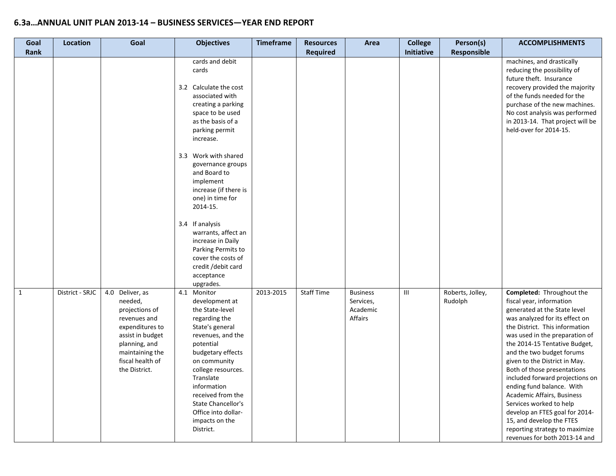| Goal<br>Rank | Location        | Goal                                                                                                                                                                         | <b>Objectives</b>                                                                                                                                                                                                                                                                                                        | <b>Timeframe</b> | <b>Resources</b><br><b>Required</b> | Area                                                | <b>College</b><br>Initiative     | Person(s)<br>Responsible    | <b>ACCOMPLISHMENTS</b>                                                                                                                                                                                                                                                                                                                                                                                                                                                                                                                                                              |
|--------------|-----------------|------------------------------------------------------------------------------------------------------------------------------------------------------------------------------|--------------------------------------------------------------------------------------------------------------------------------------------------------------------------------------------------------------------------------------------------------------------------------------------------------------------------|------------------|-------------------------------------|-----------------------------------------------------|----------------------------------|-----------------------------|-------------------------------------------------------------------------------------------------------------------------------------------------------------------------------------------------------------------------------------------------------------------------------------------------------------------------------------------------------------------------------------------------------------------------------------------------------------------------------------------------------------------------------------------------------------------------------------|
|              |                 |                                                                                                                                                                              | cards and debit<br>cards<br>3.2 Calculate the cost<br>associated with<br>creating a parking<br>space to be used<br>as the basis of a<br>parking permit<br>increase.                                                                                                                                                      |                  |                                     |                                                     |                                  |                             | machines, and drastically<br>reducing the possibility of<br>future theft. Insurance<br>recovery provided the majority<br>of the funds needed for the<br>purchase of the new machines.<br>No cost analysis was performed<br>in 2013-14. That project will be<br>held-over for 2014-15.                                                                                                                                                                                                                                                                                               |
|              |                 |                                                                                                                                                                              | 3.3 Work with shared<br>governance groups<br>and Board to<br>implement<br>increase (if there is<br>one) in time for<br>2014-15.<br>3.4 If analysis                                                                                                                                                                       |                  |                                     |                                                     |                                  |                             |                                                                                                                                                                                                                                                                                                                                                                                                                                                                                                                                                                                     |
|              |                 |                                                                                                                                                                              | warrants, affect an<br>increase in Daily<br>Parking Permits to<br>cover the costs of<br>credit /debit card<br>acceptance<br>upgrades.                                                                                                                                                                                    |                  |                                     |                                                     |                                  |                             |                                                                                                                                                                                                                                                                                                                                                                                                                                                                                                                                                                                     |
| $\mathbf{1}$ | District - SRJC | 4.0 Deliver, as<br>needed,<br>projections of<br>revenues and<br>expenditures to<br>assist in budget<br>planning, and<br>maintaining the<br>fiscal health of<br>the District. | Monitor<br>4.1<br>development at<br>the State-level<br>regarding the<br>State's general<br>revenues, and the<br>potential<br>budgetary effects<br>on community<br>college resources.<br>Translate<br>information<br>received from the<br><b>State Chancellor's</b><br>Office into dollar-<br>impacts on the<br>District. | 2013-2015        | <b>Staff Time</b>                   | <b>Business</b><br>Services,<br>Academic<br>Affairs | $\mathop{\mathsf{III}}\nolimits$ | Roberts, Jolley,<br>Rudolph | Completed: Throughout the<br>fiscal year, information<br>generated at the State level<br>was analyzed for its effect on<br>the District. This information<br>was used in the preparation of<br>the 2014-15 Tentative Budget,<br>and the two budget forums<br>given to the District in May.<br>Both of those presentations<br>included forward projections on<br>ending fund balance. With<br>Academic Affairs, Business<br>Services worked to help<br>develop an FTES goal for 2014-<br>15, and develop the FTES<br>reporting strategy to maximize<br>revenues for both 2013-14 and |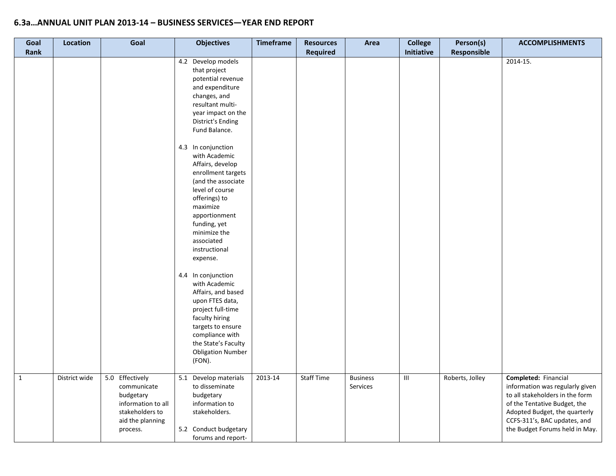| Goal<br><b>Rank</b> | Location      | Goal                                                                                                                 | <b>Objectives</b>                                                                                                                                                                                                         | <b>Timeframe</b> | <b>Resources</b><br><b>Required</b> | Area                        | <b>College</b><br>Initiative       | Person(s)<br>Responsible | <b>ACCOMPLISHMENTS</b>                                                                                                                                                                                                        |
|---------------------|---------------|----------------------------------------------------------------------------------------------------------------------|---------------------------------------------------------------------------------------------------------------------------------------------------------------------------------------------------------------------------|------------------|-------------------------------------|-----------------------------|------------------------------------|--------------------------|-------------------------------------------------------------------------------------------------------------------------------------------------------------------------------------------------------------------------------|
|                     |               |                                                                                                                      | 4.2 Develop models<br>that project<br>potential revenue<br>and expenditure<br>changes, and<br>resultant multi-<br>year impact on the<br><b>District's Ending</b><br>Fund Balance.<br>4.3 In conjunction                   |                  |                                     |                             |                                    |                          | 2014-15.                                                                                                                                                                                                                      |
|                     |               |                                                                                                                      | with Academic<br>Affairs, develop<br>enrollment targets<br>(and the associate<br>level of course<br>offerings) to<br>maximize<br>apportionment<br>funding, yet<br>minimize the<br>associated<br>instructional<br>expense. |                  |                                     |                             |                                    |                          |                                                                                                                                                                                                                               |
|                     |               |                                                                                                                      | 4.4 In conjunction<br>with Academic<br>Affairs, and based<br>upon FTES data,<br>project full-time<br>faculty hiring<br>targets to ensure<br>compliance with<br>the State's Faculty<br><b>Obligation Number</b><br>(FON).  |                  |                                     |                             |                                    |                          |                                                                                                                                                                                                                               |
| $\mathbf{1}$        | District wide | 5.0 Effectively<br>communicate<br>budgetary<br>information to all<br>stakeholders to<br>aid the planning<br>process. | 5.1<br>Develop materials<br>to disseminate<br>budgetary<br>information to<br>stakeholders.<br>5.2 Conduct budgetary<br>forums and report-                                                                                 | 2013-14          | <b>Staff Time</b>                   | <b>Business</b><br>Services | $\ensuremath{\mathsf{III}}\xspace$ | Roberts, Jolley          | Completed: Financial<br>information was regularly given<br>to all stakeholders in the form<br>of the Tentative Budget, the<br>Adopted Budget, the quarterly<br>CCFS-311's, BAC updates, and<br>the Budget Forums held in May. |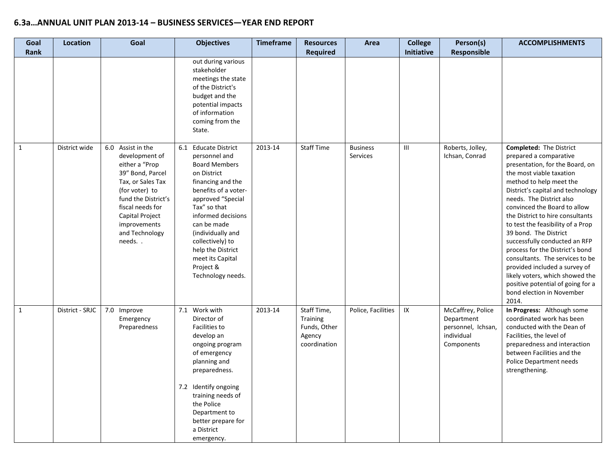| Goal<br>Rank | <b>Location</b> | Goal                                                                                                                                                                                                                      | <b>Objectives</b>                                                                                                                                                                                                                                                                                                                 | <b>Timeframe</b> | <b>Resources</b><br><b>Required</b>                               | Area                        | <b>College</b><br><b>Initiative</b> | Person(s)<br><b>Responsible</b>                                                   | <b>ACCOMPLISHMENTS</b>                                                                                                                                                                                                                                                                                                                                                                                                                                                                                                                                                                                      |
|--------------|-----------------|---------------------------------------------------------------------------------------------------------------------------------------------------------------------------------------------------------------------------|-----------------------------------------------------------------------------------------------------------------------------------------------------------------------------------------------------------------------------------------------------------------------------------------------------------------------------------|------------------|-------------------------------------------------------------------|-----------------------------|-------------------------------------|-----------------------------------------------------------------------------------|-------------------------------------------------------------------------------------------------------------------------------------------------------------------------------------------------------------------------------------------------------------------------------------------------------------------------------------------------------------------------------------------------------------------------------------------------------------------------------------------------------------------------------------------------------------------------------------------------------------|
|              |                 |                                                                                                                                                                                                                           | out during various<br>stakeholder<br>meetings the state<br>of the District's<br>budget and the<br>potential impacts<br>of information<br>coming from the<br>State.                                                                                                                                                                |                  |                                                                   |                             |                                     |                                                                                   |                                                                                                                                                                                                                                                                                                                                                                                                                                                                                                                                                                                                             |
| $\mathbf{1}$ | District wide   | 6.0 Assist in the<br>development of<br>either a "Prop<br>39" Bond, Parcel<br>Tax, or Sales Tax<br>(for voter) to<br>fund the District's<br>fiscal needs for<br>Capital Project<br>improvements<br>and Technology<br>needs | <b>Educate District</b><br>6.1<br>personnel and<br><b>Board Members</b><br>on District<br>financing and the<br>benefits of a voter-<br>approved "Special<br>Tax" so that<br>informed decisions<br>can be made<br>(individually and<br>collectively) to<br>help the District<br>meet its Capital<br>Project &<br>Technology needs. | 2013-14          | <b>Staff Time</b>                                                 | <b>Business</b><br>Services | Ш                                   | Roberts, Jolley,<br>Ichsan, Conrad                                                | <b>Completed: The District</b><br>prepared a comparative<br>presentation, for the Board, on<br>the most viable taxation<br>method to help meet the<br>District's capital and technology<br>needs. The District also<br>convinced the Board to allow<br>the District to hire consultants<br>to test the feasibility of a Prop<br>39 bond. The District<br>successfully conducted an RFP<br>process for the District's bond<br>consultants. The services to be<br>provided included a survey of<br>likely voters, which showed the<br>positive potential of going for a<br>bond election in November<br>2014. |
| $\mathbf{1}$ | District - SRJC | 7.0 Improve<br>Emergency<br>Preparedness                                                                                                                                                                                  | Work with<br>7.1<br>Director of<br><b>Facilities to</b><br>develop an<br>ongoing program<br>of emergency<br>planning and<br>preparedness.<br>7.2 Identify ongoing<br>training needs of<br>the Police<br>Department to<br>better prepare for<br>a District<br>emergency.                                                           | 2013-14          | Staff Time,<br>Training<br>Funds, Other<br>Agency<br>coordination | Police, Facilities          | IX                                  | McCaffrey, Police<br>Department<br>personnel, Ichsan,<br>individual<br>Components | In Progress: Although some<br>coordinated work has been<br>conducted with the Dean of<br>Facilities, the level of<br>preparedness and interaction<br>between Facilities and the<br>Police Department needs<br>strengthening.                                                                                                                                                                                                                                                                                                                                                                                |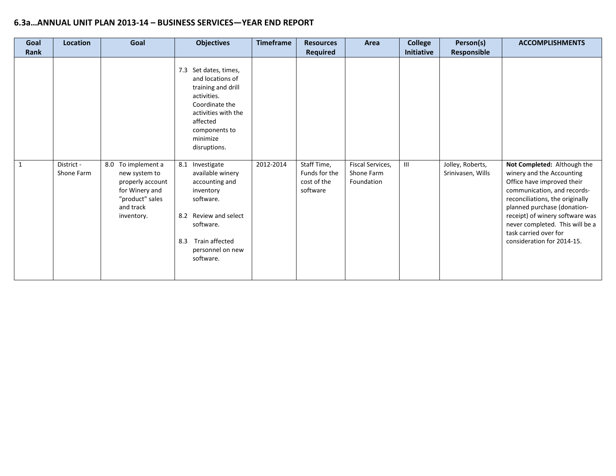| Goal         | Location                 | Goal                                                                                                                    | <b>Objectives</b>                                                                                                                                                                                                                                                                                                                                         | <b>Timeframe</b> | <b>Resources</b>                                        | Area                                         | <b>College</b> | Person(s)                             | <b>ACCOMPLISHMENTS</b>                                                                                                                                                                                                                                                                                               |
|--------------|--------------------------|-------------------------------------------------------------------------------------------------------------------------|-----------------------------------------------------------------------------------------------------------------------------------------------------------------------------------------------------------------------------------------------------------------------------------------------------------------------------------------------------------|------------------|---------------------------------------------------------|----------------------------------------------|----------------|---------------------------------------|----------------------------------------------------------------------------------------------------------------------------------------------------------------------------------------------------------------------------------------------------------------------------------------------------------------------|
| <b>Rank</b>  |                          |                                                                                                                         |                                                                                                                                                                                                                                                                                                                                                           |                  | <b>Required</b>                                         |                                              | Initiative     | <b>Responsible</b>                    |                                                                                                                                                                                                                                                                                                                      |
| $\mathbf{1}$ | District -<br>Shone Farm | 8.0 To implement a<br>new system to<br>properly account<br>for Winery and<br>"product" sales<br>and track<br>inventory. | 7.3 Set dates, times,<br>and locations of<br>training and drill<br>activities.<br>Coordinate the<br>activities with the<br>affected<br>components to<br>minimize<br>disruptions.<br>8.1<br>Investigate<br>available winery<br>accounting and<br>inventory<br>software.<br>8.2 Review and select<br>software.<br>Train affected<br>8.3<br>personnel on new | 2012-2014        | Staff Time,<br>Funds for the<br>cost of the<br>software | Fiscal Services,<br>Shone Farm<br>Foundation | Ш              | Jolley, Roberts,<br>Srinivasen, Wills | Not Completed: Although the<br>winery and the Accounting<br>Office have improved their<br>communication, and records-<br>reconciliations, the originally<br>planned purchase (donation-<br>receipt) of winery software was<br>never completed. This will be a<br>task carried over for<br>consideration for 2014-15. |
|              |                          |                                                                                                                         | software.                                                                                                                                                                                                                                                                                                                                                 |                  |                                                         |                                              |                |                                       |                                                                                                                                                                                                                                                                                                                      |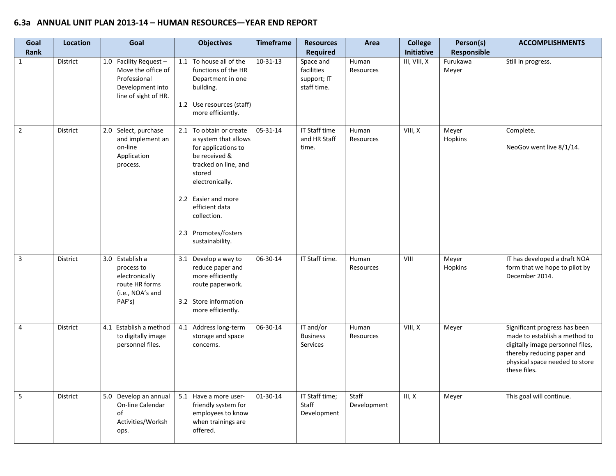#### **6.3a ANNUAL UNIT PLAN 2013-14 – HUMAN RESOURCES—YEAR END REPORT**

| Goal<br><b>Rank</b> | <b>Location</b> | Goal                                                                                                     | <b>Objectives</b>                                                                                                                                                                                                                               | <b>Timeframe</b> | <b>Resources</b><br><b>Required</b>                   | Area                 | <b>College</b><br>Initiative | Person(s)<br>Responsible | <b>ACCOMPLISHMENTS</b>                                                                                                                                                             |
|---------------------|-----------------|----------------------------------------------------------------------------------------------------------|-------------------------------------------------------------------------------------------------------------------------------------------------------------------------------------------------------------------------------------------------|------------------|-------------------------------------------------------|----------------------|------------------------------|--------------------------|------------------------------------------------------------------------------------------------------------------------------------------------------------------------------------|
| $\mathbf{1}$        | District        | 1.0 Facility Request -<br>Move the office of<br>Professional<br>Development into<br>line of sight of HR. | 1.1 To house all of the<br>functions of the HR<br>Department in one<br>building.<br>1.2 Use resources (staff)<br>more efficiently.                                                                                                              | $10-31-13$       | Space and<br>facilities<br>support; IT<br>staff time. | Human<br>Resources   | III, VIII, X                 | Furukawa<br>Meyer        | Still in progress.                                                                                                                                                                 |
| $\overline{2}$      | <b>District</b> | 2.0 Select, purchase<br>and implement an<br>on-line<br>Application<br>process.                           | 2.1 To obtain or create<br>a system that allows<br>for applications to<br>be received &<br>tracked on line, and<br>stored<br>electronically.<br>2.2 Easier and more<br>efficient data<br>collection.<br>2.3 Promotes/fosters<br>sustainability. | $05 - 31 - 14$   | <b>IT Staff time</b><br>and HR Staff<br>time.         | Human<br>Resources   | VIII, X                      | Meyer<br>Hopkins         | Complete.<br>NeoGov went live 8/1/14.                                                                                                                                              |
| $\overline{3}$      | District        | 3.0 Establish a<br>process to<br>electronically<br>route HR forms<br>(i.e., NOA's and<br>PAF's)          | 3.1 Develop a way to<br>reduce paper and<br>more efficiently<br>route paperwork.<br>3.2 Store information<br>more efficiently.                                                                                                                  | 06-30-14         | IT Staff time.                                        | Human<br>Resources   | VIII                         | Meyer<br>Hopkins         | IT has developed a draft NOA<br>form that we hope to pilot by<br>December 2014.                                                                                                    |
| 4                   | District        | 4.1 Establish a method<br>to digitally image<br>personnel files.                                         | 4.1 Address long-term<br>storage and space<br>concerns.                                                                                                                                                                                         | 06-30-14         | IT and/or<br><b>Business</b><br>Services              | Human<br>Resources   | VIII, X                      | Meyer                    | Significant progress has been<br>made to establish a method to<br>digitally image personnel files,<br>thereby reducing paper and<br>physical space needed to store<br>these files. |
| $5\phantom{a}$      | District        | 5.0 Develop an annual<br>On-line Calendar<br>of<br>Activities/Worksh<br>ops.                             | 5.1 Have a more user-<br>friendly system for<br>employees to know<br>when trainings are<br>offered.                                                                                                                                             | 01-30-14         | IT Staff time;<br>Staff<br>Development                | Staff<br>Development | III, X                       | Meyer                    | This goal will continue.                                                                                                                                                           |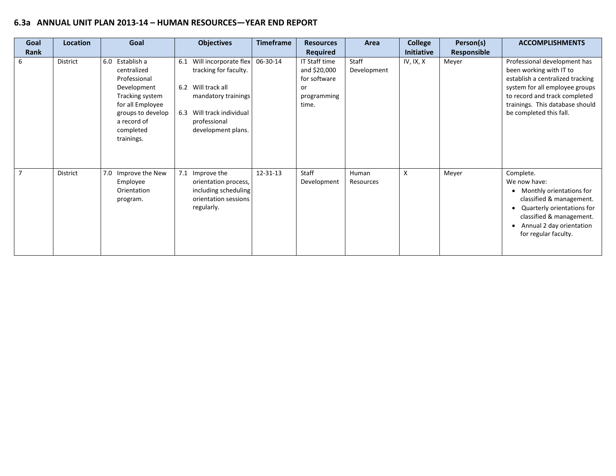#### **6.3a ANNUAL UNIT PLAN 2013-14 – HUMAN RESOURCES—YEAR END REPORT**

| Goal<br>Rank   | <b>Location</b> | Goal                                                                                                                                                                | <b>Objectives</b>                                                                                                                                                        | <b>Timeframe</b> | <b>Resources</b><br><b>Required</b>                                         | Area                 | <b>College</b><br><b>Initiative</b> | Person(s)<br><b>Responsible</b> | <b>ACCOMPLISHMENTS</b>                                                                                                                                                                                                       |
|----------------|-----------------|---------------------------------------------------------------------------------------------------------------------------------------------------------------------|--------------------------------------------------------------------------------------------------------------------------------------------------------------------------|------------------|-----------------------------------------------------------------------------|----------------------|-------------------------------------|---------------------------------|------------------------------------------------------------------------------------------------------------------------------------------------------------------------------------------------------------------------------|
| 6              | District        | 6.0 Establish a<br>centralized<br>Professional<br>Development<br>Tracking system<br>for all Employee<br>groups to develop<br>a record of<br>completed<br>trainings. | Will incorporate flex<br>6.1<br>tracking for faculty.<br>6.2 Will track all<br>mandatory trainings<br>6.3<br>Will track individual<br>professional<br>development plans. | 06-30-14         | IT Staff time<br>and \$20,000<br>for software<br>or<br>programming<br>time. | Staff<br>Development | IV, IX, X                           | Meyer                           | Professional development has<br>been working with IT to<br>establish a centralized tracking<br>system for all employee groups<br>to record and track completed<br>trainings. This database should<br>be completed this fall. |
| $\overline{7}$ | District        | 7.0 Improve the New<br>Employee<br>Orientation<br>program.                                                                                                          | 7.1<br>Improve the<br>orientation process,<br>including scheduling<br>orientation sessions<br>regularly.                                                                 | 12-31-13         | Staff<br>Development                                                        | Human<br>Resources   | X                                   | Meyer                           | Complete.<br>We now have:<br>Monthly orientations for<br>classified & management.<br>Quarterly orientations for<br>classified & management.<br>Annual 2 day orientation<br>for regular faculty.                              |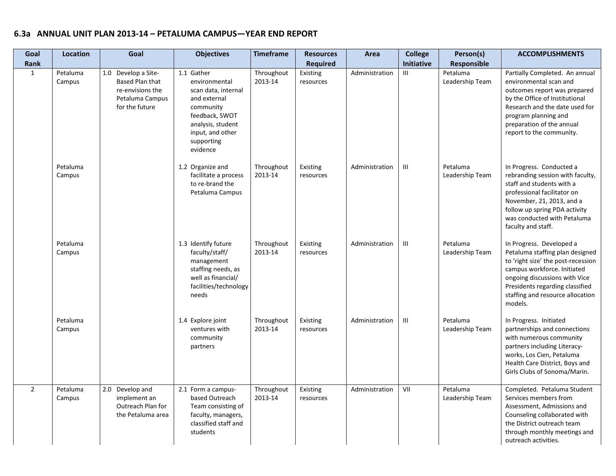| Goal<br>Rank   | <b>Location</b>    | Goal                                                                                                   | <b>Objectives</b>                                                                                                                                                    | <b>Timeframe</b>      | <b>Resources</b><br><b>Required</b> | Area           | <b>College</b><br><b>Initiative</b> | Person(s)<br>Responsible    | <b>ACCOMPLISHMENTS</b>                                                                                                                                                                                                                              |
|----------------|--------------------|--------------------------------------------------------------------------------------------------------|----------------------------------------------------------------------------------------------------------------------------------------------------------------------|-----------------------|-------------------------------------|----------------|-------------------------------------|-----------------------------|-----------------------------------------------------------------------------------------------------------------------------------------------------------------------------------------------------------------------------------------------------|
| $\mathbf{1}$   | Petaluma<br>Campus | 1.0 Develop a Site-<br><b>Based Plan that</b><br>re-envisions the<br>Petaluma Campus<br>for the future | 1.1 Gather<br>environmental<br>scan data, internal<br>and external<br>community<br>feedback, SWOT<br>analysis, student<br>input, and other<br>supporting<br>evidence | Throughout<br>2013-14 | Existing<br>resources               | Administration | Ш                                   | Petaluma<br>Leadership Team | Partially Completed. An annual<br>environmental scan and<br>outcomes report was prepared<br>by the Office of Institutional<br>Research and the date used for<br>program planning and<br>preparation of the annual<br>report to the community.       |
|                | Petaluma<br>Campus |                                                                                                        | 1.2 Organize and<br>facilitate a process<br>to re-brand the<br>Petaluma Campus                                                                                       | Throughout<br>2013-14 | Existing<br>resources               | Administration | Ш                                   | Petaluma<br>Leadership Team | In Progress. Conducted a<br>rebranding session with faculty,<br>staff and students with a<br>professional facilitator on<br>November, 21, 2013, and a<br>follow up spring PDA activity<br>was conducted with Petaluma<br>faculty and staff.         |
|                | Petaluma<br>Campus |                                                                                                        | 1.3 Identify future<br>faculty/staff/<br>management<br>staffing needs, as<br>well as financial/<br>facilities/technology<br>needs                                    | Throughout<br>2013-14 | Existing<br>resources               | Administration | Ш                                   | Petaluma<br>Leadership Team | In Progress. Developed a<br>Petaluma staffing plan designed<br>to 'right size' the post-recession<br>campus workforce. Initiated<br>ongoing discussions with Vice<br>Presidents regarding classified<br>staffing and resource allocation<br>models. |
|                | Petaluma<br>Campus |                                                                                                        | 1.4 Explore joint<br>ventures with<br>community<br>partners                                                                                                          | Throughout<br>2013-14 | Existing<br>resources               | Administration | Ш                                   | Petaluma<br>Leadership Team | In Progress. Initiated<br>partnerships and connections<br>with numerous community<br>partners including Literacy-<br>works, Los Cien, Petaluma<br>Health Care District, Boys and<br>Girls Clubs of Sonoma/Marin.                                    |
| $\overline{2}$ | Petaluma<br>Campus | 2.0 Develop and<br>implement an<br>Outreach Plan for<br>the Petaluma area                              | 2.1 Form a campus-<br>based Outreach<br>Team consisting of<br>faculty, managers,<br>classified staff and<br>students                                                 | Throughout<br>2013-14 | Existing<br>resources               | Administration | VII                                 | Petaluma<br>Leadership Team | Completed. Petaluma Student<br>Services members from<br>Assessment, Admissions and<br>Counseling collaborated with<br>the District outreach team<br>through monthly meetings and<br>outreach activities.                                            |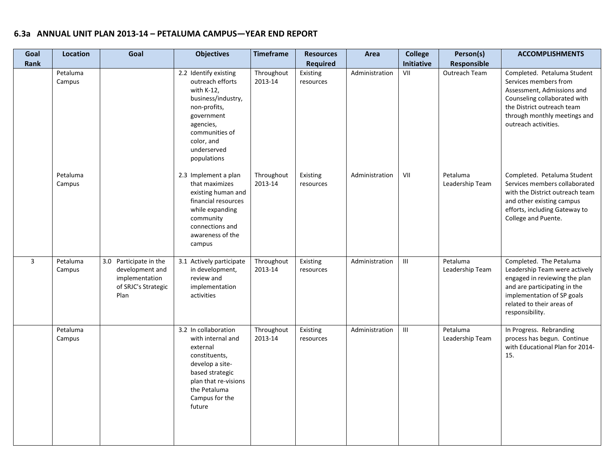| Goal<br>Rank | <b>Location</b>    | Goal                                                                                       | <b>Objectives</b>                                                                                                                                                                      | <b>Timeframe</b>      | <b>Resources</b><br><b>Required</b> | Area           | <b>College</b><br>Initiative | Person(s)<br><b>Responsible</b> | <b>ACCOMPLISHMENTS</b>                                                                                                                                                                                   |
|--------------|--------------------|--------------------------------------------------------------------------------------------|----------------------------------------------------------------------------------------------------------------------------------------------------------------------------------------|-----------------------|-------------------------------------|----------------|------------------------------|---------------------------------|----------------------------------------------------------------------------------------------------------------------------------------------------------------------------------------------------------|
|              | Petaluma<br>Campus |                                                                                            | 2.2 Identify existing<br>outreach efforts<br>with K-12,<br>business/industry,<br>non-profits,<br>government<br>agencies,<br>communities of<br>color, and<br>underserved<br>populations | Throughout<br>2013-14 | Existing<br>resources               | Administration | VII                          | Outreach Team                   | Completed. Petaluma Student<br>Services members from<br>Assessment, Admissions and<br>Counseling collaborated with<br>the District outreach team<br>through monthly meetings and<br>outreach activities. |
|              | Petaluma<br>Campus |                                                                                            | 2.3 Implement a plan<br>that maximizes<br>existing human and<br>financial resources<br>while expanding<br>community<br>connections and<br>awareness of the<br>campus                   | Throughout<br>2013-14 | Existing<br>resources               | Administration | VII                          | Petaluma<br>Leadership Team     | Completed. Petaluma Student<br>Services members collaborated<br>with the District outreach team<br>and other existing campus<br>efforts, including Gateway to<br>College and Puente.                     |
| 3            | Petaluma<br>Campus | 3.0 Participate in the<br>development and<br>implementation<br>of SRJC's Strategic<br>Plan | 3.1 Actively participate<br>in development,<br>review and<br>implementation<br>activities                                                                                              | Throughout<br>2013-14 | Existing<br>resources               | Administration | $\mathbf{III}$               | Petaluma<br>Leadership Team     | Completed. The Petaluma<br>Leadership Team were actively<br>engaged in reviewing the plan<br>and are participating in the<br>implementation of SP goals<br>related to their areas of<br>responsibility.  |
|              | Petaluma<br>Campus |                                                                                            | 3.2 In collaboration<br>with internal and<br>external<br>constituents,<br>develop a site-<br>based strategic<br>plan that re-visions<br>the Petaluma<br>Campus for the<br>future       | Throughout<br>2013-14 | Existing<br>resources               | Administration | III                          | Petaluma<br>Leadership Team     | In Progress. Rebranding<br>process has begun. Continue<br>with Educational Plan for 2014-<br>15.                                                                                                         |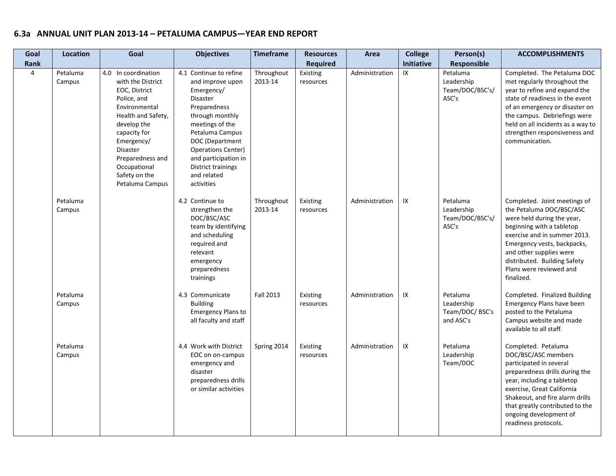| Goal           | <b>Location</b>    | Goal                                                                                                                                                                                                                                                    | <b>Objectives</b>                                                                                                                                                                                                                                                               | <b>Timeframe</b>      | <b>Resources</b>      | Area           | <b>College</b> | Person(s)                                              | <b>ACCOMPLISHMENTS</b>                                                                                                                                                                                                                                                                      |
|----------------|--------------------|---------------------------------------------------------------------------------------------------------------------------------------------------------------------------------------------------------------------------------------------------------|---------------------------------------------------------------------------------------------------------------------------------------------------------------------------------------------------------------------------------------------------------------------------------|-----------------------|-----------------------|----------------|----------------|--------------------------------------------------------|---------------------------------------------------------------------------------------------------------------------------------------------------------------------------------------------------------------------------------------------------------------------------------------------|
| Rank           |                    |                                                                                                                                                                                                                                                         |                                                                                                                                                                                                                                                                                 |                       | <b>Required</b>       |                | Initiative     | Responsible                                            |                                                                                                                                                                                                                                                                                             |
| $\overline{4}$ | Petaluma<br>Campus | 4.0 In coordination<br>with the District<br>EOC, District<br>Police, and<br>Environmental<br>Health and Safety,<br>develop the<br>capacity for<br>Emergency/<br><b>Disaster</b><br>Preparedness and<br>Occupational<br>Safety on the<br>Petaluma Campus | 4.1 Continue to refine<br>and improve upon<br>Emergency/<br><b>Disaster</b><br>Preparedness<br>through monthly<br>meetings of the<br>Petaluma Campus<br>DOC (Department<br><b>Operations Center)</b><br>and participation in<br>District trainings<br>and related<br>activities | Throughout<br>2013-14 | Existing<br>resources | Administration | IX             | Petaluma<br>Leadership<br>Team/DOC/BSC's/<br>ASC's     | Completed. The Petaluma DOC<br>met regularly throughout the<br>year to refine and expand the<br>state of readiness in the event<br>of an emergency or disaster on<br>the campus. Debriefings were<br>held on all incidents as a way to<br>strengthen responsiveness and<br>communication.   |
|                | Petaluma<br>Campus |                                                                                                                                                                                                                                                         | 4.2 Continue to<br>strengthen the<br>DOC/BSC/ASC<br>team by identifying<br>and scheduling<br>required and<br>relevant<br>emergency<br>preparedness<br>trainings                                                                                                                 | Throughout<br>2013-14 | Existing<br>resources | Administration | IX             | Petaluma<br>Leadership<br>Team/DOC/BSC's/<br>ASC's     | Completed. Joint meetings of<br>the Petaluma DOC/BSC/ASC<br>were held during the year,<br>beginning with a tabletop<br>exercise and in summer 2013.<br>Emergency vests, backpacks,<br>and other supplies were<br>distributed. Building Safety<br>Plans were reviewed and<br>finalized.      |
|                | Petaluma<br>Campus |                                                                                                                                                                                                                                                         | 4.3 Communicate<br><b>Building</b><br><b>Emergency Plans to</b><br>all faculty and staff                                                                                                                                                                                        | <b>Fall 2013</b>      | Existing<br>resources | Administration | IX             | Petaluma<br>Leadership<br>Team/DOC/ BSC's<br>and ASC's | Completed. Finalized Building<br>Emergency Plans have been<br>posted to the Petaluma<br>Campus website and made<br>available to all staff.                                                                                                                                                  |
|                | Petaluma<br>Campus |                                                                                                                                                                                                                                                         | 4.4 Work with District<br>EOC on on-campus<br>emergency and<br>disaster<br>preparedness drills<br>or similar activities                                                                                                                                                         | Spring 2014           | Existing<br>resources | Administration | IX             | Petaluma<br>Leadership<br>Team/DOC                     | Completed. Petaluma<br>DOC/BSC/ASC members<br>participated in several<br>preparedness drills during the<br>year, including a tabletop<br>exercise, Great California<br>Shakeout, and fire alarm drills<br>that greatly contributed to the<br>ongoing development of<br>readiness protocols. |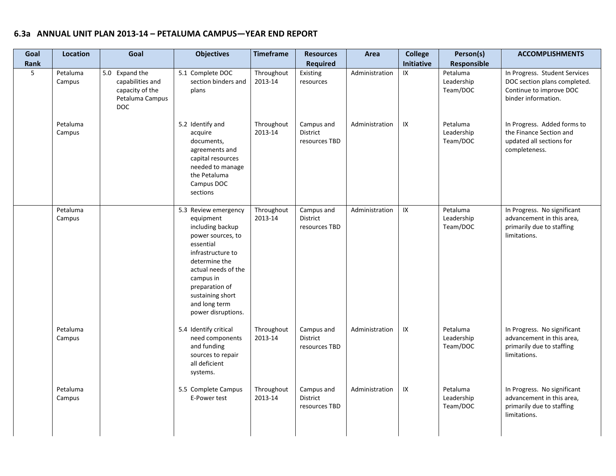| Goal<br>Rank    | <b>Location</b>    | Goal                                                                                   | <b>Objectives</b>                                                                                                                                                                                                                              | <b>Timeframe</b>      | <b>Resources</b><br><b>Required</b>            | Area           | <b>College</b><br>Initiative | Person(s)<br><b>Responsible</b>    | <b>ACCOMPLISHMENTS</b>                                                                                          |
|-----------------|--------------------|----------------------------------------------------------------------------------------|------------------------------------------------------------------------------------------------------------------------------------------------------------------------------------------------------------------------------------------------|-----------------------|------------------------------------------------|----------------|------------------------------|------------------------------------|-----------------------------------------------------------------------------------------------------------------|
| $5\overline{5}$ | Petaluma<br>Campus | 5.0 Expand the<br>capabilities and<br>capacity of the<br>Petaluma Campus<br><b>DOC</b> | 5.1 Complete DOC<br>section binders and<br>plans                                                                                                                                                                                               | Throughout<br>2013-14 | Existing<br>resources                          | Administration | IX                           | Petaluma<br>Leadership<br>Team/DOC | In Progress. Student Services<br>DOC section plans completed.<br>Continue to improve DOC<br>binder information. |
|                 | Petaluma<br>Campus |                                                                                        | 5.2 Identify and<br>acquire<br>documents,<br>agreements and<br>capital resources<br>needed to manage<br>the Petaluma<br>Campus DOC<br>sections                                                                                                 | Throughout<br>2013-14 | Campus and<br><b>District</b><br>resources TBD | Administration | IX                           | Petaluma<br>Leadership<br>Team/DOC | In Progress. Added forms to<br>the Finance Section and<br>updated all sections for<br>completeness.             |
|                 | Petaluma<br>Campus |                                                                                        | 5.3 Review emergency<br>equipment<br>including backup<br>power sources, to<br>essential<br>infrastructure to<br>determine the<br>actual needs of the<br>campus in<br>preparation of<br>sustaining short<br>and long term<br>power disruptions. | Throughout<br>2013-14 | Campus and<br>District<br>resources TBD        | Administration | $\sf IX$                     | Petaluma<br>Leadership<br>Team/DOC | In Progress. No significant<br>advancement in this area,<br>primarily due to staffing<br>limitations.           |
|                 | Petaluma<br>Campus |                                                                                        | 5.4 Identify critical<br>need components<br>and funding<br>sources to repair<br>all deficient<br>systems.                                                                                                                                      | Throughout<br>2013-14 | Campus and<br>District<br>resources TBD        | Administration | ${\sf IX}$                   | Petaluma<br>Leadership<br>Team/DOC | In Progress. No significant<br>advancement in this area,<br>primarily due to staffing<br>limitations.           |
|                 | Petaluma<br>Campus |                                                                                        | 5.5 Complete Campus<br>E-Power test                                                                                                                                                                                                            | Throughout<br>2013-14 | Campus and<br>District<br>resources TBD        | Administration | IX                           | Petaluma<br>Leadership<br>Team/DOC | In Progress. No significant<br>advancement in this area,<br>primarily due to staffing<br>limitations.           |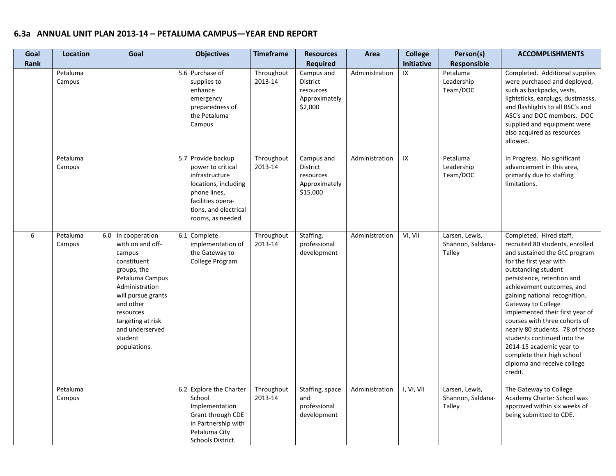| Goal<br><b>Rank</b> | <b>Location</b>    | Goal                                                                                                                                                                                                                                   | <b>Objectives</b>                                                                                                                                                   | <b>Timeframe</b>      | <b>Resources</b><br><b>Required</b>                                     | Area           | <b>College</b><br><b>Initiative</b> | Person(s)<br>Responsible                      | <b>ACCOMPLISHMENTS</b>                                                                                                                                                                                                                                                                                                                                                                                                                                                                                    |
|---------------------|--------------------|----------------------------------------------------------------------------------------------------------------------------------------------------------------------------------------------------------------------------------------|---------------------------------------------------------------------------------------------------------------------------------------------------------------------|-----------------------|-------------------------------------------------------------------------|----------------|-------------------------------------|-----------------------------------------------|-----------------------------------------------------------------------------------------------------------------------------------------------------------------------------------------------------------------------------------------------------------------------------------------------------------------------------------------------------------------------------------------------------------------------------------------------------------------------------------------------------------|
|                     | Petaluma<br>Campus |                                                                                                                                                                                                                                        | 5.6 Purchase of<br>supplies to<br>enhance<br>emergency<br>preparedness of<br>the Petaluma<br>Campus                                                                 | Throughout<br>2013-14 | Campus and<br>District<br>resources<br>Approximately<br>\$2,000         | Administration | IX                                  | Petaluma<br>Leadership<br>Team/DOC            | Completed. Additional supplies<br>were purchased and deployed,<br>such as backpacks, vests,<br>lightsticks, earplugs, dustmasks,<br>and flashlights to all BSC's and<br>ASC's and DOC members. DOC<br>supplied and equipment were<br>also acquired as resources<br>allowed.                                                                                                                                                                                                                               |
|                     | Petaluma<br>Campus |                                                                                                                                                                                                                                        | 5.7 Provide backup<br>power to critical<br>infrastructure<br>locations, including<br>phone lines,<br>facilities opera-<br>tions, and electrical<br>rooms, as needed | Throughout<br>2013-14 | Campus and<br><b>District</b><br>resources<br>Approximately<br>\$15,000 | Administration | IX                                  | Petaluma<br>Leadership<br>Team/DOC            | In Progress. No significant<br>advancement in this area,<br>primarily due to staffing<br>limitations.                                                                                                                                                                                                                                                                                                                                                                                                     |
| 6                   | Petaluma<br>Campus | 6.0 In cooperation<br>with on and off-<br>campus<br>constituent<br>groups, the<br>Petaluma Campus<br>Administration<br>will pursue grants<br>and other<br>resources<br>targeting at risk<br>and underserved<br>student<br>populations. | 6.1 Complete<br>implementation of<br>the Gateway to<br>College Program                                                                                              | Throughout<br>2013-14 | Staffing,<br>professional<br>development                                | Administration | VI, VII                             | Larsen, Lewis,<br>Shannon, Saldana-<br>Talley | Completed. Hired staff,<br>recruited 80 students, enrolled<br>and sustained the GtC program<br>for the first year with<br>outstanding student<br>persistence, retention and<br>achievement outcomes, and<br>gaining national recognition.<br>Gateway to College<br>implemented their first year of<br>courses with three cohorts of<br>nearly 80 students. 78 of those<br>students continued into the<br>2014-15 academic year to<br>complete their high school<br>diploma and receive college<br>credit. |
|                     | Petaluma<br>Campus |                                                                                                                                                                                                                                        | 6.2 Explore the Charter<br>School<br>Implementation<br>Grant through CDE<br>in Partnership with<br>Petaluma City<br>Schools District.                               | Throughout<br>2013-14 | Staffing, space<br>and<br>professional<br>development                   | Administration | I, VI, VII                          | Larsen, Lewis,<br>Shannon, Saldana-<br>Talley | The Gateway to College<br>Academy Charter School was<br>approved within six weeks of<br>being submitted to CDE.                                                                                                                                                                                                                                                                                                                                                                                           |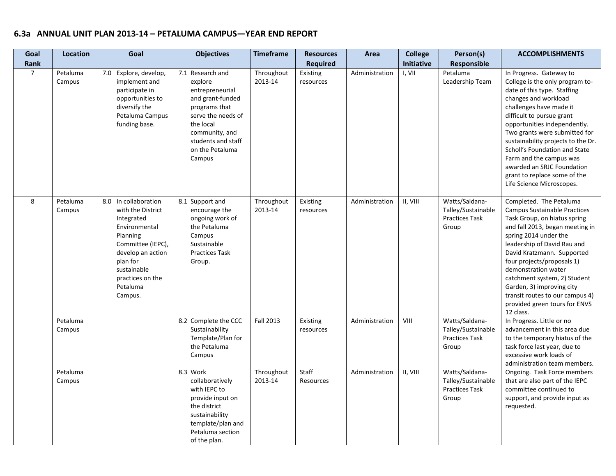| Goal           | Location           | Goal                                                                                                                                                                                                 | <b>Objectives</b>                                                                                                                                                                           | <b>Timeframe</b>      | <b>Resources</b>      | Area           | <b>College</b>    | Person(s)                                                              | <b>ACCOMPLISHMENTS</b>                                                                                                                                                                                                                                                                                                                                                                                                                  |
|----------------|--------------------|------------------------------------------------------------------------------------------------------------------------------------------------------------------------------------------------------|---------------------------------------------------------------------------------------------------------------------------------------------------------------------------------------------|-----------------------|-----------------------|----------------|-------------------|------------------------------------------------------------------------|-----------------------------------------------------------------------------------------------------------------------------------------------------------------------------------------------------------------------------------------------------------------------------------------------------------------------------------------------------------------------------------------------------------------------------------------|
| Rank           |                    |                                                                                                                                                                                                      |                                                                                                                                                                                             |                       | <b>Required</b>       |                | <b>Initiative</b> | Responsible                                                            |                                                                                                                                                                                                                                                                                                                                                                                                                                         |
| $\overline{7}$ | Petaluma<br>Campus | 7.0 Explore, develop,<br>implement and<br>participate in<br>opportunities to<br>diversify the<br>Petaluma Campus<br>funding base.                                                                    | 7.1 Research and<br>explore<br>entrepreneurial<br>and grant-funded<br>programs that<br>serve the needs of<br>the local<br>community, and<br>students and staff<br>on the Petaluma<br>Campus | Throughout<br>2013-14 | Existing<br>resources | Administration | I, VII            | Petaluma<br>Leadership Team                                            | In Progress. Gateway to<br>College is the only program to-<br>date of this type. Staffing<br>changes and workload<br>challenges have made it<br>difficult to pursue grant<br>opportunities independently.<br>Two grants were submitted for<br>sustainability projects to the Dr.<br>Scholl's Foundation and State<br>Farm and the campus was<br>awarded an SRJC Foundation<br>grant to replace some of the<br>Life Science Microscopes. |
| 8              | Petaluma<br>Campus | 8.0 In collaboration<br>with the District<br>Integrated<br>Environmental<br>Planning<br>Committee (IEPC),<br>develop an action<br>plan for<br>sustainable<br>practices on the<br>Petaluma<br>Campus. | 8.1 Support and<br>encourage the<br>ongoing work of<br>the Petaluma<br>Campus<br>Sustainable<br><b>Practices Task</b><br>Group.                                                             | Throughout<br>2013-14 | Existing<br>resources | Administration | II, VIII          | Watts/Saldana-<br>Talley/Sustainable<br><b>Practices Task</b><br>Group | Completed. The Petaluma<br><b>Campus Sustainable Practices</b><br>Task Group, on hiatus spring<br>and fall 2013, began meeting in<br>spring 2014 under the<br>leadership of David Rau and<br>David Kratzmann. Supported<br>four projects/proposals 1)<br>demonstration water<br>catchment system, 2) Student<br>Garden, 3) improving city<br>transit routes to our campus 4)<br>provided green tours for ENVS<br>12 class.              |
|                | Petaluma<br>Campus |                                                                                                                                                                                                      | 8.2 Complete the CCC<br>Sustainability<br>Template/Plan for<br>the Petaluma<br>Campus                                                                                                       | <b>Fall 2013</b>      | Existing<br>resources | Administration | VIII              | Watts/Saldana-<br>Talley/Sustainable<br><b>Practices Task</b><br>Group | In Progress. Little or no<br>advancement in this area due<br>to the temporary hiatus of the<br>task force last year, due to<br>excessive work loads of<br>administration team members.                                                                                                                                                                                                                                                  |
|                | Petaluma<br>Campus |                                                                                                                                                                                                      | 8.3 Work<br>collaboratively<br>with IEPC to<br>provide input on<br>the district<br>sustainability<br>template/plan and<br>Petaluma section<br>of the plan.                                  | Throughout<br>2013-14 | Staff<br>Resources    | Administration | II, VIII          | Watts/Saldana-<br>Talley/Sustainable<br><b>Practices Task</b><br>Group | Ongoing. Task Force members<br>that are also part of the IEPC<br>committee continued to<br>support, and provide input as<br>requested.                                                                                                                                                                                                                                                                                                  |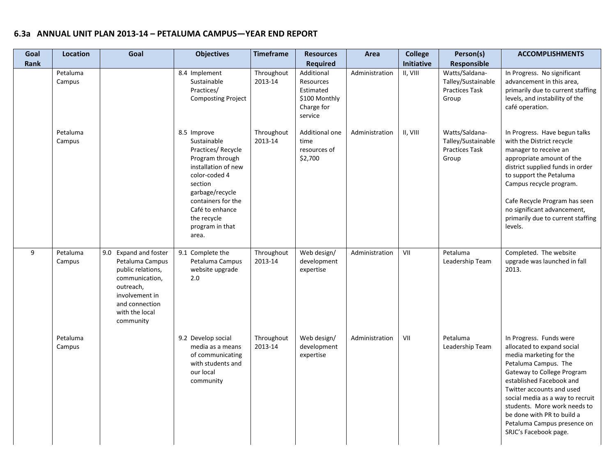| Goal<br><b>Rank</b> | <b>Location</b>    | Goal                                                                                                                                                            | <b>Objectives</b>                                                                                                                                                                                                            | <b>Timeframe</b>      | <b>Resources</b><br><b>Required</b>                                            | Area           | <b>College</b><br>Initiative | Person(s)<br>Responsible                                               | <b>ACCOMPLISHMENTS</b>                                                                                                                                                                                                                                                                                                                                    |
|---------------------|--------------------|-----------------------------------------------------------------------------------------------------------------------------------------------------------------|------------------------------------------------------------------------------------------------------------------------------------------------------------------------------------------------------------------------------|-----------------------|--------------------------------------------------------------------------------|----------------|------------------------------|------------------------------------------------------------------------|-----------------------------------------------------------------------------------------------------------------------------------------------------------------------------------------------------------------------------------------------------------------------------------------------------------------------------------------------------------|
|                     | Petaluma<br>Campus |                                                                                                                                                                 | 8.4 Implement<br>Sustainable<br>Practices/<br><b>Composting Project</b>                                                                                                                                                      | Throughout<br>2013-14 | Additional<br>Resources<br>Estimated<br>\$100 Monthly<br>Charge for<br>service | Administration | II, VIII                     | Watts/Saldana-<br>Talley/Sustainable<br><b>Practices Task</b><br>Group | In Progress. No significant<br>advancement in this area,<br>primarily due to current staffing<br>levels, and instability of the<br>café operation.                                                                                                                                                                                                        |
|                     | Petaluma<br>Campus |                                                                                                                                                                 | 8.5 Improve<br>Sustainable<br>Practices/Recycle<br>Program through<br>installation of new<br>color-coded 4<br>section<br>garbage/recycle<br>containers for the<br>Café to enhance<br>the recycle<br>program in that<br>area. | Throughout<br>2013-14 | Additional one<br>time<br>resources of<br>\$2,700                              | Administration | II, VIII                     | Watts/Saldana-<br>Talley/Sustainable<br><b>Practices Task</b><br>Group | In Progress. Have begun talks<br>with the District recycle<br>manager to receive an<br>appropriate amount of the<br>district supplied funds in order<br>to support the Petaluma<br>Campus recycle program.<br>Cafe Recycle Program has seen<br>no significant advancement,<br>primarily due to current staffing<br>levels.                                |
| 9                   | Petaluma<br>Campus | 9.0 Expand and foster<br>Petaluma Campus<br>public relations,<br>communication,<br>outreach,<br>involvement in<br>and connection<br>with the local<br>community | 9.1 Complete the<br>Petaluma Campus<br>website upgrade<br>2.0                                                                                                                                                                | Throughout<br>2013-14 | Web design/<br>development<br>expertise                                        | Administration | VII                          | Petaluma<br>Leadership Team                                            | Completed. The website<br>upgrade was launched in fall<br>2013.                                                                                                                                                                                                                                                                                           |
|                     | Petaluma<br>Campus |                                                                                                                                                                 | 9.2 Develop social<br>media as a means<br>of communicating<br>with students and<br>our local<br>community                                                                                                                    | Throughout<br>2013-14 | Web design/<br>development<br>expertise                                        | Administration | VII                          | Petaluma<br>Leadership Team                                            | In Progress. Funds were<br>allocated to expand social<br>media marketing for the<br>Petaluma Campus. The<br>Gateway to College Program<br>established Facebook and<br>Twitter accounts and used<br>social media as a way to recruit<br>students. More work needs to<br>be done with PR to build a<br>Petaluma Campus presence on<br>SRJC's Facebook page. |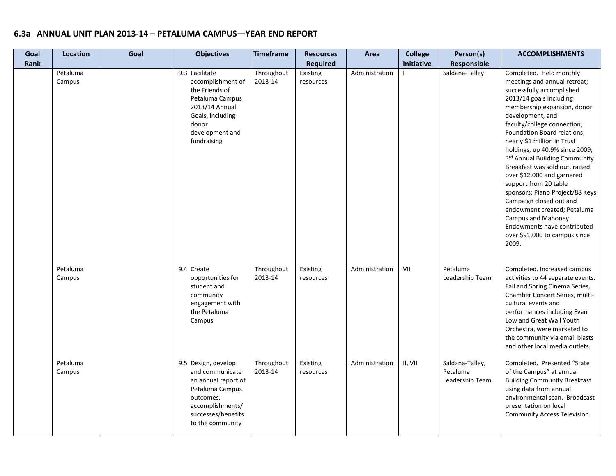| Goal<br>Rank | Location           | Goal | <b>Objectives</b>                                                                                                                                           | <b>Timeframe</b>      | <b>Resources</b><br><b>Required</b> | Area           | <b>College</b><br>Initiative | Person(s)<br>Responsible                       | <b>ACCOMPLISHMENTS</b>                                                                                                                                                                                                                                                                                                                                                                                                                                                                                                                                                                                                         |
|--------------|--------------------|------|-------------------------------------------------------------------------------------------------------------------------------------------------------------|-----------------------|-------------------------------------|----------------|------------------------------|------------------------------------------------|--------------------------------------------------------------------------------------------------------------------------------------------------------------------------------------------------------------------------------------------------------------------------------------------------------------------------------------------------------------------------------------------------------------------------------------------------------------------------------------------------------------------------------------------------------------------------------------------------------------------------------|
|              | Petaluma<br>Campus |      | 9.3 Facilitate<br>accomplishment of<br>the Friends of<br>Petaluma Campus<br>2013/14 Annual<br>Goals, including<br>donor<br>development and<br>fundraising   | Throughout<br>2013-14 | Existing<br>resources               | Administration |                              | Saldana-Talley                                 | Completed. Held monthly<br>meetings and annual retreat;<br>successfully accomplished<br>2013/14 goals including<br>membership expansion, donor<br>development, and<br>faculty/college connection;<br><b>Foundation Board relations;</b><br>nearly \$1 million in Trust<br>holdings, up 40.9% since 2009;<br>3rd Annual Building Community<br>Breakfast was sold out, raised<br>over \$12,000 and garnered<br>support from 20 table<br>sponsors; Piano Project/88 Keys<br>Campaign closed out and<br>endowment created; Petaluma<br>Campus and Mahoney<br>Endowments have contributed<br>over \$91,000 to campus since<br>2009. |
|              | Petaluma<br>Campus |      | 9.4 Create<br>opportunities for<br>student and<br>community<br>engagement with<br>the Petaluma<br>Campus                                                    | Throughout<br>2013-14 | Existing<br>resources               | Administration | VII                          | Petaluma<br>Leadership Team                    | Completed. Increased campus<br>activities to 44 separate events.<br>Fall and Spring Cinema Series,<br>Chamber Concert Series, multi-<br>cultural events and<br>performances including Evan<br>Low and Great Wall Youth<br>Orchestra, were marketed to<br>the community via email blasts<br>and other local media outlets.                                                                                                                                                                                                                                                                                                      |
|              | Petaluma<br>Campus |      | 9.5 Design, develop<br>and communicate<br>an annual report of<br>Petaluma Campus<br>outcomes,<br>accomplishments/<br>successes/benefits<br>to the community | Throughout<br>2013-14 | Existing<br>resources               | Administration | II, VII                      | Saldana-Talley,<br>Petaluma<br>Leadership Team | Completed. Presented "State<br>of the Campus" at annual<br><b>Building Community Breakfast</b><br>using data from annual<br>environmental scan. Broadcast<br>presentation on local<br>Community Access Television.                                                                                                                                                                                                                                                                                                                                                                                                             |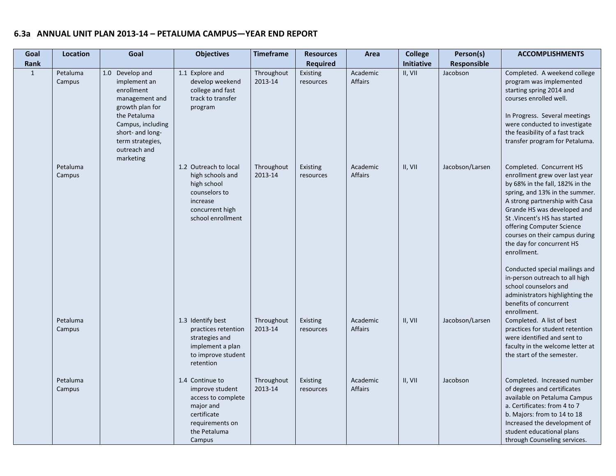| Goal         | Location           | Goal                                                                                                                                                                                         | <b>Objectives</b>                                                                                                                 | <b>Timeframe</b>      | <b>Resources</b>      | Area                | <b>College</b> | Person(s)          | <b>ACCOMPLISHMENTS</b>                                                                                                                                                                                                                                                                                                                                                                                                                                                                                               |
|--------------|--------------------|----------------------------------------------------------------------------------------------------------------------------------------------------------------------------------------------|-----------------------------------------------------------------------------------------------------------------------------------|-----------------------|-----------------------|---------------------|----------------|--------------------|----------------------------------------------------------------------------------------------------------------------------------------------------------------------------------------------------------------------------------------------------------------------------------------------------------------------------------------------------------------------------------------------------------------------------------------------------------------------------------------------------------------------|
| Rank         |                    |                                                                                                                                                                                              |                                                                                                                                   |                       | <b>Required</b>       |                     | Initiative     | <b>Responsible</b> |                                                                                                                                                                                                                                                                                                                                                                                                                                                                                                                      |
| $\mathbf{1}$ | Petaluma<br>Campus | 1.0 Develop and<br>implement an<br>enrollment<br>management and<br>growth plan for<br>the Petaluma<br>Campus, including<br>short- and long-<br>term strategies,<br>outreach and<br>marketing | 1.1 Explore and<br>develop weekend<br>college and fast<br>track to transfer<br>program                                            | Throughout<br>2013-14 | Existing<br>resources | Academic<br>Affairs | II, VII        | Jacobson           | Completed. A weekend college<br>program was implemented<br>starting spring 2014 and<br>courses enrolled well.<br>In Progress. Several meetings<br>were conducted to investigate<br>the feasibility of a fast track<br>transfer program for Petaluma.                                                                                                                                                                                                                                                                 |
|              | Petaluma<br>Campus |                                                                                                                                                                                              | 1.2 Outreach to local<br>high schools and<br>high school<br>counselors to<br>increase<br>concurrent high<br>school enrollment     | Throughout<br>2013-14 | Existing<br>resources | Academic<br>Affairs | II, VII        | Jacobson/Larsen    | Completed. Concurrent HS<br>enrollment grew over last year<br>by 68% in the fall, 182% in the<br>spring, and 13% in the summer.<br>A strong partnership with Casa<br>Grande HS was developed and<br>St. Vincent's HS has started<br>offering Computer Science<br>courses on their campus during<br>the day for concurrent HS<br>enrollment.<br>Conducted special mailings and<br>in-person outreach to all high<br>school counselors and<br>administrators highlighting the<br>benefits of concurrent<br>enrollment. |
|              | Petaluma<br>Campus |                                                                                                                                                                                              | 1.3 Identify best<br>practices retention<br>strategies and<br>implement a plan<br>to improve student<br>retention                 | Throughout<br>2013-14 | Existing<br>resources | Academic<br>Affairs | II, VII        | Jacobson/Larsen    | Completed. A list of best<br>practices for student retention<br>were identified and sent to<br>faculty in the welcome letter at<br>the start of the semester.                                                                                                                                                                                                                                                                                                                                                        |
|              | Petaluma<br>Campus |                                                                                                                                                                                              | 1.4 Continue to<br>improve student<br>access to complete<br>major and<br>certificate<br>requirements on<br>the Petaluma<br>Campus | Throughout<br>2013-14 | Existing<br>resources | Academic<br>Affairs | II, VII        | Jacobson           | Completed. Increased number<br>of degrees and certificates<br>available on Petaluma Campus<br>a. Certificates: from 4 to 7<br>b. Majors: from to 14 to 18<br>Increased the development of<br>student educational plans<br>through Counseling services.                                                                                                                                                                                                                                                               |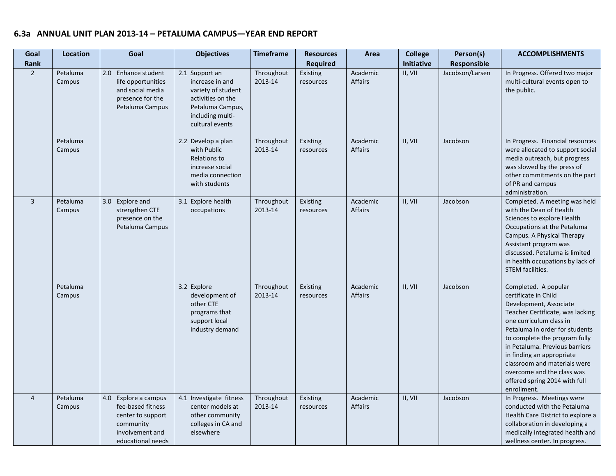| Goal<br>Rank   | <b>Location</b>    | Goal                                                                                                                | <b>Objectives</b>                                                                                                                       | <b>Timeframe</b>      | <b>Resources</b><br><b>Required</b> | Area                       | <b>College</b><br><b>Initiative</b> | Person(s)<br>Responsible | <b>ACCOMPLISHMENTS</b>                                                                                                                                                                                                                                                                                                                                                                |
|----------------|--------------------|---------------------------------------------------------------------------------------------------------------------|-----------------------------------------------------------------------------------------------------------------------------------------|-----------------------|-------------------------------------|----------------------------|-------------------------------------|--------------------------|---------------------------------------------------------------------------------------------------------------------------------------------------------------------------------------------------------------------------------------------------------------------------------------------------------------------------------------------------------------------------------------|
| $\overline{2}$ | Petaluma<br>Campus | 2.0 Enhance student<br>life opportunities<br>and social media<br>presence for the<br>Petaluma Campus                | 2.1 Support an<br>increase in and<br>variety of student<br>activities on the<br>Petaluma Campus,<br>including multi-<br>cultural events | Throughout<br>2013-14 | Existing<br>resources               | Academic<br><b>Affairs</b> | II, VII                             | Jacobson/Larsen          | In Progress. Offered two major<br>multi-cultural events open to<br>the public.                                                                                                                                                                                                                                                                                                        |
|                | Petaluma<br>Campus |                                                                                                                     | 2.2 Develop a plan<br>with Public<br>Relations to<br>increase social<br>media connection<br>with students                               | Throughout<br>2013-14 | Existing<br>resources               | Academic<br>Affairs        | II, VII                             | Jacobson                 | In Progress. Financial resources<br>were allocated to support social<br>media outreach, but progress<br>was slowed by the press of<br>other commitments on the part<br>of PR and campus<br>administration.                                                                                                                                                                            |
| $\overline{3}$ | Petaluma<br>Campus | 3.0 Explore and<br>strengthen CTE<br>presence on the<br>Petaluma Campus                                             | 3.1 Explore health<br>occupations                                                                                                       | Throughout<br>2013-14 | Existing<br>resources               | Academic<br><b>Affairs</b> | II, VII                             | Jacobson                 | Completed. A meeting was held<br>with the Dean of Health<br>Sciences to explore Health<br>Occupations at the Petaluma<br>Campus. A Physical Therapy<br>Assistant program was<br>discussed. Petaluma is limited<br>in health occupations by lack of<br><b>STEM facilities.</b>                                                                                                         |
|                | Petaluma<br>Campus |                                                                                                                     | 3.2 Explore<br>development of<br>other CTE<br>programs that<br>support local<br>industry demand                                         | Throughout<br>2013-14 | Existing<br>resources               | Academic<br>Affairs        | II, VII                             | Jacobson                 | Completed. A popular<br>certificate in Child<br>Development, Associate<br>Teacher Certificate, was lacking<br>one curriculum class in<br>Petaluma in order for students<br>to complete the program fully<br>in Petaluma. Previous barriers<br>in finding an appropriate<br>classroom and materials were<br>overcome and the class was<br>offered spring 2014 with full<br>enrollment. |
| $\overline{4}$ | Petaluma<br>Campus | 4.0 Explore a campus<br>fee-based fitness<br>center to support<br>community<br>involvement and<br>educational needs | 4.1 Investigate fitness<br>center models at<br>other community<br>colleges in CA and<br>elsewhere                                       | Throughout<br>2013-14 | Existing<br>resources               | Academic<br>Affairs        | II, VII                             | Jacobson                 | In Progress. Meetings were<br>conducted with the Petaluma<br>Health Care District to explore a<br>collaboration in developing a<br>medically integrated health and<br>wellness center. In progress.                                                                                                                                                                                   |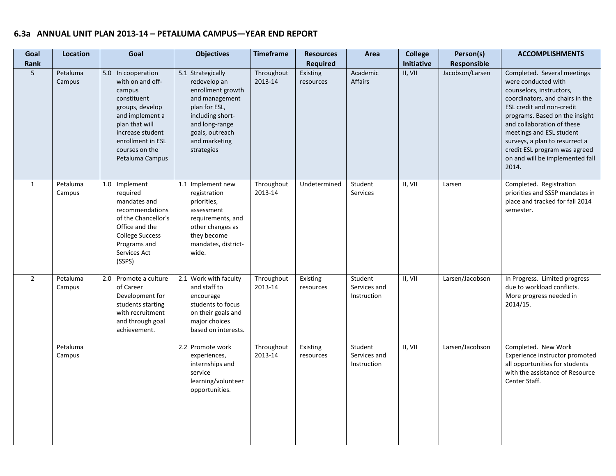| Goal<br>Rank   | <b>Location</b>    | Goal                                                                                                                                                                                                  | <b>Objectives</b>                                                                                                                                                                 | <b>Timeframe</b>      | <b>Resources</b><br><b>Required</b> | Area                                   | <b>College</b><br>Initiative | Person(s)<br>Responsible | <b>ACCOMPLISHMENTS</b>                                                                                                                                                                                                                                                                                                                                           |
|----------------|--------------------|-------------------------------------------------------------------------------------------------------------------------------------------------------------------------------------------------------|-----------------------------------------------------------------------------------------------------------------------------------------------------------------------------------|-----------------------|-------------------------------------|----------------------------------------|------------------------------|--------------------------|------------------------------------------------------------------------------------------------------------------------------------------------------------------------------------------------------------------------------------------------------------------------------------------------------------------------------------------------------------------|
| 5              | Petaluma<br>Campus | 5.0 In cooperation<br>with on and off-<br>campus<br>constituent<br>groups, develop<br>and implement a<br>plan that will<br>increase student<br>enrollment in ESL<br>courses on the<br>Petaluma Campus | 5.1 Strategically<br>redevelop an<br>enrollment growth<br>and management<br>plan for ESL,<br>including short-<br>and long-range<br>goals, outreach<br>and marketing<br>strategies | Throughout<br>2013-14 | Existing<br>resources               | Academic<br><b>Affairs</b>             | II, VII                      | Jacobson/Larsen          | Completed. Several meetings<br>were conducted with<br>counselors, instructors,<br>coordinators, and chairs in the<br><b>ESL credit and non-credit</b><br>programs. Based on the insight<br>and collaboration of these<br>meetings and ESL student<br>surveys, a plan to resurrect a<br>credit ESL program was agreed<br>on and will be implemented fall<br>2014. |
| $\mathbf{1}$   | Petaluma<br>Campus | 1.0 Implement<br>required<br>mandates and<br>recommendations<br>of the Chancellor's<br>Office and the<br><b>College Success</b><br>Programs and<br>Services Act<br>(SSPS)                             | 1.1 Implement new<br>registration<br>priorities,<br>assessment<br>requirements, and<br>other changes as<br>they become<br>mandates, district-<br>wide.                            | Throughout<br>2013-14 | Undetermined                        | Student<br>Services                    | II, VII                      | Larsen                   | Completed. Registration<br>priorities and SSSP mandates in<br>place and tracked for fall 2014<br>semester.                                                                                                                                                                                                                                                       |
| $\overline{2}$ | Petaluma<br>Campus | 2.0 Promote a culture<br>of Career<br>Development for<br>students starting<br>with recruitment<br>and through goal<br>achievement.                                                                    | 2.1 Work with faculty<br>and staff to<br>encourage<br>students to focus<br>on their goals and<br>major choices<br>based on interests.                                             | Throughout<br>2013-14 | Existing<br>resources               | Student<br>Services and<br>Instruction | II, VII                      | Larsen/Jacobson          | In Progress. Limited progress<br>due to workload conflicts.<br>More progress needed in<br>2014/15.                                                                                                                                                                                                                                                               |
|                | Petaluma<br>Campus |                                                                                                                                                                                                       | 2.2 Promote work<br>experiences,<br>internships and<br>service<br>learning/volunteer<br>opportunities.                                                                            | Throughout<br>2013-14 | Existing<br>resources               | Student<br>Services and<br>Instruction | II, VII                      | Larsen/Jacobson          | Completed. New Work<br>Experience instructor promoted<br>all opportunities for students<br>with the assistance of Resource<br>Center Staff.                                                                                                                                                                                                                      |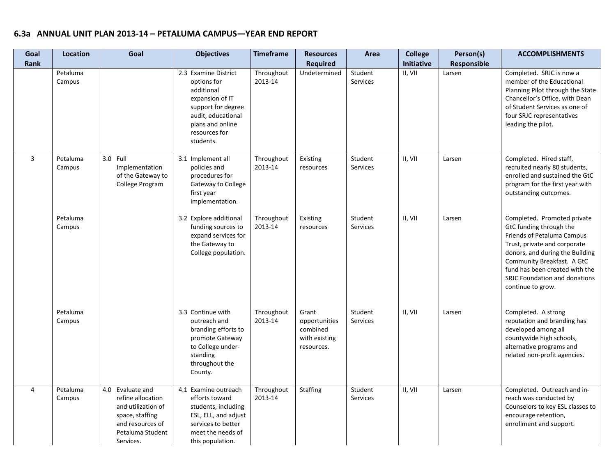| Goal           | Location           | Goal                                                                                                                                | <b>Objectives</b>                                                                                                                                                  | <b>Timeframe</b>      | <b>Resources</b>                                                  | Area                | <b>College</b>               | Person(s)             | <b>ACCOMPLISHMENTS</b>                                                                                                                                                                                                                                                        |
|----------------|--------------------|-------------------------------------------------------------------------------------------------------------------------------------|--------------------------------------------------------------------------------------------------------------------------------------------------------------------|-----------------------|-------------------------------------------------------------------|---------------------|------------------------------|-----------------------|-------------------------------------------------------------------------------------------------------------------------------------------------------------------------------------------------------------------------------------------------------------------------------|
| Rank           | Petaluma<br>Campus |                                                                                                                                     | 2.3 Examine District<br>options for<br>additional<br>expansion of IT<br>support for degree<br>audit, educational<br>plans and online<br>resources for<br>students. | Throughout<br>2013-14 | <b>Required</b><br>Undetermined                                   | Student<br>Services | <b>Initiative</b><br>II, VII | Responsible<br>Larsen | Completed. SRJC is now a<br>member of the Educational<br>Planning Pilot through the State<br>Chancellor's Office, with Dean<br>of Student Services as one of<br>four SRJC representatives<br>leading the pilot.                                                               |
| $\overline{3}$ | Petaluma<br>Campus | 3.0 Full<br>Implementation<br>of the Gateway to<br>College Program                                                                  | 3.1 Implement all<br>policies and<br>procedures for<br>Gateway to College<br>first year<br>implementation.                                                         | Throughout<br>2013-14 | Existing<br>resources                                             | Student<br>Services | II, VII                      | Larsen                | Completed. Hired staff,<br>recruited nearly 80 students,<br>enrolled and sustained the GtC<br>program for the first year with<br>outstanding outcomes.                                                                                                                        |
|                | Petaluma<br>Campus |                                                                                                                                     | 3.2 Explore additional<br>funding sources to<br>expand services for<br>the Gateway to<br>College population.                                                       | Throughout<br>2013-14 | Existing<br>resources                                             | Student<br>Services | II, VII                      | Larsen                | Completed. Promoted private<br>GtC funding through the<br>Friends of Petaluma Campus<br>Trust, private and corporate<br>donors, and during the Building<br>Community Breakfast. A GtC<br>fund has been created with the<br>SRJC Foundation and donations<br>continue to grow. |
|                | Petaluma<br>Campus |                                                                                                                                     | 3.3 Continue with<br>outreach and<br>branding efforts to<br>promote Gateway<br>to College under-<br>standing<br>throughout the<br>County.                          | Throughout<br>2013-14 | Grant<br>opportunities<br>combined<br>with existing<br>resources. | Student<br>Services | II, VII                      | Larsen                | Completed. A strong<br>reputation and branding has<br>developed among all<br>countywide high schools,<br>alternative programs and<br>related non-profit agencies.                                                                                                             |
| $\overline{4}$ | Petaluma<br>Campus | 4.0 Evaluate and<br>refine allocation<br>and utilization of<br>space, staffing<br>and resources of<br>Petaluma Student<br>Services. | 4.1 Examine outreach<br>efforts toward<br>students, including<br>ESL, ELL, and adjust<br>services to better<br>meet the needs of<br>this population.               | Throughout<br>2013-14 | Staffing                                                          | Student<br>Services | II, VII                      | Larsen                | Completed. Outreach and in-<br>reach was conducted by<br>Counselors to key ESL classes to<br>encourage retention,<br>enrollment and support.                                                                                                                                  |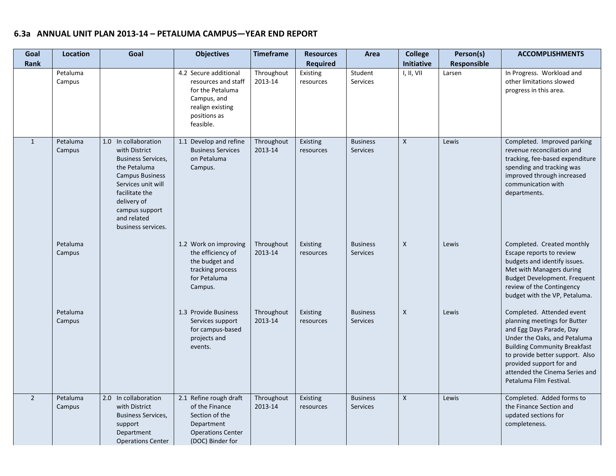| Goal<br>Rank   | Location           | Goal                                                                                                                                                                                                                       | <b>Objectives</b>                                                                                                                | <b>Timeframe</b>      | <b>Resources</b><br><b>Required</b> | Area                               | <b>College</b><br>Initiative | Person(s)<br>Responsible | <b>ACCOMPLISHMENTS</b>                                                                                                                                                                                                                                                                   |
|----------------|--------------------|----------------------------------------------------------------------------------------------------------------------------------------------------------------------------------------------------------------------------|----------------------------------------------------------------------------------------------------------------------------------|-----------------------|-------------------------------------|------------------------------------|------------------------------|--------------------------|------------------------------------------------------------------------------------------------------------------------------------------------------------------------------------------------------------------------------------------------------------------------------------------|
|                | Petaluma<br>Campus |                                                                                                                                                                                                                            | 4.2 Secure additional<br>resources and staff<br>for the Petaluma<br>Campus, and<br>realign existing<br>positions as<br>feasible. | Throughout<br>2013-14 | Existing<br>resources               | Student<br>Services                | I, II, VII                   | Larsen                   | In Progress. Workload and<br>other limitations slowed<br>progress in this area.                                                                                                                                                                                                          |
| $\mathbf{1}$   | Petaluma<br>Campus | 1.0 In collaboration<br>with District<br><b>Business Services,</b><br>the Petaluma<br><b>Campus Business</b><br>Services unit will<br>facilitate the<br>delivery of<br>campus support<br>and related<br>business services. | 1.1 Develop and refine<br><b>Business Services</b><br>on Petaluma<br>Campus.                                                     | Throughout<br>2013-14 | Existing<br>resources               | <b>Business</b><br><b>Services</b> | $\mathsf{X}$                 | Lewis                    | Completed. Improved parking<br>revenue reconciliation and<br>tracking, fee-based expenditure<br>spending and tracking was<br>improved through increased<br>communication with<br>departments.                                                                                            |
|                | Petaluma<br>Campus |                                                                                                                                                                                                                            | 1.2 Work on improving<br>the efficiency of<br>the budget and<br>tracking process<br>for Petaluma<br>Campus.                      | Throughout<br>2013-14 | Existing<br>resources               | <b>Business</b><br><b>Services</b> | X                            | Lewis                    | Completed. Created monthly<br>Escape reports to review<br>budgets and identify issues.<br>Met with Managers during<br><b>Budget Development. Frequent</b><br>review of the Contingency<br>budget with the VP, Petaluma.                                                                  |
|                | Petaluma<br>Campus |                                                                                                                                                                                                                            | 1.3 Provide Business<br>Services support<br>for campus-based<br>projects and<br>events.                                          | Throughout<br>2013-14 | Existing<br>resources               | <b>Business</b><br><b>Services</b> | X                            | Lewis                    | Completed. Attended event<br>planning meetings for Butter<br>and Egg Days Parade, Day<br>Under the Oaks, and Petaluma<br><b>Building Community Breakfast</b><br>to provide better support. Also<br>provided support for and<br>attended the Cinema Series and<br>Petaluma Film Festival. |
| $\overline{2}$ | Petaluma<br>Campus | 2.0 In collaboration<br>with District<br><b>Business Services,</b><br>support<br>Department<br><b>Operations Center</b>                                                                                                    | 2.1 Refine rough draft<br>of the Finance<br>Section of the<br>Department<br><b>Operations Center</b><br>(DOC) Binder for         | Throughout<br>2013-14 | Existing<br>resources               | <b>Business</b><br><b>Services</b> | $\mathsf{X}$                 | Lewis                    | Completed. Added forms to<br>the Finance Section and<br>updated sections for<br>completeness.                                                                                                                                                                                            |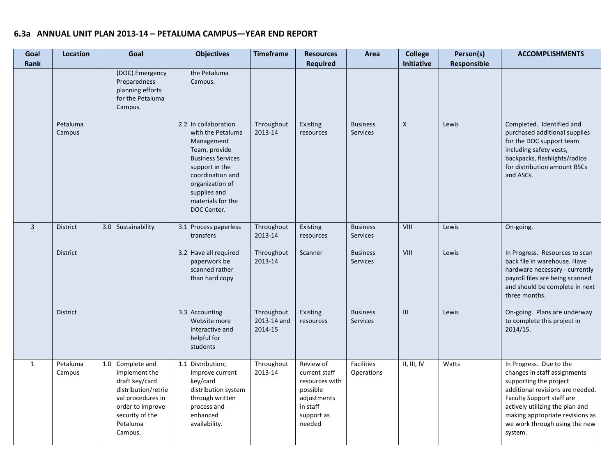| Goal<br>Rank   | <b>Location</b>    | Goal                                                                                                                                                          | <b>Objectives</b>                                                                                                                                                                                                 | <b>Timeframe</b>                     | <b>Resources</b><br><b>Required</b>                                                                         | Area                               | <b>College</b><br><b>Initiative</b> | Person(s)<br>Responsible | <b>ACCOMPLISHMENTS</b>                                                                                                                                                                                                                                               |
|----------------|--------------------|---------------------------------------------------------------------------------------------------------------------------------------------------------------|-------------------------------------------------------------------------------------------------------------------------------------------------------------------------------------------------------------------|--------------------------------------|-------------------------------------------------------------------------------------------------------------|------------------------------------|-------------------------------------|--------------------------|----------------------------------------------------------------------------------------------------------------------------------------------------------------------------------------------------------------------------------------------------------------------|
|                |                    | (DOC) Emergency<br>Preparedness<br>planning efforts<br>for the Petaluma<br>Campus.                                                                            | the Petaluma<br>Campus.                                                                                                                                                                                           |                                      |                                                                                                             |                                    |                                     |                          |                                                                                                                                                                                                                                                                      |
|                | Petaluma<br>Campus |                                                                                                                                                               | 2.2 In collaboration<br>with the Petaluma<br>Management<br>Team, provide<br><b>Business Services</b><br>support in the<br>coordination and<br>organization of<br>supplies and<br>materials for the<br>DOC Center. | Throughout<br>2013-14                | Existing<br>resources                                                                                       | <b>Business</b><br><b>Services</b> | $\mathsf{X}$                        | Lewis                    | Completed. Identified and<br>purchased additional supplies<br>for the DOC support team<br>including safety vests,<br>backpacks, flashlights/radios<br>for distribution amount BSCs<br>and ASCs.                                                                      |
| $\overline{3}$ | <b>District</b>    | 3.0 Sustainability                                                                                                                                            | 3.1 Process paperless<br>transfers                                                                                                                                                                                | Throughout<br>2013-14                | Existing<br>resources                                                                                       | <b>Business</b><br><b>Services</b> | VIII                                | Lewis                    | On-going.                                                                                                                                                                                                                                                            |
|                | <b>District</b>    |                                                                                                                                                               | 3.2 Have all required<br>paperwork be<br>scanned rather<br>than hard copy                                                                                                                                         | Throughout<br>2013-14                | Scanner                                                                                                     | <b>Business</b><br><b>Services</b> | VIII                                | Lewis                    | In Progress. Resources to scan<br>back file in warehouse. Have<br>hardware necessary - currently<br>payroll files are being scanned<br>and should be complete in next<br>three months.                                                                               |
|                | <b>District</b>    |                                                                                                                                                               | 3.3 Accounting<br>Website more<br>interactive and<br>helpful for<br>students                                                                                                                                      | Throughout<br>2013-14 and<br>2014-15 | Existing<br>resources                                                                                       | <b>Business</b><br><b>Services</b> | III                                 | Lewis                    | On-going. Plans are underway<br>to complete this project in<br>2014/15.                                                                                                                                                                                              |
| 1              | Petaluma<br>Campus | 1.0 Complete and<br>implement the<br>draft key/card<br>distribution/retrie<br>val procedures in<br>order to improve<br>security of the<br>Petaluma<br>Campus. | 1.1 Distribution;<br>Improve current<br>key/card<br>distribution system<br>through written<br>process and<br>enhanced<br>availability.                                                                            | Throughout<br>2013-14                | Review of<br>current staff<br>resources with<br>possible<br>adjustments<br>in staff<br>support as<br>needed | <b>Facilities</b><br>Operations    | II, III, IV                         | Watts                    | In Progress. Due to the<br>changes in staff assignments<br>supporting the project<br>additional revisions are needed.<br>Faculty Support staff are<br>actively utilizing the plan and<br>making appropriate revisions as<br>we work through using the new<br>system. |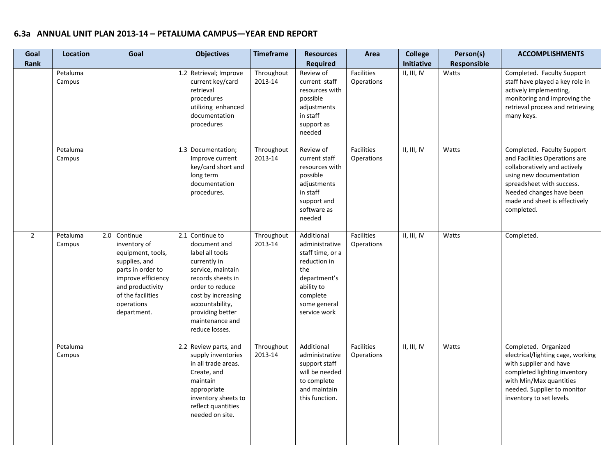| Goal<br><b>Rank</b> | <b>Location</b>    | Goal                                                                                                                                                                                | <b>Objectives</b>                                                                                                                                                                                                                 | <b>Timeframe</b>      | <b>Resources</b><br><b>Required</b>                                                                                                               | Area                     | <b>College</b><br>Initiative | Person(s)<br>Responsible | <b>ACCOMPLISHMENTS</b>                                                                                                                                                                                                         |
|---------------------|--------------------|-------------------------------------------------------------------------------------------------------------------------------------------------------------------------------------|-----------------------------------------------------------------------------------------------------------------------------------------------------------------------------------------------------------------------------------|-----------------------|---------------------------------------------------------------------------------------------------------------------------------------------------|--------------------------|------------------------------|--------------------------|--------------------------------------------------------------------------------------------------------------------------------------------------------------------------------------------------------------------------------|
|                     | Petaluma<br>Campus |                                                                                                                                                                                     | 1.2 Retrieval; Improve<br>current key/card<br>retrieval<br>procedures<br>utilizing enhanced<br>documentation<br>procedures                                                                                                        | Throughout<br>2013-14 | Review of<br>current staff<br>resources with<br>possible<br>adjustments<br>in staff<br>support as<br>needed                                       | Facilities<br>Operations | II, III, IV                  | Watts                    | Completed. Faculty Support<br>staff have played a key role in<br>actively implementing,<br>monitoring and improving the<br>retrieval process and retrieving<br>many keys.                                                      |
|                     | Petaluma<br>Campus |                                                                                                                                                                                     | 1.3 Documentation;<br>Improve current<br>key/card short and<br>long term<br>documentation<br>procedures.                                                                                                                          | Throughout<br>2013-14 | Review of<br>current staff<br>resources with<br>possible<br>adjustments<br>in staff<br>support and<br>software as<br>needed                       | Facilities<br>Operations | II, III, IV                  | Watts                    | Completed. Faculty Support<br>and Facilities Operations are<br>collaboratively and actively<br>using new documentation<br>spreadsheet with success.<br>Needed changes have been<br>made and sheet is effectively<br>completed. |
| $\overline{2}$      | Petaluma<br>Campus | 2.0 Continue<br>inventory of<br>equipment, tools,<br>supplies, and<br>parts in order to<br>improve efficiency<br>and productivity<br>of the facilities<br>operations<br>department. | 2.1 Continue to<br>document and<br>label all tools<br>currently in<br>service, maintain<br>records sheets in<br>order to reduce<br>cost by increasing<br>accountability,<br>providing better<br>maintenance and<br>reduce losses. | Throughout<br>2013-14 | Additional<br>administrative<br>staff time, or a<br>reduction in<br>the<br>department's<br>ability to<br>complete<br>some general<br>service work | Facilities<br>Operations | II, III, IV                  | Watts                    | Completed.                                                                                                                                                                                                                     |
|                     | Petaluma<br>Campus |                                                                                                                                                                                     | 2.2 Review parts, and<br>supply inventories<br>in all trade areas.<br>Create, and<br>maintain<br>appropriate<br>inventory sheets to<br>reflect quantities<br>needed on site.                                                      | Throughout<br>2013-14 | Additional<br>administrative<br>support staff<br>will be needed<br>to complete<br>and maintain<br>this function.                                  | Facilities<br>Operations | II, III, IV                  | Watts                    | Completed. Organized<br>electrical/lighting cage, working<br>with supplier and have<br>completed lighting inventory<br>with Min/Max quantities<br>needed. Supplier to monitor<br>inventory to set levels.                      |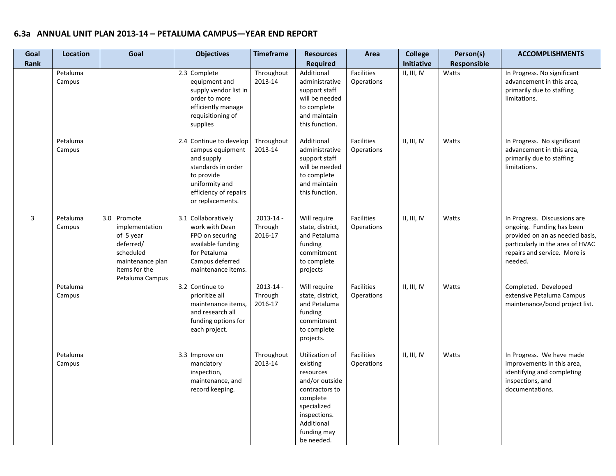| Goal<br>Rank   | Location           | Goal                                                                                                                         | <b>Objectives</b>                                                                                                                                            | <b>Timeframe</b>                    | <b>Resources</b><br><b>Required</b>                                                                                                                               | Area                            | <b>College</b><br><b>Initiative</b> | Person(s)<br>Responsible | <b>ACCOMPLISHMENTS</b>                                                                                                                                                      |
|----------------|--------------------|------------------------------------------------------------------------------------------------------------------------------|--------------------------------------------------------------------------------------------------------------------------------------------------------------|-------------------------------------|-------------------------------------------------------------------------------------------------------------------------------------------------------------------|---------------------------------|-------------------------------------|--------------------------|-----------------------------------------------------------------------------------------------------------------------------------------------------------------------------|
|                | Petaluma<br>Campus |                                                                                                                              | 2.3 Complete<br>equipment and<br>supply vendor list in<br>order to more<br>efficiently manage<br>requisitioning of<br>supplies                               | Throughout<br>2013-14               | Additional<br>administrative<br>support staff<br>will be needed<br>to complete<br>and maintain<br>this function.                                                  | <b>Facilities</b><br>Operations | II, III, IV                         | Watts                    | In Progress. No significant<br>advancement in this area,<br>primarily due to staffing<br>limitations.                                                                       |
|                | Petaluma<br>Campus |                                                                                                                              | 2.4 Continue to develop<br>campus equipment<br>and supply<br>standards in order<br>to provide<br>uniformity and<br>efficiency of repairs<br>or replacements. | Throughout<br>2013-14               | Additional<br>administrative<br>support staff<br>will be needed<br>to complete<br>and maintain<br>this function.                                                  | <b>Facilities</b><br>Operations | II, III, IV                         | Watts                    | In Progress. No significant<br>advancement in this area,<br>primarily due to staffing<br>limitations.                                                                       |
| $\overline{3}$ | Petaluma<br>Campus | 3.0 Promote<br>implementation<br>of 5 year<br>deferred/<br>scheduled<br>maintenance plan<br>items for the<br>Petaluma Campus | 3.1 Collaboratively<br>work with Dean<br>FPO on securing<br>available funding<br>for Petaluma<br>Campus deferred<br>maintenance items.                       | $2013 - 14 -$<br>Through<br>2016-17 | Will require<br>state, district,<br>and Petaluma<br>funding<br>commitment<br>to complete<br>projects                                                              | Facilities<br>Operations        | II, III, IV                         | Watts                    | In Progress. Discussions are<br>ongoing. Funding has been<br>provided on an as needed basis,<br>particularly in the area of HVAC<br>repairs and service. More is<br>needed. |
|                | Petaluma<br>Campus |                                                                                                                              | 3.2 Continue to<br>prioritize all<br>maintenance items,<br>and research all<br>funding options for<br>each project.                                          | $2013 - 14$ -<br>Through<br>2016-17 | Will require<br>state, district,<br>and Petaluma<br>funding<br>commitment<br>to complete<br>projects.                                                             | Facilities<br><b>Operations</b> | II, III, IV                         | Watts                    | Completed. Developed<br>extensive Petaluma Campus<br>maintenance/bond project list.                                                                                         |
|                | Petaluma<br>Campus |                                                                                                                              | 3.3 Improve on<br>mandatory<br>inspection,<br>maintenance, and<br>record keeping.                                                                            | Throughout<br>2013-14               | Utilization of<br>existing<br>resources<br>and/or outside<br>contractors to<br>complete<br>specialized<br>inspections.<br>Additional<br>funding may<br>be needed. | <b>Facilities</b><br>Operations | II, III, IV                         | Watts                    | In Progress. We have made<br>improvements in this area,<br>identifying and completing<br>inspections, and<br>documentations.                                                |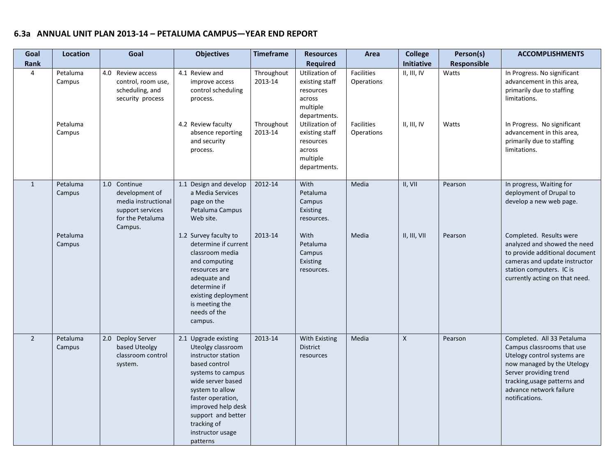| Goal           | <b>Location</b>                          | Goal                                                                                                     | <b>Objectives</b>                                                                                                                                                                                                                                             | <b>Timeframe</b><br><b>Resources</b><br>Area   |                                                                                                                                                                            | <b>College</b>                                                     | Person(s)                  | <b>ACCOMPLISHMENTS</b> |                                                                                                                                                                                                                              |
|----------------|------------------------------------------|----------------------------------------------------------------------------------------------------------|---------------------------------------------------------------------------------------------------------------------------------------------------------------------------------------------------------------------------------------------------------------|------------------------------------------------|----------------------------------------------------------------------------------------------------------------------------------------------------------------------------|--------------------------------------------------------------------|----------------------------|------------------------|------------------------------------------------------------------------------------------------------------------------------------------------------------------------------------------------------------------------------|
| Rank           |                                          |                                                                                                          |                                                                                                                                                                                                                                                               |                                                | <b>Required</b>                                                                                                                                                            |                                                                    | Initiative                 | <b>Responsible</b>     |                                                                                                                                                                                                                              |
| $\overline{4}$ | Petaluma<br>Campus<br>Petaluma<br>Campus | 4.0 Review access<br>control, room use,<br>scheduling, and<br>security process                           | 4.1 Review and<br>improve access<br>control scheduling<br>process.<br>4.2 Review faculty<br>absence reporting<br>and security<br>process.                                                                                                                     | Throughout<br>2013-14<br>Throughout<br>2013-14 | Utilization of<br>existing staff<br>resources<br>across<br>multiple<br>departments.<br>Utilization of<br>existing staff<br>resources<br>across<br>multiple<br>departments. | Facilities<br>Operations<br><b>Facilities</b><br><b>Operations</b> | II, III, IV<br>II, III, IV | Watts<br>Watts         | In Progress. No significant<br>advancement in this area,<br>primarily due to staffing<br>limitations.<br>In Progress. No significant<br>advancement in this area,<br>primarily due to staffing<br>limitations.               |
| $\mathbf{1}$   | Petaluma<br>Campus<br>Petaluma<br>Campus | 1.0 Continue<br>development of<br>media instructional<br>support services<br>for the Petaluma<br>Campus. | 1.1 Design and develop<br>a Media Services<br>page on the<br>Petaluma Campus<br>Web site.<br>1.2 Survey faculty to<br>determine if current<br>classroom media                                                                                                 | 2012-14<br>2013-14                             | With<br>Petaluma<br>Campus<br>Existing<br>resources.<br>With<br>Petaluma<br>Campus                                                                                         | Media<br>Media                                                     | II, VII<br>II, III, VII    | Pearson<br>Pearson     | In progress, Waiting for<br>deployment of Drupal to<br>develop a new web page.<br>Completed. Results were<br>analyzed and showed the need<br>to provide additional document                                                  |
|                |                                          |                                                                                                          | and computing<br>resources are<br>adequate and<br>determine if<br>existing deployment<br>is meeting the<br>needs of the<br>campus.                                                                                                                            |                                                | Existing<br>resources.                                                                                                                                                     |                                                                    |                            |                        | cameras and update instructor<br>station computers. IC is<br>currently acting on that need.                                                                                                                                  |
| $\overline{2}$ | Petaluma<br>Campus                       | 2.0 Deploy Server<br>based Uteolgy<br>classroom control<br>system.                                       | 2.1 Upgrade existing<br>Uteolgy classroom<br>instructor station<br>based control<br>systems to campus<br>wide server based<br>system to allow<br>faster operation,<br>improved help desk<br>support and better<br>tracking of<br>instructor usage<br>patterns | 2013-14                                        | With Existing<br><b>District</b><br>resources                                                                                                                              | Media                                                              | $\mathsf{X}$               | Pearson                | Completed. All 33 Petaluma<br>Campus classrooms that use<br>Utelogy control systems are<br>now managed by the Utelogy<br>Server providing trend<br>tracking, usage patterns and<br>advance network failure<br>notifications. |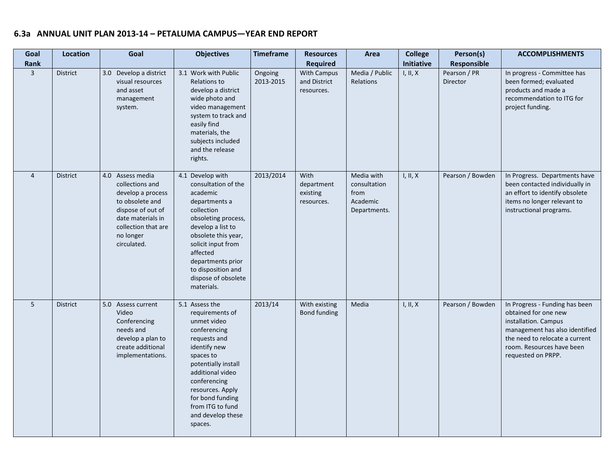| Goal<br>Rank   | <b>Location</b> | Goal                                                                                                                                                                     | <b>Objectives</b>                                                                                                                                                                                                                                                       | <b>Timeframe</b><br><b>Resources</b><br><b>Required</b> |                                              | <b>College</b><br>Area<br>Initiative                           |          | Person(s)<br>Responsible | <b>ACCOMPLISHMENTS</b>                                                                                                                                                                                |
|----------------|-----------------|--------------------------------------------------------------------------------------------------------------------------------------------------------------------------|-------------------------------------------------------------------------------------------------------------------------------------------------------------------------------------------------------------------------------------------------------------------------|---------------------------------------------------------|----------------------------------------------|----------------------------------------------------------------|----------|--------------------------|-------------------------------------------------------------------------------------------------------------------------------------------------------------------------------------------------------|
| $\overline{3}$ | <b>District</b> | 3.0 Develop a district<br>visual resources<br>and asset<br>management<br>system.                                                                                         | 3.1 Work with Public<br>Ongoing<br>Relations to<br>2013-2015<br>develop a district<br>wide photo and<br>video management<br>system to track and<br>easily find<br>materials, the<br>subjects included<br>and the release<br>rights.                                     |                                                         | With Campus<br>and District<br>resources.    | Media / Public<br>I, II, X<br>Relations                        |          | Pearson / PR<br>Director | In progress - Committee has<br>been formed; evaluated<br>products and made a<br>recommendation to ITG for<br>project funding.                                                                         |
| $\overline{4}$ | <b>District</b> | 4.0 Assess media<br>collections and<br>develop a process<br>to obsolete and<br>dispose of out of<br>date materials in<br>collection that are<br>no longer<br>circulated. | 4.1 Develop with<br>consultation of the<br>academic<br>departments a<br>collection<br>obsoleting process,<br>develop a list to<br>obsolete this year,<br>solicit input from<br>affected<br>departments prior<br>to disposition and<br>dispose of obsolete<br>materials. | 2013/2014                                               | With<br>department<br>existing<br>resources. | Media with<br>consultation<br>from<br>Academic<br>Departments. | I, II, X | Pearson / Bowden         | In Progress. Departments have<br>been contacted individually in<br>an effort to identify obsolete<br>items no longer relevant to<br>instructional programs.                                           |
| 5              | <b>District</b> | 5.0 Assess current<br>Video<br>Conferencing<br>needs and<br>develop a plan to<br>create additional<br>implementations.                                                   | 5.1 Assess the<br>requirements of<br>unmet video<br>conferencing<br>requests and<br>identify new<br>spaces to<br>potentially install<br>additional video<br>conferencing<br>resources. Apply<br>for bond funding<br>from ITG to fund<br>and develop these<br>spaces.    | 2013/14                                                 | With existing<br>Bond funding                | Media                                                          | I, II, X | Pearson / Bowden         | In Progress - Funding has been<br>obtained for one new<br>installation. Campus<br>management has also identified<br>the need to relocate a current<br>room. Resources have been<br>requested on PRPP. |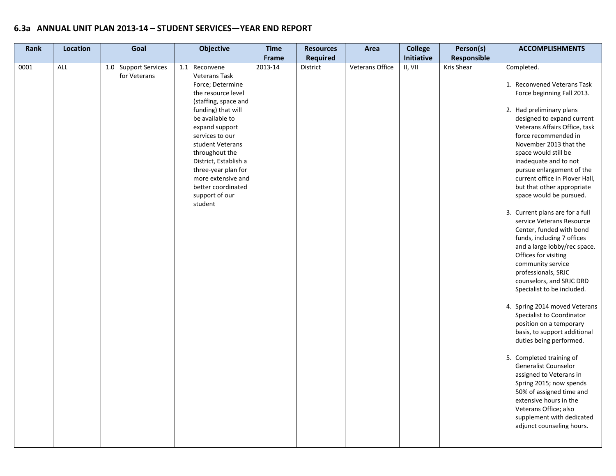| Rank | Location | Goal                                 | <b>Objective</b>                                                                                                                                                                                                                                                                                                                                     | <b>Time</b> | <b>Resources</b> | Area            | <b>College</b> | Person(s)   | <b>ACCOMPLISHMENTS</b>                                                                                                                                                                                                                                                                                                                                                                                                                                                                                                                                                                                                                                                                                                                                                                                                                                                                                                                                                                                                                                                                              |
|------|----------|--------------------------------------|------------------------------------------------------------------------------------------------------------------------------------------------------------------------------------------------------------------------------------------------------------------------------------------------------------------------------------------------------|-------------|------------------|-----------------|----------------|-------------|-----------------------------------------------------------------------------------------------------------------------------------------------------------------------------------------------------------------------------------------------------------------------------------------------------------------------------------------------------------------------------------------------------------------------------------------------------------------------------------------------------------------------------------------------------------------------------------------------------------------------------------------------------------------------------------------------------------------------------------------------------------------------------------------------------------------------------------------------------------------------------------------------------------------------------------------------------------------------------------------------------------------------------------------------------------------------------------------------------|
|      |          |                                      |                                                                                                                                                                                                                                                                                                                                                      | Frame       | <b>Required</b>  |                 | Initiative     | Responsible |                                                                                                                                                                                                                                                                                                                                                                                                                                                                                                                                                                                                                                                                                                                                                                                                                                                                                                                                                                                                                                                                                                     |
| 0001 | ALL      | 1.0 Support Services<br>for Veterans | 1.1 Reconvene<br><b>Veterans Task</b><br>Force; Determine<br>the resource level<br>(staffing, space and<br>funding) that will<br>be available to<br>expand support<br>services to our<br>student Veterans<br>throughout the<br>District, Establish a<br>three-year plan for<br>more extensive and<br>better coordinated<br>support of our<br>student | 2013-14     | District         | Veterans Office | II, VII        | Kris Shear  | Completed.<br>1. Reconvened Veterans Task<br>Force beginning Fall 2013.<br>2. Had preliminary plans<br>designed to expand current<br>Veterans Affairs Office, task<br>force recommended in<br>November 2013 that the<br>space would still be<br>inadequate and to not<br>pursue enlargement of the<br>current office in Plover Hall,<br>but that other appropriate<br>space would be pursued.<br>3. Current plans are for a full<br>service Veterans Resource<br>Center, funded with bond<br>funds, including 7 offices<br>and a large lobby/rec space.<br>Offices for visiting<br>community service<br>professionals, SRJC<br>counselors, and SRJC DRD<br>Specialist to be included.<br>4. Spring 2014 moved Veterans<br>Specialist to Coordinator<br>position on a temporary<br>basis, to support additional<br>duties being performed.<br>5. Completed training of<br><b>Generalist Counselor</b><br>assigned to Veterans in<br>Spring 2015; now spends<br>50% of assigned time and<br>extensive hours in the<br>Veterans Office; also<br>supplement with dedicated<br>adjunct counseling hours. |
|      |          |                                      |                                                                                                                                                                                                                                                                                                                                                      |             |                  |                 |                |             |                                                                                                                                                                                                                                                                                                                                                                                                                                                                                                                                                                                                                                                                                                                                                                                                                                                                                                                                                                                                                                                                                                     |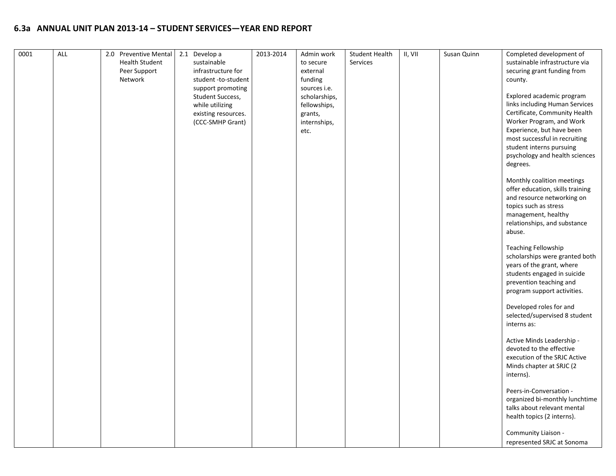| <b>Health Student</b><br>sustainable<br>Services<br>sustainable infrastructure via<br>to secure<br>Peer Support<br>infrastructure for<br>securing grant funding from<br>external<br>funding<br>Network<br>student -to-student<br>county.<br>sources i.e.<br>support promoting<br>Explored academic program<br>Student Success,<br>scholarships,<br>links including Human Services<br>while utilizing<br>fellowships,<br>Certificate, Community Health<br>existing resources.<br>grants,<br>Worker Program, and Work<br>(CCC-SMHP Grant)<br>internships,<br>Experience, but have been<br>etc.<br>most successful in recruiting<br>student interns pursuing<br>psychology and health sciences<br>degrees.<br>Monthly coalition meetings<br>offer education, skills training<br>and resource networking on<br>topics such as stress<br>management, healthy<br>relationships, and substance<br>abuse.<br><b>Teaching Fellowship</b><br>scholarships were granted both<br>years of the grant, where<br>students engaged in suicide<br>prevention teaching and<br>program support activities.<br>Developed roles for and<br>selected/supervised 8 student<br>interns as:<br>Active Minds Leadership -<br>devoted to the effective<br>execution of the SRJC Active<br>Minds chapter at SRJC (2<br>interns).<br>Peers-in-Conversation -<br>organized bi-monthly lunchtime<br>talks about relevant mental<br>health topics (2 interns).<br>Community Liaison - | 0001 | ALL | 2.0 Preventive Mental | 2.1 Develop a | 2013-2014 | Admin work | <b>Student Health</b> | II, VII | Susan Quinn | Completed development of   |
|-------------------------------------------------------------------------------------------------------------------------------------------------------------------------------------------------------------------------------------------------------------------------------------------------------------------------------------------------------------------------------------------------------------------------------------------------------------------------------------------------------------------------------------------------------------------------------------------------------------------------------------------------------------------------------------------------------------------------------------------------------------------------------------------------------------------------------------------------------------------------------------------------------------------------------------------------------------------------------------------------------------------------------------------------------------------------------------------------------------------------------------------------------------------------------------------------------------------------------------------------------------------------------------------------------------------------------------------------------------------------------------------------------------------------------------------------------|------|-----|-----------------------|---------------|-----------|------------|-----------------------|---------|-------------|----------------------------|
|                                                                                                                                                                                                                                                                                                                                                                                                                                                                                                                                                                                                                                                                                                                                                                                                                                                                                                                                                                                                                                                                                                                                                                                                                                                                                                                                                                                                                                                       |      |     |                       |               |           |            |                       |         |             |                            |
|                                                                                                                                                                                                                                                                                                                                                                                                                                                                                                                                                                                                                                                                                                                                                                                                                                                                                                                                                                                                                                                                                                                                                                                                                                                                                                                                                                                                                                                       |      |     |                       |               |           |            |                       |         |             |                            |
|                                                                                                                                                                                                                                                                                                                                                                                                                                                                                                                                                                                                                                                                                                                                                                                                                                                                                                                                                                                                                                                                                                                                                                                                                                                                                                                                                                                                                                                       |      |     |                       |               |           |            |                       |         |             |                            |
|                                                                                                                                                                                                                                                                                                                                                                                                                                                                                                                                                                                                                                                                                                                                                                                                                                                                                                                                                                                                                                                                                                                                                                                                                                                                                                                                                                                                                                                       |      |     |                       |               |           |            |                       |         |             |                            |
|                                                                                                                                                                                                                                                                                                                                                                                                                                                                                                                                                                                                                                                                                                                                                                                                                                                                                                                                                                                                                                                                                                                                                                                                                                                                                                                                                                                                                                                       |      |     |                       |               |           |            |                       |         |             |                            |
|                                                                                                                                                                                                                                                                                                                                                                                                                                                                                                                                                                                                                                                                                                                                                                                                                                                                                                                                                                                                                                                                                                                                                                                                                                                                                                                                                                                                                                                       |      |     |                       |               |           |            |                       |         |             |                            |
|                                                                                                                                                                                                                                                                                                                                                                                                                                                                                                                                                                                                                                                                                                                                                                                                                                                                                                                                                                                                                                                                                                                                                                                                                                                                                                                                                                                                                                                       |      |     |                       |               |           |            |                       |         |             |                            |
|                                                                                                                                                                                                                                                                                                                                                                                                                                                                                                                                                                                                                                                                                                                                                                                                                                                                                                                                                                                                                                                                                                                                                                                                                                                                                                                                                                                                                                                       |      |     |                       |               |           |            |                       |         |             |                            |
|                                                                                                                                                                                                                                                                                                                                                                                                                                                                                                                                                                                                                                                                                                                                                                                                                                                                                                                                                                                                                                                                                                                                                                                                                                                                                                                                                                                                                                                       |      |     |                       |               |           |            |                       |         |             |                            |
|                                                                                                                                                                                                                                                                                                                                                                                                                                                                                                                                                                                                                                                                                                                                                                                                                                                                                                                                                                                                                                                                                                                                                                                                                                                                                                                                                                                                                                                       |      |     |                       |               |           |            |                       |         |             |                            |
|                                                                                                                                                                                                                                                                                                                                                                                                                                                                                                                                                                                                                                                                                                                                                                                                                                                                                                                                                                                                                                                                                                                                                                                                                                                                                                                                                                                                                                                       |      |     |                       |               |           |            |                       |         |             |                            |
|                                                                                                                                                                                                                                                                                                                                                                                                                                                                                                                                                                                                                                                                                                                                                                                                                                                                                                                                                                                                                                                                                                                                                                                                                                                                                                                                                                                                                                                       |      |     |                       |               |           |            |                       |         |             |                            |
|                                                                                                                                                                                                                                                                                                                                                                                                                                                                                                                                                                                                                                                                                                                                                                                                                                                                                                                                                                                                                                                                                                                                                                                                                                                                                                                                                                                                                                                       |      |     |                       |               |           |            |                       |         |             |                            |
|                                                                                                                                                                                                                                                                                                                                                                                                                                                                                                                                                                                                                                                                                                                                                                                                                                                                                                                                                                                                                                                                                                                                                                                                                                                                                                                                                                                                                                                       |      |     |                       |               |           |            |                       |         |             |                            |
|                                                                                                                                                                                                                                                                                                                                                                                                                                                                                                                                                                                                                                                                                                                                                                                                                                                                                                                                                                                                                                                                                                                                                                                                                                                                                                                                                                                                                                                       |      |     |                       |               |           |            |                       |         |             |                            |
|                                                                                                                                                                                                                                                                                                                                                                                                                                                                                                                                                                                                                                                                                                                                                                                                                                                                                                                                                                                                                                                                                                                                                                                                                                                                                                                                                                                                                                                       |      |     |                       |               |           |            |                       |         |             |                            |
|                                                                                                                                                                                                                                                                                                                                                                                                                                                                                                                                                                                                                                                                                                                                                                                                                                                                                                                                                                                                                                                                                                                                                                                                                                                                                                                                                                                                                                                       |      |     |                       |               |           |            |                       |         |             |                            |
|                                                                                                                                                                                                                                                                                                                                                                                                                                                                                                                                                                                                                                                                                                                                                                                                                                                                                                                                                                                                                                                                                                                                                                                                                                                                                                                                                                                                                                                       |      |     |                       |               |           |            |                       |         |             |                            |
|                                                                                                                                                                                                                                                                                                                                                                                                                                                                                                                                                                                                                                                                                                                                                                                                                                                                                                                                                                                                                                                                                                                                                                                                                                                                                                                                                                                                                                                       |      |     |                       |               |           |            |                       |         |             |                            |
|                                                                                                                                                                                                                                                                                                                                                                                                                                                                                                                                                                                                                                                                                                                                                                                                                                                                                                                                                                                                                                                                                                                                                                                                                                                                                                                                                                                                                                                       |      |     |                       |               |           |            |                       |         |             |                            |
|                                                                                                                                                                                                                                                                                                                                                                                                                                                                                                                                                                                                                                                                                                                                                                                                                                                                                                                                                                                                                                                                                                                                                                                                                                                                                                                                                                                                                                                       |      |     |                       |               |           |            |                       |         |             |                            |
|                                                                                                                                                                                                                                                                                                                                                                                                                                                                                                                                                                                                                                                                                                                                                                                                                                                                                                                                                                                                                                                                                                                                                                                                                                                                                                                                                                                                                                                       |      |     |                       |               |           |            |                       |         |             |                            |
|                                                                                                                                                                                                                                                                                                                                                                                                                                                                                                                                                                                                                                                                                                                                                                                                                                                                                                                                                                                                                                                                                                                                                                                                                                                                                                                                                                                                                                                       |      |     |                       |               |           |            |                       |         |             |                            |
|                                                                                                                                                                                                                                                                                                                                                                                                                                                                                                                                                                                                                                                                                                                                                                                                                                                                                                                                                                                                                                                                                                                                                                                                                                                                                                                                                                                                                                                       |      |     |                       |               |           |            |                       |         |             |                            |
|                                                                                                                                                                                                                                                                                                                                                                                                                                                                                                                                                                                                                                                                                                                                                                                                                                                                                                                                                                                                                                                                                                                                                                                                                                                                                                                                                                                                                                                       |      |     |                       |               |           |            |                       |         |             |                            |
|                                                                                                                                                                                                                                                                                                                                                                                                                                                                                                                                                                                                                                                                                                                                                                                                                                                                                                                                                                                                                                                                                                                                                                                                                                                                                                                                                                                                                                                       |      |     |                       |               |           |            |                       |         |             |                            |
|                                                                                                                                                                                                                                                                                                                                                                                                                                                                                                                                                                                                                                                                                                                                                                                                                                                                                                                                                                                                                                                                                                                                                                                                                                                                                                                                                                                                                                                       |      |     |                       |               |           |            |                       |         |             |                            |
|                                                                                                                                                                                                                                                                                                                                                                                                                                                                                                                                                                                                                                                                                                                                                                                                                                                                                                                                                                                                                                                                                                                                                                                                                                                                                                                                                                                                                                                       |      |     |                       |               |           |            |                       |         |             |                            |
|                                                                                                                                                                                                                                                                                                                                                                                                                                                                                                                                                                                                                                                                                                                                                                                                                                                                                                                                                                                                                                                                                                                                                                                                                                                                                                                                                                                                                                                       |      |     |                       |               |           |            |                       |         |             |                            |
|                                                                                                                                                                                                                                                                                                                                                                                                                                                                                                                                                                                                                                                                                                                                                                                                                                                                                                                                                                                                                                                                                                                                                                                                                                                                                                                                                                                                                                                       |      |     |                       |               |           |            |                       |         |             |                            |
|                                                                                                                                                                                                                                                                                                                                                                                                                                                                                                                                                                                                                                                                                                                                                                                                                                                                                                                                                                                                                                                                                                                                                                                                                                                                                                                                                                                                                                                       |      |     |                       |               |           |            |                       |         |             |                            |
|                                                                                                                                                                                                                                                                                                                                                                                                                                                                                                                                                                                                                                                                                                                                                                                                                                                                                                                                                                                                                                                                                                                                                                                                                                                                                                                                                                                                                                                       |      |     |                       |               |           |            |                       |         |             |                            |
|                                                                                                                                                                                                                                                                                                                                                                                                                                                                                                                                                                                                                                                                                                                                                                                                                                                                                                                                                                                                                                                                                                                                                                                                                                                                                                                                                                                                                                                       |      |     |                       |               |           |            |                       |         |             |                            |
|                                                                                                                                                                                                                                                                                                                                                                                                                                                                                                                                                                                                                                                                                                                                                                                                                                                                                                                                                                                                                                                                                                                                                                                                                                                                                                                                                                                                                                                       |      |     |                       |               |           |            |                       |         |             |                            |
|                                                                                                                                                                                                                                                                                                                                                                                                                                                                                                                                                                                                                                                                                                                                                                                                                                                                                                                                                                                                                                                                                                                                                                                                                                                                                                                                                                                                                                                       |      |     |                       |               |           |            |                       |         |             |                            |
|                                                                                                                                                                                                                                                                                                                                                                                                                                                                                                                                                                                                                                                                                                                                                                                                                                                                                                                                                                                                                                                                                                                                                                                                                                                                                                                                                                                                                                                       |      |     |                       |               |           |            |                       |         |             |                            |
|                                                                                                                                                                                                                                                                                                                                                                                                                                                                                                                                                                                                                                                                                                                                                                                                                                                                                                                                                                                                                                                                                                                                                                                                                                                                                                                                                                                                                                                       |      |     |                       |               |           |            |                       |         |             |                            |
|                                                                                                                                                                                                                                                                                                                                                                                                                                                                                                                                                                                                                                                                                                                                                                                                                                                                                                                                                                                                                                                                                                                                                                                                                                                                                                                                                                                                                                                       |      |     |                       |               |           |            |                       |         |             |                            |
|                                                                                                                                                                                                                                                                                                                                                                                                                                                                                                                                                                                                                                                                                                                                                                                                                                                                                                                                                                                                                                                                                                                                                                                                                                                                                                                                                                                                                                                       |      |     |                       |               |           |            |                       |         |             |                            |
|                                                                                                                                                                                                                                                                                                                                                                                                                                                                                                                                                                                                                                                                                                                                                                                                                                                                                                                                                                                                                                                                                                                                                                                                                                                                                                                                                                                                                                                       |      |     |                       |               |           |            |                       |         |             |                            |
|                                                                                                                                                                                                                                                                                                                                                                                                                                                                                                                                                                                                                                                                                                                                                                                                                                                                                                                                                                                                                                                                                                                                                                                                                                                                                                                                                                                                                                                       |      |     |                       |               |           |            |                       |         |             |                            |
|                                                                                                                                                                                                                                                                                                                                                                                                                                                                                                                                                                                                                                                                                                                                                                                                                                                                                                                                                                                                                                                                                                                                                                                                                                                                                                                                                                                                                                                       |      |     |                       |               |           |            |                       |         |             |                            |
|                                                                                                                                                                                                                                                                                                                                                                                                                                                                                                                                                                                                                                                                                                                                                                                                                                                                                                                                                                                                                                                                                                                                                                                                                                                                                                                                                                                                                                                       |      |     |                       |               |           |            |                       |         |             |                            |
|                                                                                                                                                                                                                                                                                                                                                                                                                                                                                                                                                                                                                                                                                                                                                                                                                                                                                                                                                                                                                                                                                                                                                                                                                                                                                                                                                                                                                                                       |      |     |                       |               |           |            |                       |         |             |                            |
|                                                                                                                                                                                                                                                                                                                                                                                                                                                                                                                                                                                                                                                                                                                                                                                                                                                                                                                                                                                                                                                                                                                                                                                                                                                                                                                                                                                                                                                       |      |     |                       |               |           |            |                       |         |             | represented SRJC at Sonoma |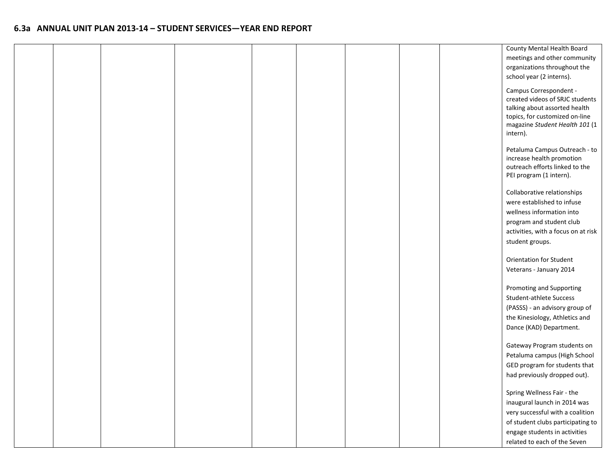|  |  |  |  |  | County Mental Health Board                                       |
|--|--|--|--|--|------------------------------------------------------------------|
|  |  |  |  |  | meetings and other community                                     |
|  |  |  |  |  | organizations throughout the                                     |
|  |  |  |  |  | school year (2 interns).                                         |
|  |  |  |  |  |                                                                  |
|  |  |  |  |  | Campus Correspondent -                                           |
|  |  |  |  |  | created videos of SRJC students<br>talking about assorted health |
|  |  |  |  |  | topics, for customized on-line                                   |
|  |  |  |  |  | magazine Student Health 101 (1                                   |
|  |  |  |  |  | intern).                                                         |
|  |  |  |  |  |                                                                  |
|  |  |  |  |  | Petaluma Campus Outreach - to                                    |
|  |  |  |  |  | increase health promotion                                        |
|  |  |  |  |  | outreach efforts linked to the                                   |
|  |  |  |  |  | PEI program (1 intern).                                          |
|  |  |  |  |  |                                                                  |
|  |  |  |  |  | Collaborative relationships                                      |
|  |  |  |  |  | were established to infuse                                       |
|  |  |  |  |  | wellness information into                                        |
|  |  |  |  |  | program and student club                                         |
|  |  |  |  |  | activities, with a focus on at risk                              |
|  |  |  |  |  | student groups.                                                  |
|  |  |  |  |  |                                                                  |
|  |  |  |  |  | <b>Orientation for Student</b>                                   |
|  |  |  |  |  | Veterans - January 2014                                          |
|  |  |  |  |  |                                                                  |
|  |  |  |  |  | Promoting and Supporting                                         |
|  |  |  |  |  | Student-athlete Success                                          |
|  |  |  |  |  | (PASSS) - an advisory group of                                   |
|  |  |  |  |  | the Kinesiology, Athletics and                                   |
|  |  |  |  |  | Dance (KAD) Department.                                          |
|  |  |  |  |  |                                                                  |
|  |  |  |  |  | Gateway Program students on                                      |
|  |  |  |  |  | Petaluma campus (High School                                     |
|  |  |  |  |  | GED program for students that                                    |
|  |  |  |  |  | had previously dropped out).                                     |
|  |  |  |  |  |                                                                  |
|  |  |  |  |  | Spring Wellness Fair - the                                       |
|  |  |  |  |  | inaugural launch in 2014 was                                     |
|  |  |  |  |  | very successful with a coalition                                 |
|  |  |  |  |  | of student clubs participating to                                |
|  |  |  |  |  | engage students in activities                                    |
|  |  |  |  |  | related to each of the Seven                                     |
|  |  |  |  |  |                                                                  |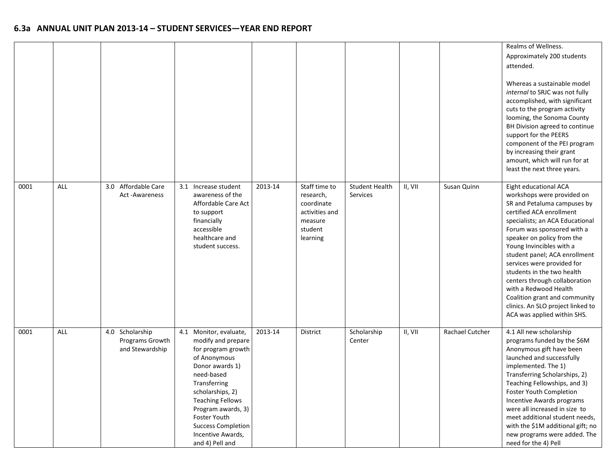|      |     |                                                       |                                                                                                                                                                                                                                                                                                      |         |                                                                                              |                                   |         |                 | Realms of Wellness.<br>Approximately 200 students<br>attended.<br>Whereas a sustainable model<br>internal to SRJC was not fully<br>accomplished, with significant<br>cuts to the program activity<br>looming, the Sonoma County<br>BH Division agreed to continue<br>support for the PEERS<br>component of the PEI program<br>by increasing their grant<br>amount, which will run for at<br>least the next three years.                                                                               |
|------|-----|-------------------------------------------------------|------------------------------------------------------------------------------------------------------------------------------------------------------------------------------------------------------------------------------------------------------------------------------------------------------|---------|----------------------------------------------------------------------------------------------|-----------------------------------|---------|-----------------|-------------------------------------------------------------------------------------------------------------------------------------------------------------------------------------------------------------------------------------------------------------------------------------------------------------------------------------------------------------------------------------------------------------------------------------------------------------------------------------------------------|
| 0001 | ALL | Affordable Care<br>3.0<br>Act-Awareness               | 3.1 Increase student<br>awareness of the<br>Affordable Care Act<br>to support<br>financially<br>accessible<br>healthcare and<br>student success.                                                                                                                                                     | 2013-14 | Staff time to<br>research,<br>coordinate<br>activities and<br>measure<br>student<br>learning | <b>Student Health</b><br>Services | II, VII | Susan Quinn     | Eight educational ACA<br>workshops were provided on<br>SR and Petaluma campuses by<br>certified ACA enrollment<br>specialists; an ACA Educational<br>Forum was sponsored with a<br>speaker on policy from the<br>Young Invincibles with a<br>student panel; ACA enrollment<br>services were provided for<br>students in the two health<br>centers through collaboration<br>with a Redwood Health<br>Coalition grant and community<br>clinics. An SLO project linked to<br>ACA was applied within SHS. |
| 0001 | ALL | 4.0 Scholarship<br>Programs Growth<br>and Stewardship | 4.1 Monitor, evaluate,<br>modify and prepare<br>for program growth<br>of Anonymous<br>Donor awards 1)<br>need-based<br>Transferring<br>scholarships, 2)<br><b>Teaching Fellows</b><br>Program awards, 3)<br><b>Foster Youth</b><br><b>Success Completion</b><br>Incentive Awards,<br>and 4) Pell and | 2013-14 | District                                                                                     | Scholarship<br>Center             | II, VII | Rachael Cutcher | 4.1 All new scholarship<br>programs funded by the \$6M<br>Anonymous gift have been<br>launched and successfully<br>implemented. The 1)<br>Transferring Scholarships, 2)<br>Teaching Fellowships, and 3)<br><b>Foster Youth Completion</b><br>Incentive Awards programs<br>were all increased in size to<br>meet additional student needs,<br>with the \$1M additional gift; no<br>new programs were added. The<br>need for the 4) Pell                                                                |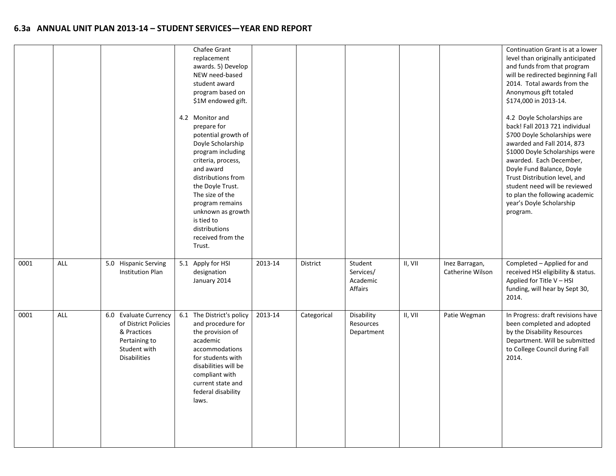|      |     |                                                                                                                      | Chafee Grant<br>replacement<br>awards. 5) Develop<br>NEW need-based<br>student award<br>program based on<br>\$1M endowed gift.<br>4.2 Monitor and<br>prepare for<br>potential growth of<br>Doyle Scholarship<br>program including<br>criteria, process,<br>and award<br>distributions from<br>the Doyle Trust.<br>The size of the<br>program remains<br>unknown as growth<br>is tied to<br>distributions<br>received from the<br>Trust. |         |             |                                             |         |                                    | Continuation Grant is at a lower<br>level than originally anticipated<br>and funds from that program<br>will be redirected beginning Fall<br>2014. Total awards from the<br>Anonymous gift totaled<br>\$174,000 in 2013-14.<br>4.2 Doyle Scholarships are<br>back! Fall 2013 721 individual<br>\$700 Doyle Scholarships were<br>awarded and Fall 2014, 873<br>\$1000 Doyle Scholarships were<br>awarded. Each December,<br>Doyle Fund Balance, Doyle<br>Trust Distribution level, and<br>student need will be reviewed<br>to plan the following academic<br>year's Doyle Scholarship<br>program. |
|------|-----|----------------------------------------------------------------------------------------------------------------------|-----------------------------------------------------------------------------------------------------------------------------------------------------------------------------------------------------------------------------------------------------------------------------------------------------------------------------------------------------------------------------------------------------------------------------------------|---------|-------------|---------------------------------------------|---------|------------------------------------|--------------------------------------------------------------------------------------------------------------------------------------------------------------------------------------------------------------------------------------------------------------------------------------------------------------------------------------------------------------------------------------------------------------------------------------------------------------------------------------------------------------------------------------------------------------------------------------------------|
| 0001 | ALL | 5.0 Hispanic Serving<br>Institution Plan                                                                             | 5.1 Apply for HSI<br>designation<br>January 2014                                                                                                                                                                                                                                                                                                                                                                                        | 2013-14 | District    | Student<br>Services/<br>Academic<br>Affairs | II, VII | Inez Barragan,<br>Catherine Wilson | Completed - Applied for and<br>received HSI eligibility & status.<br>Applied for Title V - HSI<br>funding, will hear by Sept 30,<br>2014.                                                                                                                                                                                                                                                                                                                                                                                                                                                        |
| 0001 | ALL | 6.0 Evaluate Currency<br>of District Policies<br>& Practices<br>Pertaining to<br>Student with<br><b>Disabilities</b> | 6.1 The District's policy<br>and procedure for<br>the provision of<br>academic<br>accommodations<br>for students with<br>disabilities will be<br>compliant with<br>current state and<br>federal disability<br>laws.                                                                                                                                                                                                                     | 2013-14 | Categorical | Disability<br>Resources<br>Department       | II, VII | Patie Wegman                       | In Progress: draft revisions have<br>been completed and adopted<br>by the Disability Resources<br>Department. Will be submitted<br>to College Council during Fall<br>2014.                                                                                                                                                                                                                                                                                                                                                                                                                       |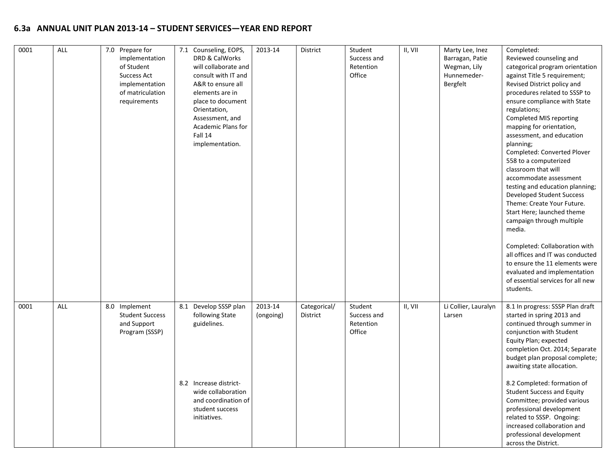| 0001 | ALL | 7.0 Prepare for<br>implementation<br>of Student<br><b>Success Act</b><br>implementation<br>of matriculation<br>requirements | 7.1 Counseling, EOPS,<br>DRD & CalWorks<br>will collaborate and<br>consult with IT and<br>A&R to ensure all<br>elements are in<br>place to document<br>Orientation,<br>Assessment, and<br>Academic Plans for<br>Fall 14<br>implementation. | 2013-14              | District                 | Student<br>Success and<br>Retention<br>Office | II, VII | Marty Lee, Inez<br>Barragan, Patie<br>Wegman, Lily<br>Hunnemeder-<br>Bergfelt | Completed:<br>Reviewed counseling and<br>categorical program orientation<br>against Title 5 requirement;<br>Revised District policy and<br>procedures related to SSSP to<br>ensure compliance with State<br>regulations;<br>Completed MIS reporting<br>mapping for orientation,<br>assessment, and education<br>planning;<br>Completed: Converted Plover<br>558 to a computerized<br>classroom that will<br>accommodate assessment<br>testing and education planning;<br>Developed Student Success<br>Theme: Create Your Future.<br>Start Here; launched theme<br>campaign through multiple<br>media.<br>Completed: Collaboration with<br>all offices and IT was conducted<br>to ensure the 11 elements were<br>evaluated and implementation<br>of essential services for all new<br>students. |
|------|-----|-----------------------------------------------------------------------------------------------------------------------------|--------------------------------------------------------------------------------------------------------------------------------------------------------------------------------------------------------------------------------------------|----------------------|--------------------------|-----------------------------------------------|---------|-------------------------------------------------------------------------------|------------------------------------------------------------------------------------------------------------------------------------------------------------------------------------------------------------------------------------------------------------------------------------------------------------------------------------------------------------------------------------------------------------------------------------------------------------------------------------------------------------------------------------------------------------------------------------------------------------------------------------------------------------------------------------------------------------------------------------------------------------------------------------------------|
| 0001 | ALL | 8.0 Implement<br><b>Student Success</b><br>and Support<br>Program (SSSP)                                                    | 8.1 Develop SSSP plan<br>following State<br>guidelines.                                                                                                                                                                                    | 2013-14<br>(ongoing) | Categorical/<br>District | Student<br>Success and<br>Retention<br>Office | II, VII | Li Collier, Lauralyn<br>Larsen                                                | 8.1 In progress: SSSP Plan draft<br>started in spring 2013 and<br>continued through summer in<br>conjunction with Student<br>Equity Plan; expected<br>completion Oct. 2014; Separate<br>budget plan proposal complete;<br>awaiting state allocation.                                                                                                                                                                                                                                                                                                                                                                                                                                                                                                                                           |
|      |     |                                                                                                                             | 8.2 Increase district-<br>wide collaboration<br>and coordination of<br>student success<br>initiatives.                                                                                                                                     |                      |                          |                                               |         |                                                                               | 8.2 Completed: formation of<br><b>Student Success and Equity</b><br>Committee; provided various<br>professional development<br>related to SSSP. Ongoing:<br>increased collaboration and<br>professional development<br>across the District.                                                                                                                                                                                                                                                                                                                                                                                                                                                                                                                                                    |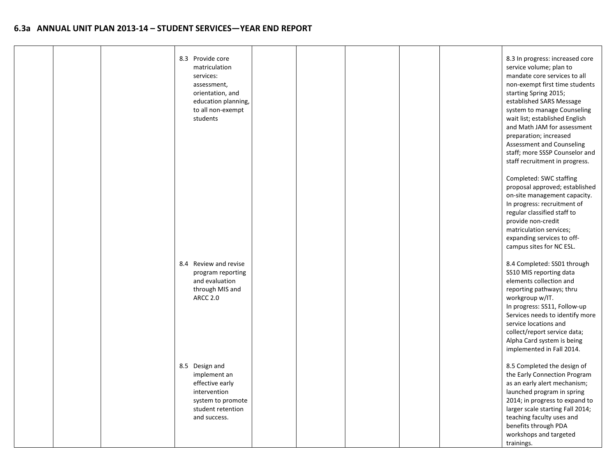|  | 8.3 Provide core<br>matriculation<br>services:<br>assessment,<br>orientation, and<br>education planning,<br>to all non-exempt<br>students |  |  | 8.3 In progress: increased core<br>service volume; plan to<br>mandate core services to all<br>non-exempt first time students<br>starting Spring 2015;<br>established SARS Message<br>system to manage Counseling<br>wait list; established English<br>and Math JAM for assessment<br>preparation; increased<br>Assessment and Counseling<br>staff; more SSSP Counselor and<br>staff recruitment in progress. |
|--|-------------------------------------------------------------------------------------------------------------------------------------------|--|--|--------------------------------------------------------------------------------------------------------------------------------------------------------------------------------------------------------------------------------------------------------------------------------------------------------------------------------------------------------------------------------------------------------------|
|  |                                                                                                                                           |  |  | Completed: SWC staffing<br>proposal approved; established<br>on-site management capacity.<br>In progress: recruitment of<br>regular classified staff to<br>provide non-credit<br>matriculation services;<br>expanding services to off-<br>campus sites for NC ESL.                                                                                                                                           |
|  | 8.4 Review and revise<br>program reporting<br>and evaluation<br>through MIS and<br><b>ARCC 2.0</b>                                        |  |  | 8.4 Completed: SS01 through<br>SS10 MIS reporting data<br>elements collection and<br>reporting pathways; thru<br>workgroup w/IT.<br>In progress: SS11, Follow-up<br>Services needs to identify more<br>service locations and<br>collect/report service data;<br>Alpha Card system is being<br>implemented in Fall 2014.                                                                                      |
|  | 8.5 Design and<br>implement an<br>effective early<br>intervention<br>system to promote<br>student retention<br>and success.               |  |  | 8.5 Completed the design of<br>the Early Connection Program<br>as an early alert mechanism;<br>launched program in spring<br>2014; in progress to expand to<br>larger scale starting Fall 2014;<br>teaching faculty uses and<br>benefits through PDA<br>workshops and targeted<br>trainings.                                                                                                                 |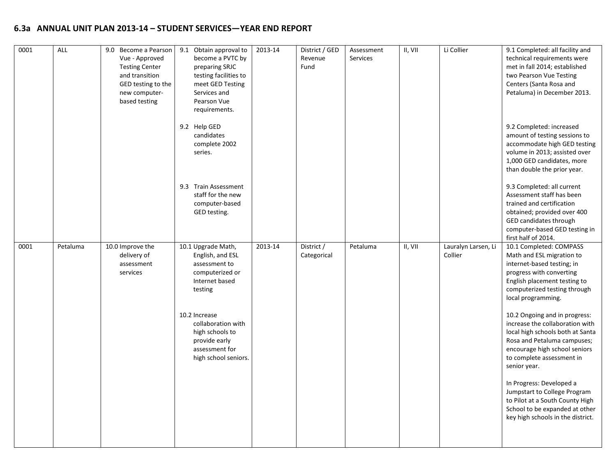| 0001 | ALL      | 9.0 Become a Pearson<br>Vue - Approved<br><b>Testing Center</b><br>and transition<br>GED testing to the<br>new computer-<br>based testing | 9.1 Obtain approval to<br>become a PVTC by<br>preparing SRJC<br>testing facilities to<br>meet GED Testing<br>Services and<br>Pearson Vue<br>requirements. | 2013-14 | District / GED<br>Revenue<br>Fund | Assessment<br>Services | II, VII | Li Collier                     | 9.1 Completed: all facility and<br>technical requirements were<br>met in fall 2014; established<br>two Pearson Vue Testing<br>Centers (Santa Rosa and<br>Petaluma) in December 2013.                              |
|------|----------|-------------------------------------------------------------------------------------------------------------------------------------------|-----------------------------------------------------------------------------------------------------------------------------------------------------------|---------|-----------------------------------|------------------------|---------|--------------------------------|-------------------------------------------------------------------------------------------------------------------------------------------------------------------------------------------------------------------|
|      |          |                                                                                                                                           | 9.2 Help GED<br>candidates<br>complete 2002<br>series.                                                                                                    |         |                                   |                        |         |                                | 9.2 Completed: increased<br>amount of testing sessions to<br>accommodate high GED testing<br>volume in 2013; assisted over<br>1,000 GED candidates, more<br>than double the prior year.                           |
|      |          |                                                                                                                                           | 9.3 Train Assessment<br>staff for the new<br>computer-based<br>GED testing.                                                                               |         |                                   |                        |         |                                | 9.3 Completed: all current<br>Assessment staff has been<br>trained and certification<br>obtained; provided over 400<br>GED candidates through<br>computer-based GED testing in<br>first half of 2014.             |
| 0001 | Petaluma | 10.0 Improve the<br>delivery of<br>assessment<br>services                                                                                 | 10.1 Upgrade Math,<br>English, and ESL<br>assessment to<br>computerized or<br>Internet based<br>testing                                                   | 2013-14 | District /<br>Categorical         | Petaluma               | II, VII | Lauralyn Larsen, Li<br>Collier | 10.1 Completed: COMPASS<br>Math and ESL migration to<br>internet-based testing; in<br>progress with converting<br>English placement testing to<br>computerized testing through<br>local programming.              |
|      |          |                                                                                                                                           | 10.2 Increase<br>collaboration with<br>high schools to<br>provide early<br>assessment for<br>high school seniors.                                         |         |                                   |                        |         |                                | 10.2 Ongoing and in progress:<br>increase the collaboration with<br>local high schools both at Santa<br>Rosa and Petaluma campuses;<br>encourage high school seniors<br>to complete assessment in<br>senior year. |
|      |          |                                                                                                                                           |                                                                                                                                                           |         |                                   |                        |         |                                | In Progress: Developed a<br>Jumpstart to College Program<br>to Pilot at a South County High<br>School to be expanded at other<br>key high schools in the district.                                                |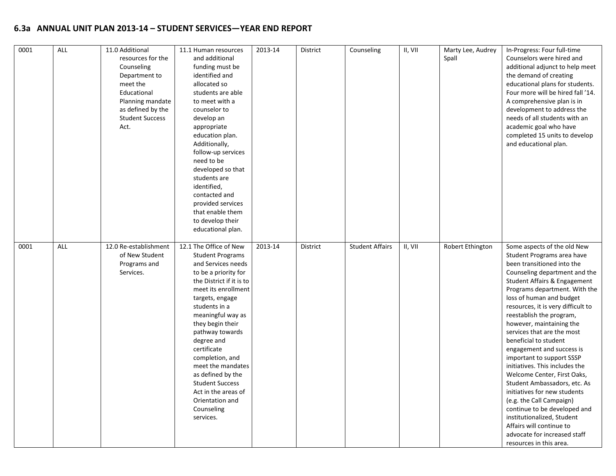| 0001 | ALL | 11.0 Additional<br>resources for the<br>Counseling<br>Department to<br>meet the<br>Educational<br>Planning mandate<br>as defined by the<br><b>Student Success</b><br>Act. | 11.1 Human resources<br>and additional<br>funding must be<br>identified and<br>allocated so<br>students are able<br>to meet with a<br>counselor to<br>develop an<br>appropriate<br>education plan.<br>Additionally,<br>follow-up services<br>need to be<br>developed so that<br>students are<br>identified,<br>contacted and<br>provided services<br>that enable them<br>to develop their<br>educational plan.                              | 2013-14 | District | Counseling             | II, VII | Marty Lee, Audrey<br>Spall | In-Progress: Four full-time<br>Counselors were hired and<br>additional adjunct to help meet<br>the demand of creating<br>educational plans for students.<br>Four more will be hired fall '14.<br>A comprehensive plan is in<br>development to address the<br>needs of all students with an<br>academic goal who have<br>completed 15 units to develop<br>and educational plan.                                                                                                                                                                                                                                                                                                                                                                         |
|------|-----|---------------------------------------------------------------------------------------------------------------------------------------------------------------------------|---------------------------------------------------------------------------------------------------------------------------------------------------------------------------------------------------------------------------------------------------------------------------------------------------------------------------------------------------------------------------------------------------------------------------------------------|---------|----------|------------------------|---------|----------------------------|--------------------------------------------------------------------------------------------------------------------------------------------------------------------------------------------------------------------------------------------------------------------------------------------------------------------------------------------------------------------------------------------------------------------------------------------------------------------------------------------------------------------------------------------------------------------------------------------------------------------------------------------------------------------------------------------------------------------------------------------------------|
| 0001 | ALL | 12.0 Re-establishment<br>of New Student<br>Programs and<br>Services.                                                                                                      | 12.1 The Office of New<br><b>Student Programs</b><br>and Services needs<br>to be a priority for<br>the District if it is to<br>meet its enrollment<br>targets, engage<br>students in a<br>meaningful way as<br>they begin their<br>pathway towards<br>degree and<br>certificate<br>completion, and<br>meet the mandates<br>as defined by the<br><b>Student Success</b><br>Act in the areas of<br>Orientation and<br>Counseling<br>services. | 2013-14 | District | <b>Student Affairs</b> | II, VII | Robert Ethington           | Some aspects of the old New<br>Student Programs area have<br>been transitioned into the<br>Counseling department and the<br>Student Affairs & Engagement<br>Programs department. With the<br>loss of human and budget<br>resources, it is very difficult to<br>reestablish the program,<br>however, maintaining the<br>services that are the most<br>beneficial to student<br>engagement and success is<br>important to support SSSP<br>initiatives. This includes the<br>Welcome Center, First Oaks,<br>Student Ambassadors, etc. As<br>initiatives for new students<br>(e.g. the Call Campaign)<br>continue to be developed and<br>institutionalized, Student<br>Affairs will continue to<br>advocate for increased staff<br>resources in this area. |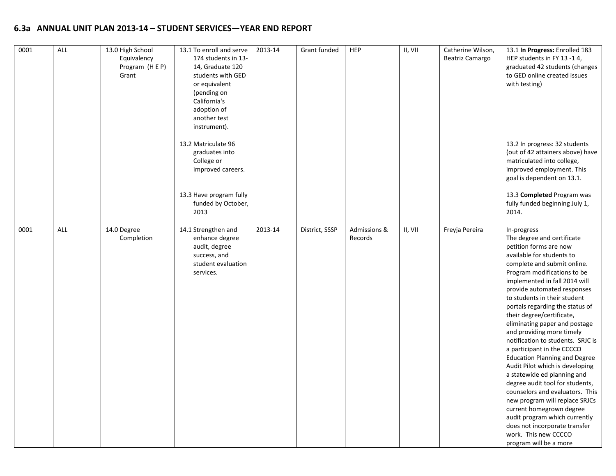| 0001 | <b>ALL</b> | 13.0 High School<br>Equivalency<br>Program (HEP)<br>Grant | 13.1 To enroll and serve<br>174 students in 13-<br>14, Graduate 120<br>students with GED<br>or equivalent<br>(pending on<br>California's<br>adoption of<br>another test<br>instrument).<br>13.2 Matriculate 96<br>graduates into | 2013-14 | Grant funded   | <b>HEP</b>              | II, VII | Catherine Wilson,<br>Beatriz Camargo | 13.1 In Progress: Enrolled 183<br>HEP students in FY 13 -14,<br>graduated 42 students (changes<br>to GED online created issues<br>with testing)<br>13.2 In progress: 32 students<br>(out of 42 attainers above) have                                                                                                                                                                                                                                                                                                                                                                                                                                                                                                                                                                                                              |
|------|------------|-----------------------------------------------------------|----------------------------------------------------------------------------------------------------------------------------------------------------------------------------------------------------------------------------------|---------|----------------|-------------------------|---------|--------------------------------------|-----------------------------------------------------------------------------------------------------------------------------------------------------------------------------------------------------------------------------------------------------------------------------------------------------------------------------------------------------------------------------------------------------------------------------------------------------------------------------------------------------------------------------------------------------------------------------------------------------------------------------------------------------------------------------------------------------------------------------------------------------------------------------------------------------------------------------------|
|      |            |                                                           | College or<br>improved careers.<br>13.3 Have program fully<br>funded by October,<br>2013                                                                                                                                         |         |                |                         |         |                                      | matriculated into college,<br>improved employment. This<br>goal is dependent on 13.1.<br>13.3 Completed Program was<br>fully funded beginning July 1,<br>2014.                                                                                                                                                                                                                                                                                                                                                                                                                                                                                                                                                                                                                                                                    |
| 0001 | ALL        | 14.0 Degree<br>Completion                                 | 14.1 Strengthen and<br>enhance degree<br>audit, degree<br>success, and<br>student evaluation<br>services.                                                                                                                        | 2013-14 | District, SSSP | Admissions &<br>Records | II, VII | Freyja Pereira                       | In-progress<br>The degree and certificate<br>petition forms are now<br>available for students to<br>complete and submit online.<br>Program modifications to be<br>implemented in fall 2014 will<br>provide automated responses<br>to students in their student<br>portals regarding the status of<br>their degree/certificate,<br>eliminating paper and postage<br>and providing more timely<br>notification to students. SRJC is<br>a participant in the CCCCO<br><b>Education Planning and Degree</b><br>Audit Pilot which is developing<br>a statewide ed planning and<br>degree audit tool for students,<br>counselors and evaluators. This<br>new program will replace SRJCs<br>current homegrown degree<br>audit program which currently<br>does not incorporate transfer<br>work. This new CCCCO<br>program will be a more |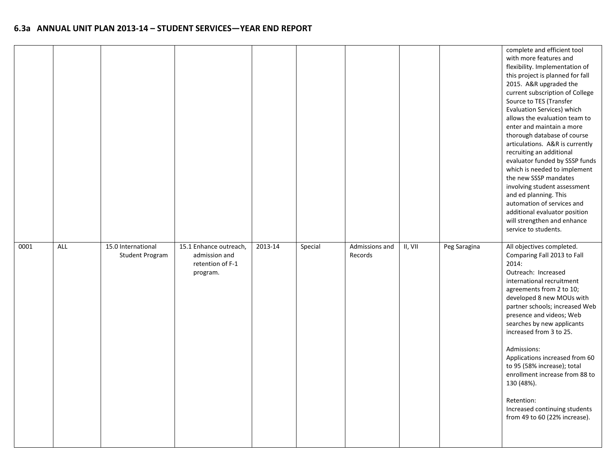|      |            |                                              |                                                                         |         |         |                           |         |              | complete and efficient tool<br>with more features and<br>flexibility. Implementation of<br>this project is planned for fall<br>2015. A&R upgraded the<br>current subscription of College<br>Source to TES (Transfer<br><b>Evaluation Services) which</b><br>allows the evaluation team to<br>enter and maintain a more<br>thorough database of course<br>articulations. A&R is currently<br>recruiting an additional<br>evaluator funded by SSSP funds<br>which is needed to implement<br>the new SSSP mandates<br>involving student assessment<br>and ed planning. This<br>automation of services and<br>additional evaluator position<br>will strengthen and enhance<br>service to students. |
|------|------------|----------------------------------------------|-------------------------------------------------------------------------|---------|---------|---------------------------|---------|--------------|------------------------------------------------------------------------------------------------------------------------------------------------------------------------------------------------------------------------------------------------------------------------------------------------------------------------------------------------------------------------------------------------------------------------------------------------------------------------------------------------------------------------------------------------------------------------------------------------------------------------------------------------------------------------------------------------|
| 0001 | <b>ALL</b> | 15.0 International<br><b>Student Program</b> | 15.1 Enhance outreach,<br>admission and<br>retention of F-1<br>program. | 2013-14 | Special | Admissions and<br>Records | II, VII | Peg Saragina | All objectives completed.<br>Comparing Fall 2013 to Fall<br>2014:<br>Outreach: Increased<br>international recruitment<br>agreements from 2 to 10;<br>developed 8 new MOUs with<br>partner schools; increased Web<br>presence and videos; Web<br>searches by new applicants<br>increased from 3 to 25.<br>Admissions:<br>Applications increased from 60<br>to 95 (58% increase); total<br>enrollment increase from 88 to<br>130 (48%).<br>Retention:<br>Increased continuing students<br>from 49 to 60 (22% increase).                                                                                                                                                                          |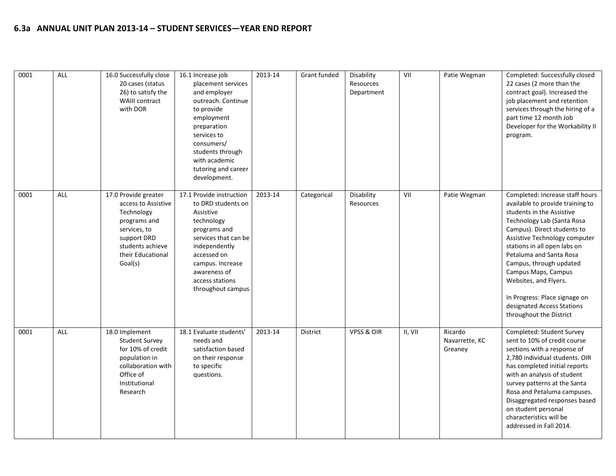| 0001 | ALL | 16.0 Successfully close<br>20 cases (status<br>26) to satisfy the<br><b>WAIII contract</b><br>with DOR                                                       | 16.1 Increase job<br>placement services<br>and employer<br>outreach. Continue<br>to provide<br>employment<br>preparation<br>services to<br>consumers/<br>students through<br>with academic<br>tutoring and career<br>development. | 2013-14 | Grant funded | Disability<br>Resources<br>Department | VII     | Patie Wegman                         | Completed: Successfully closed<br>22 cases (2 more than the<br>contract goal). Increased the<br>job placement and retention<br>services through the hiring of a<br>part time 12 month Job<br>Developer for the Workability II<br>program.                                                                                                                                                                                      |
|------|-----|--------------------------------------------------------------------------------------------------------------------------------------------------------------|-----------------------------------------------------------------------------------------------------------------------------------------------------------------------------------------------------------------------------------|---------|--------------|---------------------------------------|---------|--------------------------------------|--------------------------------------------------------------------------------------------------------------------------------------------------------------------------------------------------------------------------------------------------------------------------------------------------------------------------------------------------------------------------------------------------------------------------------|
| 0001 | ALL | 17.0 Provide greater<br>access to Assistive<br>Technology<br>programs and<br>services, to<br>support DRD<br>students achieve<br>their Educational<br>Goal(s) | 17.1 Provide instruction<br>to DRD students on<br>Assistive<br>technology<br>programs and<br>services that can be<br>independently<br>accessed on<br>campus. Increase<br>awareness of<br>access stations<br>throughout campus     | 2013-14 | Categorical  | Disability<br>Resources               | VII     | Patie Wegman                         | Completed: Increase staff hours<br>available to provide training to<br>students in the Assistive<br>Technology Lab (Santa Rosa<br>Campus). Direct students to<br>Assistive Technology computer<br>stations in all open labs on<br>Petaluma and Santa Rosa<br>Campus, through updated<br>Campus Maps, Campus<br>Websites, and Flyers.<br>In Progress: Place signage on<br>designated Access Stations<br>throughout the District |
| 0001 | ALL | 18.0 Implement<br><b>Student Survey</b><br>for 10% of credit<br>population in<br>collaboration with<br>Office of<br>Institutional<br>Research                | 18.1 Evaluate students'<br>needs and<br>satisfaction based<br>on their response<br>to specific<br>questions.                                                                                                                      | 2013-14 | District     | <b>VPSS &amp; OIR</b>                 | II, VII | Ricardo<br>Navarrette, KC<br>Greaney | Completed: Student Survey<br>sent to 10% of credit course<br>sections with a response of<br>2,780 individual students. OIR<br>has completed initial reports<br>with an analysis of student<br>survey patterns at the Santa<br>Rosa and Petaluma campuses.<br>Disaggregated responses based<br>on student personal<br>characteristics will be<br>addressed in Fall 2014.                                                        |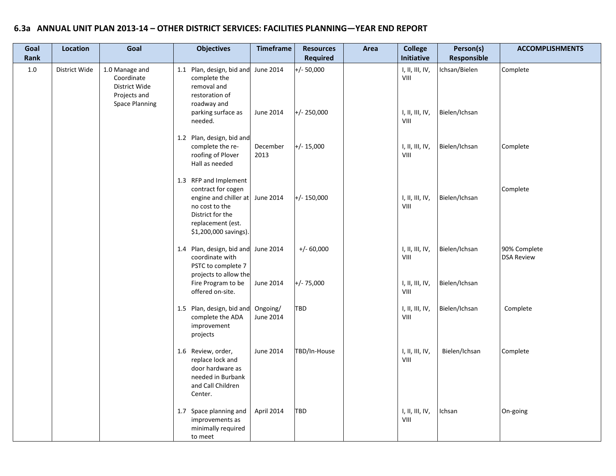| Goal<br>Rank | Location      | Goal                                                                                   | <b>Objectives</b>                                                                                                                                                  | <b>Timeframe</b>      | <b>Resources</b><br><b>Required</b> | Area | <b>College</b><br>Initiative                                  | Person(s)<br>Responsible       | <b>ACCOMPLISHMENTS</b>            |
|--------------|---------------|----------------------------------------------------------------------------------------|--------------------------------------------------------------------------------------------------------------------------------------------------------------------|-----------------------|-------------------------------------|------|---------------------------------------------------------------|--------------------------------|-----------------------------------|
| 1.0          | District Wide | 1.0 Manage and<br>Coordinate<br>District Wide<br>Projects and<br><b>Space Planning</b> | 1.1 Plan, design, bid and<br>complete the<br>removal and<br>restoration of<br>roadway and                                                                          | June 2014             | $+/- 50,000$                        |      | $\mathsf{I}, \mathsf{II}, \mathsf{III}, \mathsf{IV},$<br>VIII | Ichsan/Bielen                  | Complete                          |
|              |               |                                                                                        | parking surface as<br>needed.                                                                                                                                      | June 2014             | $+/- 250,000$                       |      | I, II, III, IV,<br>VIII                                       | Bielen/Ichsan                  |                                   |
|              |               |                                                                                        | 1.2 Plan, design, bid and<br>complete the re-<br>roofing of Plover<br>Hall as needed                                                                               | December<br>2013      | $+/- 15,000$                        |      | I, II, III, IV,<br>VIII                                       | Bielen/Ichsan                  | Complete                          |
|              |               |                                                                                        | 1.3 RFP and Implement<br>contract for cogen<br>engine and chiller at June 2014<br>no cost to the<br>District for the<br>replacement (est.<br>\$1,200,000 savings). |                       | $+/- 150,000$                       |      | I, II, III, IV,<br>VIII                                       | Bielen/Ichsan                  | Complete                          |
|              |               |                                                                                        | 1.4 Plan, design, bid and June 2014<br>coordinate with<br>PSTC to complete 7<br>projects to allow the<br>Fire Program to be                                        | June 2014             | $+/- 60,000$<br>$+/- 75,000$        |      | 1, II, III, IV,<br>VIII<br>1, II, III, IV,                    | Bielen/Ichsan<br>Bielen/Ichsan | 90% Complete<br><b>DSA Review</b> |
|              |               |                                                                                        | offered on-site.                                                                                                                                                   |                       |                                     |      | VIII                                                          |                                |                                   |
|              |               |                                                                                        | 1.5 Plan, design, bid and<br>complete the ADA<br>improvement<br>projects                                                                                           | Ongoing/<br>June 2014 | <b>TBD</b>                          |      | 1, II, III, IV,<br>VIII                                       | Bielen/Ichsan                  | Complete                          |
|              |               |                                                                                        | 1.6 Review, order,<br>replace lock and<br>door hardware as<br>needed in Burbank<br>and Call Children<br>Center.                                                    | June 2014             | TBD/In-House                        |      | 1, II, III, IV,<br>VIII                                       | Bielen/Ichsan                  | Complete                          |
|              |               |                                                                                        | 1.7 Space planning and<br>improvements as<br>minimally required<br>to meet                                                                                         | April 2014            | <b>TBD</b>                          |      | 1, II, III, IV,<br>VIII                                       | Ichsan                         | On-going                          |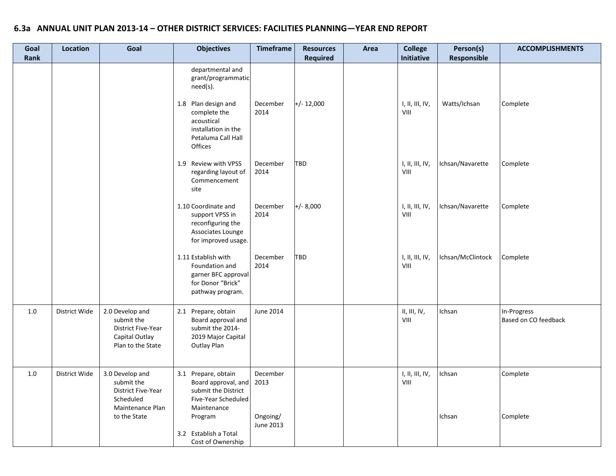| Goal<br>Rank | <b>Location</b> | Goal                                                                                        | <b>Objectives</b>                                                                                         | <b>Timeframe</b>      | <b>Resources</b><br><b>Required</b> | Area | <b>College</b><br>Initiative                                                        | Person(s)<br>Responsible | <b>ACCOMPLISHMENTS</b>              |
|--------------|-----------------|---------------------------------------------------------------------------------------------|-----------------------------------------------------------------------------------------------------------|-----------------------|-------------------------------------|------|-------------------------------------------------------------------------------------|--------------------------|-------------------------------------|
|              |                 |                                                                                             | departmental and<br>grant/programmatic<br>need(s).                                                        |                       |                                     |      |                                                                                     |                          |                                     |
|              |                 |                                                                                             | 1.8 Plan design and<br>complete the<br>acoustical<br>installation in the<br>Petaluma Call Hall<br>Offices | December<br>2014      | $+/- 12,000$                        |      | I, II, III, IV,<br>VIII                                                             | Watts/Ichsan             | Complete                            |
|              |                 |                                                                                             | 1.9 Review with VPSS<br>regarding layout of<br>Commencement<br>site                                       | December<br>2014      | <b>TBD</b>                          |      | I, II, III, IV,<br>VIII                                                             | Ichsan/Navarette         | Complete                            |
|              |                 |                                                                                             | 1.10 Coordinate and<br>support VPSS in<br>reconfiguring the<br>Associates Lounge<br>for improved usage.   | December<br>2014      | $+/- 8,000$                         |      | I, II, III, IV,<br>$\ensuremath{\mathsf{V}}\xspace\ensuremath{\mathsf{III}}\xspace$ | Ichsan/Navarette         | Complete                            |
|              |                 |                                                                                             | 1.11 Establish with<br>Foundation and<br>garner BFC approval<br>for Donor "Brick"<br>pathway program.     | December<br>2014      | <b>TBD</b>                          |      | I, II, III, IV,<br>VIII                                                             | Ichsan/McClintock        | Complete                            |
| $1.0\,$      | District Wide   | 2.0 Develop and<br>submit the<br>District Five-Year<br>Capital Outlay<br>Plan to the State  | 2.1 Prepare, obtain<br>Board approval and<br>submit the 2014-<br>2019 Major Capital<br><b>Outlay Plan</b> | June 2014             |                                     |      | $\mathsf{II}, \mathsf{III}, \mathsf{IV},$<br>VIII                                   | Ichsan                   | In-Progress<br>Based on CO feedback |
| $1.0\,$      | District Wide   | 3.0 Develop and<br>submit the<br><b>District Five-Year</b><br>Scheduled<br>Maintenance Plan | 3.1 Prepare, obtain<br>Board approval, and<br>submit the District<br>Five-Year Scheduled<br>Maintenance   | December<br>2013      |                                     |      | I, II, III, IV,<br>VIII                                                             | Ichsan                   | Complete                            |
|              |                 | to the State                                                                                | Program<br>3.2 Establish a Total<br>Cost of Ownership                                                     | Ongoing/<br>June 2013 |                                     |      |                                                                                     | Ichsan                   | Complete                            |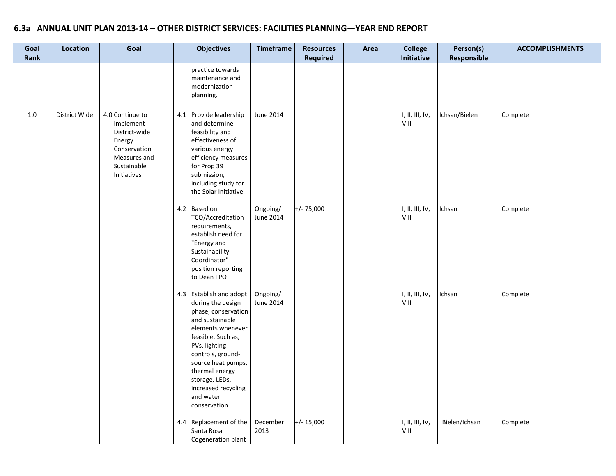| Goal<br>Rank | <b>Location</b> | Goal                                                                                                                  | <b>Objectives</b>                                                                                                                                                                                                                                                                      | <b>Timeframe</b>      | <b>Resources</b><br><b>Required</b> | Area | <b>College</b><br>Initiative | Person(s)<br>Responsible | <b>ACCOMPLISHMENTS</b> |
|--------------|-----------------|-----------------------------------------------------------------------------------------------------------------------|----------------------------------------------------------------------------------------------------------------------------------------------------------------------------------------------------------------------------------------------------------------------------------------|-----------------------|-------------------------------------|------|------------------------------|--------------------------|------------------------|
|              |                 |                                                                                                                       | practice towards<br>maintenance and<br>modernization<br>planning.                                                                                                                                                                                                                      |                       |                                     |      |                              |                          |                        |
| 1.0          | District Wide   | 4.0 Continue to<br>Implement<br>District-wide<br>Energy<br>Conservation<br>Measures and<br>Sustainable<br>Initiatives | 4.1 Provide leadership<br>and determine<br>feasibility and<br>effectiveness of<br>various energy<br>efficiency measures<br>for Prop 39<br>submission,<br>including study for<br>the Solar Initiative.                                                                                  | June 2014             |                                     |      | 1, II, III, IV,<br>VIII      | Ichsan/Bielen            | Complete               |
|              |                 |                                                                                                                       | 4.2 Based on<br>TCO/Accreditation<br>requirements,<br>establish need for<br>"Energy and<br>Sustainability<br>Coordinator"<br>position reporting<br>to Dean FPO                                                                                                                         | Ongoing/<br>June 2014 | $+/- 75,000$                        |      | 1, II, III, IV,<br>VIII      | Ichsan                   | Complete               |
|              |                 |                                                                                                                       | 4.3 Establish and adopt<br>during the design<br>phase, conservation<br>and sustainable<br>elements whenever<br>feasible. Such as,<br>PVs, lighting<br>controls, ground-<br>source heat pumps,<br>thermal energy<br>storage, LEDs,<br>increased recycling<br>and water<br>conservation. | Ongoing/<br>June 2014 |                                     |      | 1, II, III, IV,<br>VIII      | Ichsan                   | Complete               |
|              |                 |                                                                                                                       | 4.4 Replacement of the<br>Santa Rosa<br>Cogeneration plant                                                                                                                                                                                                                             | December<br>2013      | $+/- 15,000$                        |      | I, II, III, IV,<br>VIII      | Bielen/Ichsan            | Complete               |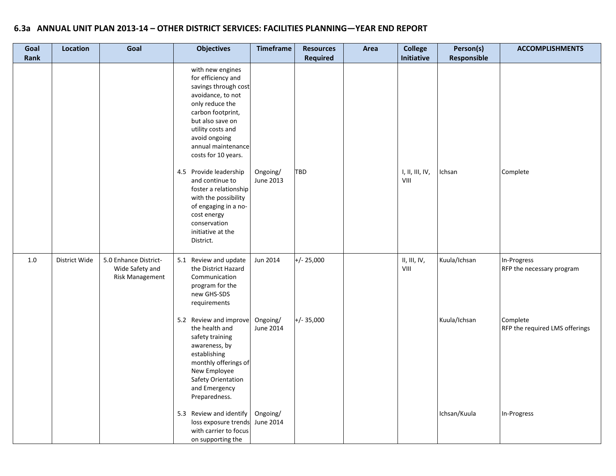| Goal<br>Rank | Location      | Goal                                                        | <b>Objectives</b>                                                                                                                                                                                                                  | <b>Timeframe</b>      | <b>Resources</b><br><b>Required</b> | Area | <b>College</b><br>Initiative | Person(s)<br>Responsible | <b>ACCOMPLISHMENTS</b>                     |
|--------------|---------------|-------------------------------------------------------------|------------------------------------------------------------------------------------------------------------------------------------------------------------------------------------------------------------------------------------|-----------------------|-------------------------------------|------|------------------------------|--------------------------|--------------------------------------------|
|              |               |                                                             | with new engines<br>for efficiency and<br>savings through cost<br>avoidance, to not<br>only reduce the<br>carbon footprint,<br>but also save on<br>utility costs and<br>avoid ongoing<br>annual maintenance<br>costs for 10 years. |                       |                                     |      |                              |                          |                                            |
|              |               |                                                             | 4.5 Provide leadership<br>and continue to<br>foster a relationship<br>with the possibility<br>of engaging in a no-<br>cost energy<br>conservation<br>initiative at the<br>District.                                                | Ongoing/<br>June 2013 | <b>TBD</b>                          |      | I, II, III, IV,<br>VIII      | Ichsan                   | Complete                                   |
| 1.0          | District Wide | 5.0 Enhance District-<br>Wide Safety and<br>Risk Management | 5.1 Review and update<br>the District Hazard<br>Communication<br>program for the<br>new GHS-SDS<br>requirements                                                                                                                    | Jun 2014              | $+/- 25,000$                        |      | II, III, IV,<br>VIII         | Kuula/Ichsan             | In-Progress<br>RFP the necessary program   |
|              |               |                                                             | 5.2 Review and improve<br>the health and<br>safety training<br>awareness, by<br>establishing<br>monthly offerings of<br>New Employee<br>Safety Orientation<br>and Emergency<br>Preparedness.                                       | Ongoing/<br>June 2014 | $+/- 35,000$                        |      |                              | Kuula/Ichsan             | Complete<br>RFP the required LMS offerings |
|              |               |                                                             | 5.3 Review and identify<br>loss exposure trends<br>with carrier to focus<br>on supporting the                                                                                                                                      | Ongoing/<br>June 2014 |                                     |      |                              | Ichsan/Kuula             | In-Progress                                |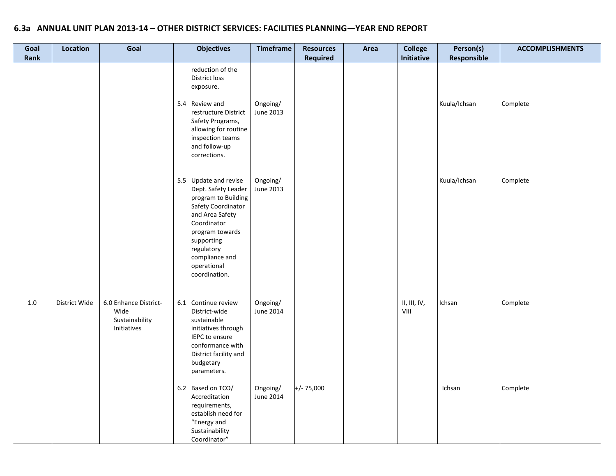| Goal<br><b>Rank</b> | <b>Location</b> | Goal                                                           | <b>Objectives</b>                                                                                                                                                                                                            | <b>Timeframe</b>      | <b>Resources</b><br>Required | Area | <b>College</b><br>Initiative          | Person(s)<br>Responsible | <b>ACCOMPLISHMENTS</b> |
|---------------------|-----------------|----------------------------------------------------------------|------------------------------------------------------------------------------------------------------------------------------------------------------------------------------------------------------------------------------|-----------------------|------------------------------|------|---------------------------------------|--------------------------|------------------------|
|                     |                 |                                                                | reduction of the<br><b>District loss</b><br>exposure.<br>5.4 Review and<br>restructure District<br>Safety Programs,<br>allowing for routine<br>inspection teams<br>and follow-up<br>corrections.                             | Ongoing/<br>June 2013 |                              |      |                                       | Kuula/Ichsan             | Complete               |
|                     |                 |                                                                | 5.5 Update and revise<br>Dept. Safety Leader<br>program to Building<br>Safety Coordinator<br>and Area Safety<br>Coordinator<br>program towards<br>supporting<br>regulatory<br>compliance and<br>operational<br>coordination. | Ongoing/<br>June 2013 |                              |      |                                       | Kuula/Ichsan             | Complete               |
| 1.0                 | District Wide   | 6.0 Enhance District-<br>Wide<br>Sustainability<br>Initiatives | 6.1 Continue review<br>District-wide<br>sustainable<br>initiatives through<br>IEPC to ensure<br>conformance with<br>District facility and<br>budgetary<br>parameters.                                                        | Ongoing/<br>June 2014 |                              |      | II, III, IV,<br>$V\parallel\parallel$ | Ichsan                   | Complete               |
|                     |                 |                                                                | 6.2 Based on TCO/<br>Accreditation<br>requirements,<br>establish need for<br>"Energy and<br>Sustainability<br>Coordinator"                                                                                                   | Ongoing/<br>June 2014 | $+/- 75,000$                 |      |                                       | Ichsan                   | Complete               |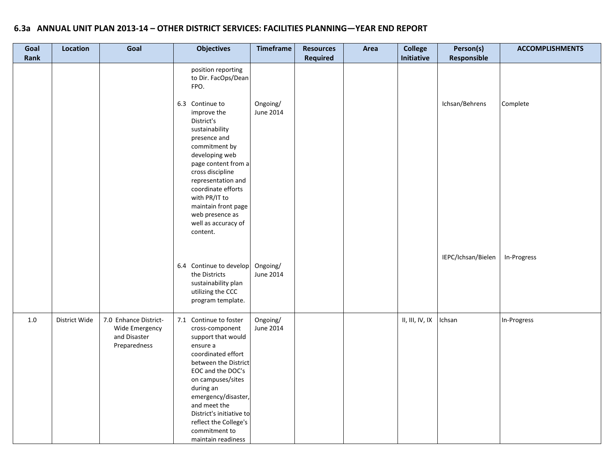| Goal<br>Rank | Location      | Goal                                                                    | <b>Objectives</b>                                                                                                                                                                                                                                                                                                   | <b>Timeframe</b>      | <b>Resources</b><br>Required | Area | <b>College</b><br>Initiative | Person(s)<br>Responsible | <b>ACCOMPLISHMENTS</b> |
|--------------|---------------|-------------------------------------------------------------------------|---------------------------------------------------------------------------------------------------------------------------------------------------------------------------------------------------------------------------------------------------------------------------------------------------------------------|-----------------------|------------------------------|------|------------------------------|--------------------------|------------------------|
|              |               |                                                                         | position reporting<br>to Dir. FacOps/Dean<br>FPO.                                                                                                                                                                                                                                                                   |                       |                              |      |                              |                          |                        |
|              |               |                                                                         | 6.3 Continue to<br>improve the<br>District's<br>sustainability<br>presence and<br>commitment by<br>developing web<br>page content from a<br>cross discipline<br>representation and<br>coordinate efforts<br>with PR/IT to<br>maintain front page<br>web presence as<br>well as accuracy of<br>content.              | Ongoing/<br>June 2014 |                              |      |                              | Ichsan/Behrens           | Complete               |
|              |               |                                                                         | 6.4 Continue to develop<br>the Districts<br>sustainability plan<br>utilizing the CCC<br>program template.                                                                                                                                                                                                           | Ongoing/<br>June 2014 |                              |      |                              | IEPC/Ichsan/Bielen       | In-Progress            |
| 1.0          | District Wide | 7.0 Enhance District-<br>Wide Emergency<br>and Disaster<br>Preparedness | 7.1 Continue to foster<br>cross-component<br>support that would<br>ensure a<br>coordinated effort<br>between the District<br>EOC and the DOC's<br>on campuses/sites<br>during an<br>emergency/disaster,<br>and meet the<br>District's initiative to<br>reflect the College's<br>commitment to<br>maintain readiness | Ongoing/<br>June 2014 |                              |      | II, III, IV, IX              | Ichsan                   | In-Progress            |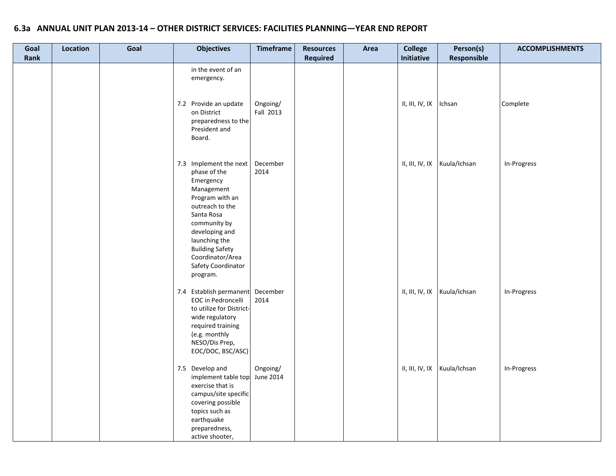| Goal<br>Rank | Location | Goal | <b>Objectives</b>                                                                                                                                                           | <b>Timeframe</b>      | <b>Resources</b><br><b>Required</b> | Area | <b>College</b><br>Initiative | Person(s)<br>Responsible       | <b>ACCOMPLISHMENTS</b> |
|--------------|----------|------|-----------------------------------------------------------------------------------------------------------------------------------------------------------------------------|-----------------------|-------------------------------------|------|------------------------------|--------------------------------|------------------------|
|              |          |      | in the event of an<br>emergency.<br>7.2 Provide an update<br>on District<br>preparedness to the<br>President and                                                            | Ongoing/<br>Fall 2013 |                                     |      | II, III, IV, IX              | Ichsan                         | Complete               |
|              |          |      | Board.<br>7.3 Implement the next<br>phase of the<br>Emergency<br>Management<br>Program with an                                                                              | December<br>2014      |                                     |      | II, III, IV, IX              | Kuula/Ichsan                   | In-Progress            |
|              |          |      | outreach to the<br>Santa Rosa<br>community by<br>developing and<br>launching the<br><b>Building Safety</b><br>Coordinator/Area<br>Safety Coordinator<br>program.            |                       |                                     |      |                              |                                |                        |
|              |          |      | 7.4 Establish permanent<br>EOC in Pedroncelli<br>to utilize for District-<br>wide regulatory<br>required training<br>(e.g. monthly<br>NESO/Dis Prep,<br>EOC/DOC, BSC/ASC)   | December<br>2014      |                                     |      | II, III, IV, IX              | Kuula/Ichsan                   | In-Progress            |
|              |          |      | 7.5 Develop and<br>implement table top<br>exercise that is<br>campus/site specific<br>covering possible<br>topics such as<br>earthquake<br>preparedness,<br>active shooter, | Ongoing/<br>June 2014 |                                     |      |                              | II, III, IV, IX   Kuula/Ichsan | In-Progress            |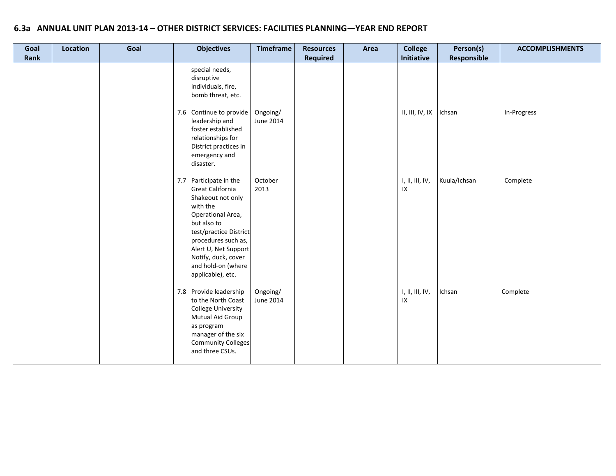| Goal | Location | Goal | <b>Objectives</b>                                                                                                                                                                                                                                                    | <b>Timeframe</b>      | <b>Resources</b><br><b>Required</b> | Area | <b>College</b><br>Initiative | Person(s)    | <b>ACCOMPLISHMENTS</b> |
|------|----------|------|----------------------------------------------------------------------------------------------------------------------------------------------------------------------------------------------------------------------------------------------------------------------|-----------------------|-------------------------------------|------|------------------------------|--------------|------------------------|
| Rank |          |      | special needs,<br>disruptive<br>individuals, fire,<br>bomb threat, etc.<br>7.6 Continue to provide<br>leadership and<br>foster established<br>relationships for<br>District practices in                                                                             | Ongoing/<br>June 2014 |                                     |      | $II, III, IV, IX$   Ichsan   | Responsible  | In-Progress            |
|      |          |      | emergency and<br>disaster.<br>Participate in the<br>7.7<br>Great California<br>Shakeout not only<br>with the<br>Operational Area,<br>but also to<br>test/practice District<br>procedures such as,                                                                    | October<br>2013       |                                     |      | I, II, III, IV,<br>$\sf IX$  | Kuula/Ichsan | Complete               |
|      |          |      | Alert U, Net Support<br>Notify, duck, cover<br>and hold-on (where<br>applicable), etc.<br>7.8 Provide leadership<br>to the North Coast<br>College University<br>Mutual Aid Group<br>as program<br>manager of the six<br><b>Community Colleges</b><br>and three CSUs. | Ongoing/<br>June 2014 |                                     |      | 1, II, III, IV,<br>IX        | Ichsan       | Complete               |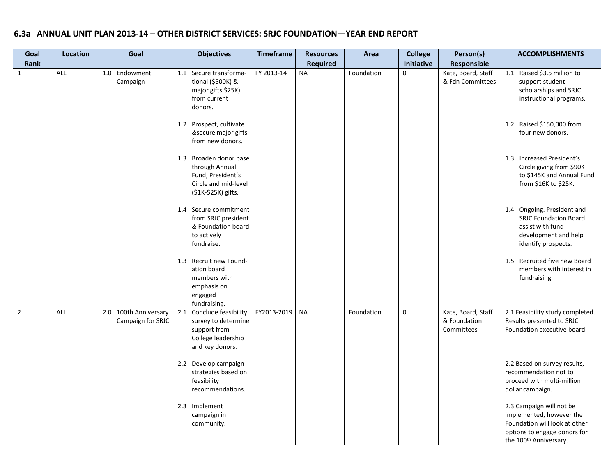# **6.3a ANNUAL UNIT PLAN 2013-14 – OTHER DISTRICT SERVICES: SRJC FOUNDATION—YEAR END REPORT**

| Goal           | Location | Goal                                       | <b>Objectives</b>                                                                                            | <b>Timeframe</b> | <b>Resources</b> | Area       | <b>College</b> | Person(s)                                        | <b>ACCOMPLISHMENTS</b>                                                                                                                                      |
|----------------|----------|--------------------------------------------|--------------------------------------------------------------------------------------------------------------|------------------|------------------|------------|----------------|--------------------------------------------------|-------------------------------------------------------------------------------------------------------------------------------------------------------------|
| <b>Rank</b>    |          |                                            |                                                                                                              |                  | <b>Required</b>  |            | Initiative     | <b>Responsible</b>                               |                                                                                                                                                             |
| $\mathbf{1}$   | ALL      | 1.0 Endowment<br>Campaign                  | 1.1 Secure transforma-<br>tional (\$500K) &<br>major gifts \$25K)<br>from current<br>donors.                 | FY 2013-14       | <b>NA</b>        | Foundation | $\mathbf 0$    | Kate, Board, Staff<br>& Fdn Committees           | 1.1 Raised \$3.5 million to<br>support student<br>scholarships and SRJC<br>instructional programs.                                                          |
|                |          |                                            | 1.2 Prospect, cultivate<br>&secure major gifts<br>from new donors.                                           |                  |                  |            |                |                                                  | 1.2 Raised \$150,000 from<br>four new donors.                                                                                                               |
|                |          |                                            | 1.3 Broaden donor base<br>through Annual<br>Fund, President's<br>Circle and mid-level<br>(\$1K-\$25K) gifts. |                  |                  |            |                |                                                  | 1.3 Increased President's<br>Circle giving from \$90K<br>to \$145K and Annual Fund<br>from $$16K$ to $$25K$ .                                               |
|                |          |                                            | 1.4 Secure commitment<br>from SRJC president<br>& Foundation board<br>to actively<br>fundraise.              |                  |                  |            |                |                                                  | 1.4 Ongoing. President and<br><b>SRJC Foundation Board</b><br>assist with fund<br>development and help<br>identify prospects.                               |
|                |          |                                            | 1.3 Recruit new Found-<br>ation board<br>members with<br>emphasis on<br>engaged<br>fundraising.              |                  |                  |            |                |                                                  | 1.5 Recruited five new Board<br>members with interest in<br>fundraising.                                                                                    |
| $\overline{2}$ | ALL      | 2.0 100th Anniversary<br>Campaign for SRJC | 2.1<br>Conclude feasibility<br>survey to determine<br>support from<br>College leadership<br>and key donors.  | FY2013-2019      | <b>NA</b>        | Foundation | $\mathbf 0$    | Kate, Board, Staff<br>& Foundation<br>Committees | 2.1 Feasibility study completed.<br>Results presented to SRJC<br>Foundation executive board.                                                                |
|                |          |                                            | 2.2 Develop campaign<br>strategies based on<br>feasibility<br>recommendations.                               |                  |                  |            |                |                                                  | 2.2 Based on survey results,<br>recommendation not to<br>proceed with multi-million<br>dollar campaign.                                                     |
|                |          |                                            | 2.3 Implement<br>campaign in<br>community.                                                                   |                  |                  |            |                |                                                  | 2.3 Campaign will not be<br>implemented, however the<br>Foundation will look at other<br>options to engage donors for<br>the 100 <sup>th</sup> Anniversary. |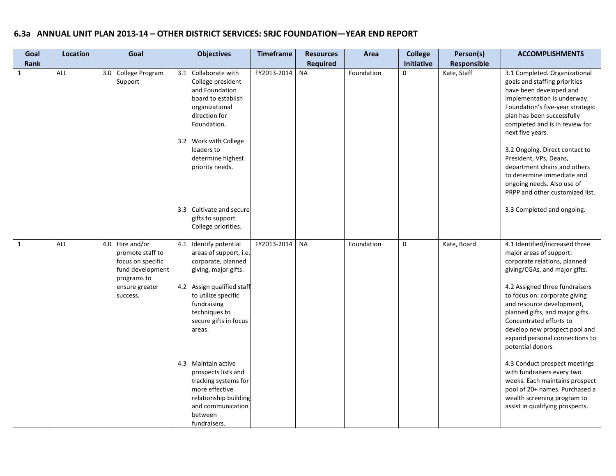# **6.3a ANNUAL UNIT PLAN 2013-14 – OTHER DISTRICT SERVICES: SRJC FOUNDATION—YEAR END REPORT**

| Goal         | <b>Location</b> | Goal                                                                                                                      | <b>Objectives</b>                                                                                                                                                                                                                                                                                                                                                                       | Timeframe   | <b>Resources</b> | Area       | <b>College</b>    | Person(s)          | <b>ACCOMPLISHMENTS</b>                                                                                                                                                                                                                                                                                                                                                                                                                                                                                                                                                               |
|--------------|-----------------|---------------------------------------------------------------------------------------------------------------------------|-----------------------------------------------------------------------------------------------------------------------------------------------------------------------------------------------------------------------------------------------------------------------------------------------------------------------------------------------------------------------------------------|-------------|------------------|------------|-------------------|--------------------|--------------------------------------------------------------------------------------------------------------------------------------------------------------------------------------------------------------------------------------------------------------------------------------------------------------------------------------------------------------------------------------------------------------------------------------------------------------------------------------------------------------------------------------------------------------------------------------|
| Rank         |                 |                                                                                                                           |                                                                                                                                                                                                                                                                                                                                                                                         |             | <b>Required</b>  |            | <b>Initiative</b> | <b>Responsible</b> |                                                                                                                                                                                                                                                                                                                                                                                                                                                                                                                                                                                      |
| 1            | ALL             | 3.0 College Program<br>Support                                                                                            | 3.1 Collaborate with<br>College president<br>and Foundation<br>board to establish<br>organizational<br>direction for<br>Foundation.<br>3.2 Work with College<br>leaders to<br>determine highest<br>priority needs.<br>3.3 Cultivate and secure<br>gifts to support<br>College priorities.                                                                                               | FY2013-2014 | <b>NA</b>        | Foundation | $\mathbf 0$       | Kate, Staff        | 3.1 Completed. Organizational<br>goals and staffing priorities<br>have been developed and<br>implementation is underway.<br>Foundation's five-year strategic<br>plan has been successfully<br>completed and is in review for<br>next five years.<br>3.2 Ongoing. Direct contact to<br>President, VPs, Deans,<br>department chairs and others<br>to determine immediate and<br>ongoing needs. Also use of<br>PRPP and other customized list.<br>3.3 Completed and ongoing.                                                                                                            |
| $\mathbf{1}$ | <b>ALL</b>      | 4.0 Hire and/or<br>promote staff to<br>focus on specific<br>fund development<br>programs to<br>ensure greater<br>success. | 4.1 Identify potential<br>areas of support, i.e.<br>corporate, planned<br>giving, major gifts.<br>4.2 Assign qualified staff<br>to utilize specific<br>fundraising<br>techniques to<br>secure gifts in focus<br>areas.<br>4.3 Maintain active<br>prospects lists and<br>tracking systems for<br>more effective<br>relationship building<br>and communication<br>between<br>fundraisers. | FY2013-2014 | <b>NA</b>        | Foundation | $\mathbf 0$       | Kate, Board        | 4.1 Identified/increased three<br>major areas of support:<br>corporate relations, planned<br>giving/CGAs, and major gifts.<br>4.2 Assigned three fundraisers<br>to focus on: corporate giving<br>and resource development,<br>planned gifts, and major gifts.<br>Concentrated efforts to<br>develop new prospect pool and<br>expand personal connections to<br>potential donors<br>4.3 Conduct prospect meetings<br>with fundraisers every two<br>weeks. Each maintains prospect<br>pool of 20+ names. Purchased a<br>wealth screening program to<br>assist in qualifying prospects. |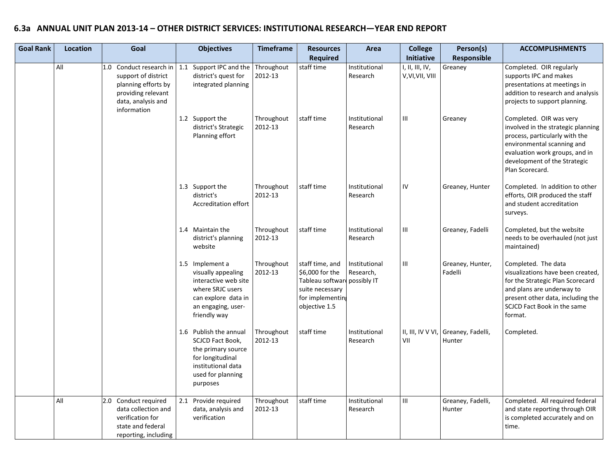# **6.3a ANNUAL UNIT PLAN 2013-14 – OTHER DISTRICT SERVICES: INSTITUTIONAL RESEARCH—YEAR END REPORT**

| <b>Goal Rank</b> | <b>Location</b> | Goal                                                                                                         | <b>Objectives</b>                                                                                                                              | <b>Timeframe</b>      | <b>Resources</b>                                                                                              | Area                                      | <b>College</b>                                    | Person(s)                   | <b>ACCOMPLISHMENTS</b>                                                                                                                                                                                   |
|------------------|-----------------|--------------------------------------------------------------------------------------------------------------|------------------------------------------------------------------------------------------------------------------------------------------------|-----------------------|---------------------------------------------------------------------------------------------------------------|-------------------------------------------|---------------------------------------------------|-----------------------------|----------------------------------------------------------------------------------------------------------------------------------------------------------------------------------------------------------|
|                  | All             | 1.0 Conduct research in<br>support of district<br>planning efforts by                                        | 1.1 Support IPC and the<br>district's quest for<br>integrated planning                                                                         | Throughout<br>2012-13 | <b>Required</b><br>staff time                                                                                 | Institutional<br>Research                 | Initiative<br>I, II, III, IV,<br>V, VI, VII, VIII | Responsible<br>Greaney      | Completed. OIR regularly<br>supports IPC and makes<br>presentations at meetings in                                                                                                                       |
|                  |                 | providing relevant<br>data, analysis and<br>information                                                      | 1.2 Support the                                                                                                                                | Throughout            | staff time                                                                                                    | Institutional                             | Ш                                                 | Greaney                     | addition to research and analysis<br>projects to support planning.<br>Completed. OIR was very                                                                                                            |
|                  |                 |                                                                                                              | district's Strategic<br>Planning effort                                                                                                        | 2012-13               |                                                                                                               | Research                                  |                                                   |                             | involved in the strategic planning<br>process, particularly with the<br>environmental scanning and<br>evaluation work groups, and in<br>development of the Strategic<br>Plan Scorecard.                  |
|                  |                 |                                                                                                              | 1.3 Support the<br>district's<br>Accreditation effort                                                                                          | Throughout<br>2012-13 | staff time                                                                                                    | Institutional<br>Research                 | IV                                                | Greaney, Hunter             | Completed. In addition to other<br>efforts, OIR produced the staff<br>and student accreditation<br>surveys.                                                                                              |
|                  |                 |                                                                                                              | 1.4 Maintain the<br>district's planning<br>website                                                                                             | Throughout<br>2012-13 | staff time                                                                                                    | Institutional<br>Research                 | Ш                                                 | Greaney, Fadelli            | Completed, but the website<br>needs to be overhauled (not just<br>maintained)                                                                                                                            |
|                  |                 |                                                                                                              | 1.5 Implement a<br>visually appealing<br>interactive web site<br>where SRJC users<br>can explore data in<br>an engaging, user-<br>friendly way | Throughout<br>2012-13 | staff time, and<br>\$6,000 for the<br>Tableau softwar<br>suite necessary<br>for implementing<br>objective 1.5 | Institutional<br>Research,<br>possibly IT | Ш                                                 | Greaney, Hunter,<br>Fadelli | Completed. The data<br>visualizations have been created,<br>for the Strategic Plan Scorecard<br>and plans are underway to<br>present other data, including the<br>SCJCD Fact Book in the same<br>format. |
|                  |                 |                                                                                                              | 1.6 Publish the annual<br>SCJCD Fact Book,<br>the primary source<br>for longitudinal<br>institutional data<br>used for planning<br>purposes    | Throughout<br>2012-13 | staff time                                                                                                    | Institutional<br>Research                 | II, III, IV VVI,<br>VII                           | Greaney, Fadelli,<br>Hunter | Completed.                                                                                                                                                                                               |
|                  | All             | 2.0 Conduct required<br>data collection and<br>verification for<br>state and federal<br>reporting, including | 2.1 Provide required<br>data, analysis and<br>verification                                                                                     | Throughout<br>2012-13 | staff time                                                                                                    | Institutional<br>Research                 | Ш                                                 | Greaney, Fadelli,<br>Hunter | Completed. All required federal<br>and state reporting through OIR<br>is completed accurately and on<br>time.                                                                                            |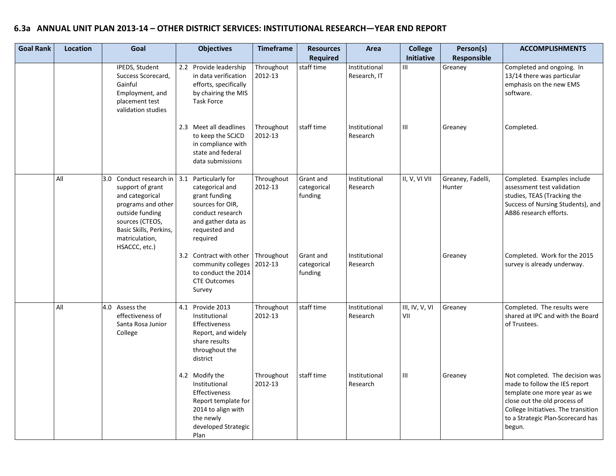# **6.3a ANNUAL UNIT PLAN 2013-14 – OTHER DISTRICT SERVICES: INSTITUTIONAL RESEARCH—YEAR END REPORT**

| <b>Goal Rank</b> | Location | Goal                                                                                                                                                                                          | <b>Objectives</b>                                                                                                                               | <b>Timeframe</b>      | <b>Resources</b><br><b>Required</b> | Area                          | <b>College</b><br>Initiative | Person(s)<br><b>Responsible</b> | <b>ACCOMPLISHMENTS</b>                                                                                                                                                                                                 |
|------------------|----------|-----------------------------------------------------------------------------------------------------------------------------------------------------------------------------------------------|-------------------------------------------------------------------------------------------------------------------------------------------------|-----------------------|-------------------------------------|-------------------------------|------------------------------|---------------------------------|------------------------------------------------------------------------------------------------------------------------------------------------------------------------------------------------------------------------|
|                  |          | IPEDS, Student<br>Success Scorecard,<br>Gainful<br>Employment, and<br>placement test<br>validation studies                                                                                    | 2.2 Provide leadership<br>in data verification<br>efforts, specifically<br>by chairing the MIS<br><b>Task Force</b>                             | Throughout<br>2012-13 | staff time                          | Institutional<br>Research, IT | Ш                            | Greaney                         | Completed and ongoing. In<br>13/14 there was particular<br>emphasis on the new EMS<br>software.                                                                                                                        |
|                  |          |                                                                                                                                                                                               | 2.3 Meet all deadlines<br>to keep the SCJCD<br>in compliance with<br>state and federal<br>data submissions                                      | Throughout<br>2012-13 | staff time                          | Institutional<br>Research     | Ш                            | Greaney                         | Completed.                                                                                                                                                                                                             |
|                  | All      | 3.0 Conduct research in   3.1<br>support of grant<br>and categorical<br>programs and other<br>outside funding<br>sources (CTEOS,<br>Basic Skills, Perkins,<br>matriculation,<br>HSACCC, etc.) | Particularly for<br>categorical and<br>grant funding<br>sources for OIR,<br>conduct research<br>and gather data as<br>requested and<br>required | Throughout<br>2012-13 | Grant and<br>categorical<br>funding | Institutional<br>Research     | II, V, VI VII                | Greaney, Fadelli,<br>Hunter     | Completed. Examples include<br>assessment test validation<br>studies, TEAS (Tracking the<br>Success of Nursing Students), and<br>AB86 research efforts.                                                                |
|                  |          |                                                                                                                                                                                               | 3.2 Contract with other<br>community colleges<br>to conduct the 2014<br><b>CTE Outcomes</b><br>Survey                                           | Throughout<br>2012-13 | Grant and<br>categorical<br>funding | Institutional<br>Research     |                              | Greaney                         | Completed. Work for the 2015<br>survey is already underway.                                                                                                                                                            |
|                  | All      | 4.0 Assess the<br>effectiveness of<br>Santa Rosa Junior<br>College                                                                                                                            | Provide 2013<br>4.1<br>Institutional<br>Effectiveness<br>Report, and widely<br>share results<br>throughout the<br>district                      | Throughout<br>2012-13 | staff time                          | Institutional<br>Research     | III, IV, V, VI<br>VII        | Greaney                         | Completed. The results were<br>shared at IPC and with the Board<br>of Trustees.                                                                                                                                        |
|                  |          |                                                                                                                                                                                               | 4.2 Modify the<br>Institutional<br>Effectiveness<br>Report template for<br>2014 to align with<br>the newly<br>developed Strategic<br>Plan       | Throughout<br>2012-13 | staff time                          | Institutional<br>Research     | Ш                            | Greaney                         | Not completed. The decision was<br>made to follow the IES report<br>template one more year as we<br>close out the old process of<br>College Initiatives. The transition<br>to a Strategic Plan-Scorecard has<br>begun. |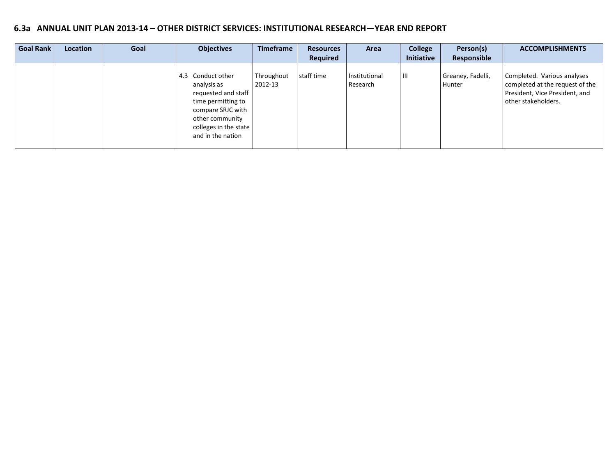# **6.3a ANNUAL UNIT PLAN 2013-14 – OTHER DISTRICT SERVICES: INSTITUTIONAL RESEARCH—YEAR END REPORT**

| <b>Goal Rank</b> | Location | Goal | <b>Objectives</b>                                                                                                                                                   | <b>Timeframe</b>      | <b>Resources</b> | Area                      | <b>College</b> | Person(s)                   | <b>ACCOMPLISHMENTS</b>                                                                                                  |
|------------------|----------|------|---------------------------------------------------------------------------------------------------------------------------------------------------------------------|-----------------------|------------------|---------------------------|----------------|-----------------------------|-------------------------------------------------------------------------------------------------------------------------|
|                  |          |      |                                                                                                                                                                     |                       | Required         |                           | Initiative     | Responsible                 |                                                                                                                         |
|                  |          |      | 4.3 Conduct other<br>analysis as<br>requested and staff<br>time permitting to<br>compare SRJC with<br>other community<br>colleges in the state<br>and in the nation | Throughout<br>2012-13 | staff time       | Institutional<br>Research | Ш              | Greaney, Fadelli,<br>Hunter | Completed. Various analyses<br>completed at the request of the<br>President, Vice President, and<br>other stakeholders. |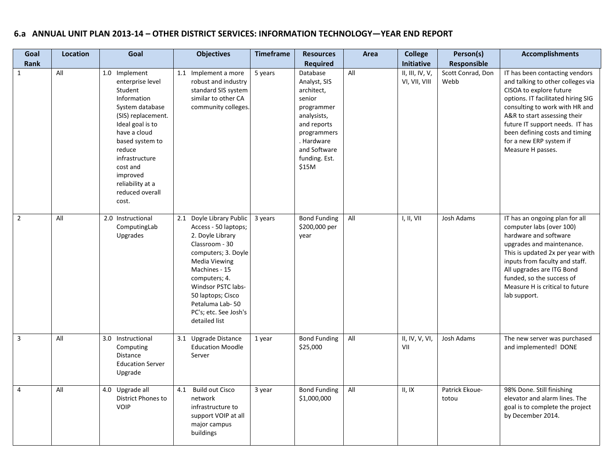# **6.a ANNUAL UNIT PLAN 2013-14 – OTHER DISTRICT SERVICES: INFORMATION TECHNOLOGY—YEAR END REPORT**

| Goal           | Location | Goal                                                                                                                                                                                                                                                            | <b>Objectives</b>                                                                                                                                                                                                                                                                  | <b>Timeframe</b> | <b>Resources</b>                                                                                                                                                    | Area | <b>College</b>                   | Person(s)                 | <b>Accomplishments</b>                                                                                                                                                                                                                                                                                                      |
|----------------|----------|-----------------------------------------------------------------------------------------------------------------------------------------------------------------------------------------------------------------------------------------------------------------|------------------------------------------------------------------------------------------------------------------------------------------------------------------------------------------------------------------------------------------------------------------------------------|------------------|---------------------------------------------------------------------------------------------------------------------------------------------------------------------|------|----------------------------------|---------------------------|-----------------------------------------------------------------------------------------------------------------------------------------------------------------------------------------------------------------------------------------------------------------------------------------------------------------------------|
| Rank           |          |                                                                                                                                                                                                                                                                 |                                                                                                                                                                                                                                                                                    |                  | <b>Required</b>                                                                                                                                                     |      | Initiative                       | Responsible               |                                                                                                                                                                                                                                                                                                                             |
| $\mathbf{1}$   | All      | 1.0 Implement<br>enterprise level<br>Student<br>Information<br>System database<br>(SIS) replacement.<br>Ideal goal is to<br>have a cloud<br>based system to<br>reduce<br>infrastructure<br>cost and<br>improved<br>reliability at a<br>reduced overall<br>cost. | Implement a more<br>1.1<br>robust and industry<br>standard SIS system<br>similar to other CA<br>community colleges.                                                                                                                                                                | 5 years          | Database<br>Analyst, SIS<br>architect,<br>senior<br>programmer<br>analysists,<br>and reports<br>programmers<br>. Hardware<br>and Software<br>funding. Est.<br>\$15M | All  | II, III, IV, V,<br>VI, VII, VIII | Scott Conrad, Don<br>Webb | IT has been contacting vendors<br>and talking to other colleges via<br>CISOA to explore future<br>options. IT facilitated hiring SIG<br>consulting to work with HR and<br>A&R to start assessing their<br>future IT support needs. IT has<br>been defining costs and timing<br>for a new ERP system if<br>Measure H passes. |
| $\overline{2}$ | All      | 2.0 Instructional<br>ComputingLab<br>Upgrades                                                                                                                                                                                                                   | Doyle Library Public<br>2.1<br>Access - 50 laptops;<br>2. Doyle Library<br>Classroom - 30<br>computers; 3. Doyle<br><b>Media Viewing</b><br>Machines - 15<br>computers; 4.<br>Windsor PSTC labs-<br>50 laptops; Cisco<br>Petaluma Lab-50<br>PC's; etc. See Josh's<br>detailed list | 3 years          | <b>Bond Funding</b><br>\$200,000 per<br>year                                                                                                                        | All  | I, II, VII                       | Josh Adams                | IT has an ongoing plan for all<br>computer labs (over 100)<br>hardware and software<br>upgrades and maintenance.<br>This is updated 2x per year with<br>inputs from faculty and staff.<br>All upgrades are ITG Bond<br>funded, so the success of<br>Measure H is critical to future<br>lab support.                         |
| $\overline{3}$ | All      | 3.0 Instructional<br>Computing<br>Distance<br><b>Education Server</b><br>Upgrade                                                                                                                                                                                | <b>Upgrade Distance</b><br>3.1<br><b>Education Moodle</b><br>Server                                                                                                                                                                                                                | 1 year           | <b>Bond Funding</b><br>\$25,000                                                                                                                                     | All  | II, IV, V, VI,<br>VII            | Josh Adams                | The new server was purchased<br>and implemented! DONE                                                                                                                                                                                                                                                                       |
| $\overline{4}$ | All      | 4.0 Upgrade all<br>District Phones to<br><b>VOIP</b>                                                                                                                                                                                                            | <b>Build out Cisco</b><br>4.1<br>network<br>infrastructure to<br>support VOIP at all<br>major campus<br>buildings                                                                                                                                                                  | 3 year           | <b>Bond Funding</b><br>\$1,000,000                                                                                                                                  | All  | II, IX                           | Patrick Ekoue-<br>totou   | 98% Done. Still finishing<br>elevator and alarm lines. The<br>goal is to complete the project<br>by December 2014.                                                                                                                                                                                                          |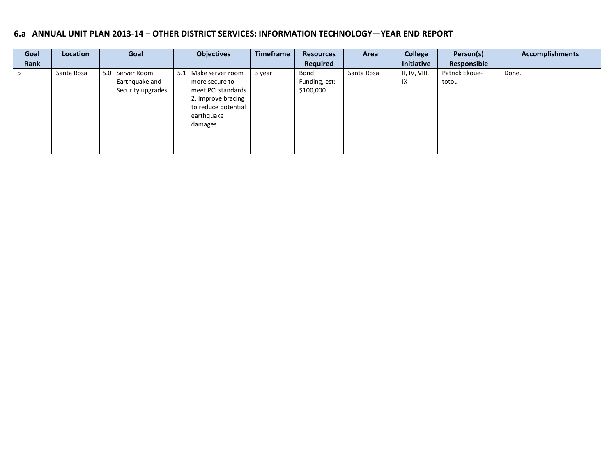## **6.a ANNUAL UNIT PLAN 2013-14 – OTHER DISTRICT SERVICES: INFORMATION TECHNOLOGY—YEAR END REPORT**

| Goal | Location   | Goal                                                      | <b>Objectives</b>                                                                                                                       | Timeframe | <b>Resources</b>                   | Area       | <b>College</b>      | Person(s)               | <b>Accomplishments</b> |
|------|------------|-----------------------------------------------------------|-----------------------------------------------------------------------------------------------------------------------------------------|-----------|------------------------------------|------------|---------------------|-------------------------|------------------------|
| Rank |            |                                                           |                                                                                                                                         |           | Required                           |            | <b>Initiative</b>   | Responsible             |                        |
|      | Santa Rosa | 5.0<br>Server Room<br>Earthquake and<br>Security upgrades | 5.1<br>Make server room<br>more secure to<br>meet PCI standards.<br>2. Improve bracing<br>to reduce potential<br>earthquake<br>damages. | 3 year    | Bond<br>Funding, est:<br>\$100,000 | Santa Rosa | II, IV, VIII,<br>IX | Patrick Ekoue-<br>totou | Done.                  |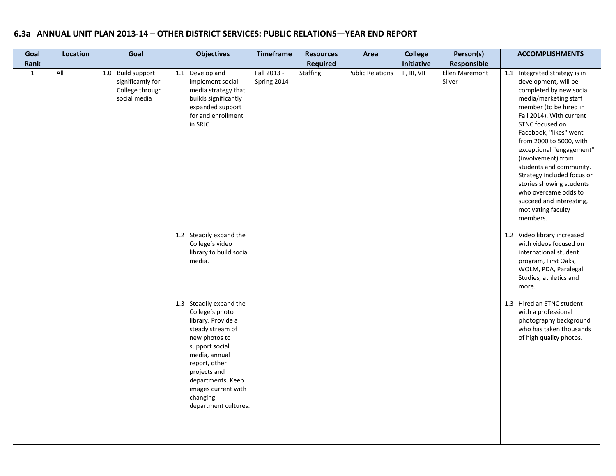# **6.3a ANNUAL UNIT PLAN 2013-14 – OTHER DISTRICT SERVICES: PUBLIC RELATIONS—YEAR END REPORT**

| Goal         | Location | Goal                                                                      | <b>Objectives</b>                                                                                                                                                                                                                                         | Timeframe                  | <b>Resources</b> | Area                    | <b>College</b> | Person(s)                | <b>ACCOMPLISHMENTS</b>                                                                                                                                                                                                                                                                                                                                                                                                                                               |
|--------------|----------|---------------------------------------------------------------------------|-----------------------------------------------------------------------------------------------------------------------------------------------------------------------------------------------------------------------------------------------------------|----------------------------|------------------|-------------------------|----------------|--------------------------|----------------------------------------------------------------------------------------------------------------------------------------------------------------------------------------------------------------------------------------------------------------------------------------------------------------------------------------------------------------------------------------------------------------------------------------------------------------------|
| Rank         |          |                                                                           |                                                                                                                                                                                                                                                           |                            | <b>Required</b>  |                         | Initiative     | Responsible              |                                                                                                                                                                                                                                                                                                                                                                                                                                                                      |
| $\mathbf{1}$ | All      | 1.0 Build support<br>significantly for<br>College through<br>social media | 1.1<br>Develop and<br>implement social<br>media strategy that<br>builds significantly<br>expanded support<br>for and enrollment<br>in SRJC                                                                                                                | Fall 2013 -<br>Spring 2014 | <b>Staffing</b>  | <b>Public Relations</b> | II, III, VII   | Ellen Maremont<br>Silver | 1.1 Integrated strategy is in<br>development, will be<br>completed by new social<br>media/marketing staff<br>member (to be hired in<br>Fall 2014). With current<br>STNC focused on<br>Facebook, "likes" went<br>from 2000 to 5000, with<br>exceptional "engagement"<br>(involvement) from<br>students and community.<br>Strategy included focus on<br>stories showing students<br>who overcame odds to<br>succeed and interesting,<br>motivating faculty<br>members. |
|              |          |                                                                           | 1.2 Steadily expand the<br>College's video<br>library to build social<br>media.                                                                                                                                                                           |                            |                  |                         |                |                          | 1.2 Video library increased<br>with videos focused on<br>international student<br>program, First Oaks,<br>WOLM, PDA, Paralegal<br>Studies, athletics and<br>more.                                                                                                                                                                                                                                                                                                    |
|              |          |                                                                           | 1.3 Steadily expand the<br>College's photo<br>library. Provide a<br>steady stream of<br>new photos to<br>support social<br>media, annual<br>report, other<br>projects and<br>departments. Keep<br>images current with<br>changing<br>department cultures. |                            |                  |                         |                |                          | 1.3 Hired an STNC student<br>with a professional<br>photography background<br>who has taken thousands<br>of high quality photos.                                                                                                                                                                                                                                                                                                                                     |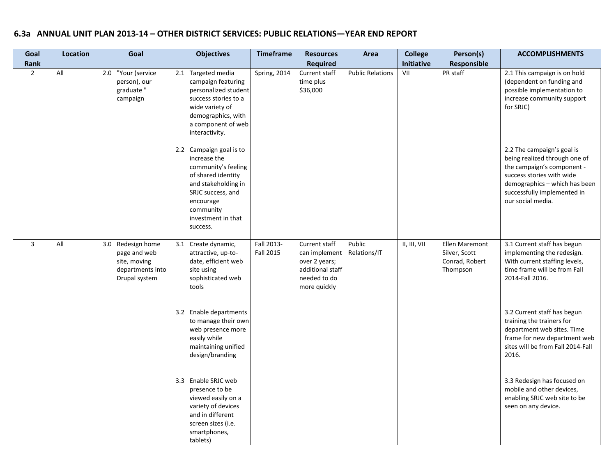# **6.3a ANNUAL UNIT PLAN 2013-14 – OTHER DISTRICT SERVICES: PUBLIC RELATIONS—YEAR END REPORT**

| Goal           | Location | Goal                                                                                   | <b>Objectives</b>                                                                                                                                                                            | <b>Timeframe</b>        | <b>Resources</b>                                                                                    | Area                    | <b>College</b> | Person(s)                                                            | <b>ACCOMPLISHMENTS</b>                                                                                                                                                                                      |
|----------------|----------|----------------------------------------------------------------------------------------|----------------------------------------------------------------------------------------------------------------------------------------------------------------------------------------------|-------------------------|-----------------------------------------------------------------------------------------------------|-------------------------|----------------|----------------------------------------------------------------------|-------------------------------------------------------------------------------------------------------------------------------------------------------------------------------------------------------------|
| Rank           |          |                                                                                        |                                                                                                                                                                                              |                         | <b>Required</b>                                                                                     |                         | Initiative     | Responsible                                                          |                                                                                                                                                                                                             |
| $\overline{2}$ | All      | 2.0 "Your (service<br>person), our<br>graduate"<br>campaign                            | 2.1 Targeted media<br>campaign featuring<br>personalized student<br>success stories to a<br>wide variety of<br>demographics, with<br>a component of web<br>interactivity.                    | Spring, 2014            | Current staff<br>time plus<br>\$36,000                                                              | <b>Public Relations</b> | VII            | PR staff                                                             | 2.1 This campaign is on hold<br>(dependent on funding and<br>possible implementation to<br>increase community support<br>for SRJC)                                                                          |
|                |          |                                                                                        | 2.2 Campaign goal is to<br>increase the<br>community's feeling<br>of shared identity<br>and stakeholding in<br>SRJC success, and<br>encourage<br>community<br>investment in that<br>success. |                         |                                                                                                     |                         |                |                                                                      | 2.2 The campaign's goal is<br>being realized through one of<br>the campaign's component -<br>success stories with wide<br>demographics - which has been<br>successfully implemented in<br>our social media. |
| 3              | All      | 3.0 Redesign home<br>page and web<br>site, moving<br>departments into<br>Drupal system | 3.1<br>Create dynamic,<br>attractive, up-to-<br>date, efficient web<br>site using<br>sophisticated web<br>tools                                                                              | Fall 2013-<br>Fall 2015 | Current staff<br>can implement<br>over 2 years;<br>additional staff<br>needed to do<br>more quickly | Public<br>Relations/IT  | II, III, VII   | <b>Ellen Maremont</b><br>Silver, Scott<br>Conrad, Robert<br>Thompson | 3.1 Current staff has begun<br>implementing the redesign.<br>With current staffing levels,<br>time frame will be from Fall<br>2014-Fall 2016.                                                               |
|                |          |                                                                                        | 3.2 Enable departments<br>to manage their own<br>web presence more<br>easily while<br>maintaining unified<br>design/branding                                                                 |                         |                                                                                                     |                         |                |                                                                      | 3.2 Current staff has begun<br>training the trainers for<br>department web sites. Time<br>frame for new department web<br>sites will be from Fall 2014-Fall<br>2016.                                        |
|                |          |                                                                                        | 3.3 Enable SRJC web<br>presence to be<br>viewed easily on a<br>variety of devices<br>and in different<br>screen sizes (i.e.<br>smartphones,<br>tablets)                                      |                         |                                                                                                     |                         |                |                                                                      | 3.3 Redesign has focused on<br>mobile and other devices,<br>enabling SRJC web site to be<br>seen on any device.                                                                                             |